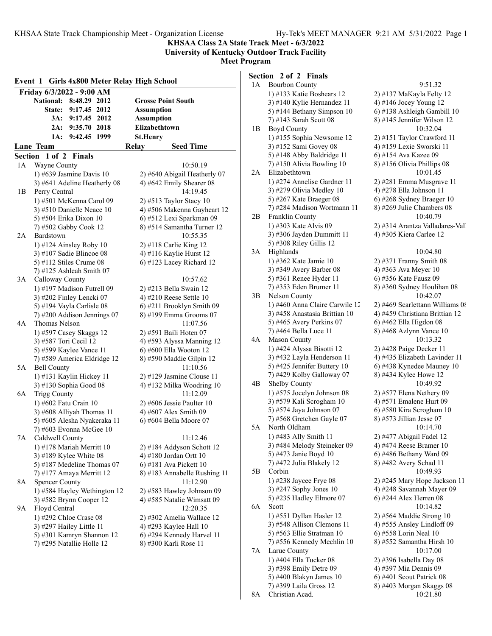**KHSAA Class 2A State Track Meet - 6/3/2022 University of Kentucky Outdoor Track Facility**

**Meet Program**

### **Event 1 Girls 4x800 Meter Relay High School Friday 6/3/2022 - 9:00 AM National: 8:48.29 2012 Grosse Point South State: 9:17.45 2012 Assumption 3A: 9:17.45 2012 Assumption 2A: 9:35.70 2018 Elizabethtown 1A: 9:42.45 1999 St.Henry Lane Team Seed Time Relay** Seed Time **Section 1 of 2 Finals** 1A Wayne County 10:50.19 1) #639 Jasmine Davis 10 2) #640 Abigail Heatherly 07 3)  $#641$  Adeline Heatherly 08  $\qquad 4)$   $#642$  Emily Shearer 08 1B Perry Central 14:19.45 1) #501 McKenna Carol 09 2) #513 Taylor Stacy 10 3) #510 Danielle Neace 10  $\qquad$  4) #506 Makenna Gayheart 12 5) #504 Erika Dixon 10 6) #512 Lexi Sparkman 09 7) #502 Gabby Cook 12 8) #514 Samantha Turner 12 2A Bardstown 10:55.35 1) #124 Ainsley Roby 10 2) #118 Carlie King 12 3) #107 Sadie Blincoe 08 4) #116 Kaylie Hurst 12 5) #112 Stiles Crume  $08 \t\t 6$  #123 Lacey Richard 12 7) #125 Ashleah Smith 07 3A Calloway County 10:57.62 1) #197 Madison Futrell 09 2) #213 Bella Swain 12 3) #202 Finley Lencki 07 4) #210 Reese Settle 10 5) #194 Vayla Carlisle  $08 \t\t 6$  #211 Brooklyn Smith 09 7) #200 Addison Jennings 07 8) #199 Emma Grooms 07<br>Thomas Nelson 11:07.56 4A Thomas Nelson 1) #597 Casey Skaggs 12 2) #591 Baili Hoten 07 3) #587 Tori Cecil 12 4) #593 Alyssa Manning 12 5) #599 Kaylee Vance 11 6) #600 Ella Wooton 12 7) #589 America Eldridge 12 8) #590 Maddie Gilpin 12 5A Bell County 11:10.56 1) #131 Kaylin Hickey 11 2) #129 Jasmine Clouse 11 3) #130 Sophia Good 08 4) #132 Milka Woodring 10 6A Trigg County 11:12.09 1) #602 Fatu Crain 10 2) #606 Jessie Paulter 10 3) #608 Alliyah Thomas 11  $\qquad$  4) #607 Alex Smith 09 5) #605 Alesha Nyakeraka 11 6) #604 Bella Moore 07 7) #603 Evonna McGee 10 7A Caldwell County 11:12.46 1) #178 Mariah Merritt 10 2) #184 Addyson Schott 12 3) #189 Kylee White 08  $\qquad \qquad$  4) #180 Jordan Ortt 10 5) #187 Medeline Thomas  $07 \qquad 6$ ) #181 Ava Pickett 10 7) #177 Amaya Merritt 12 8) #183 Annabelle Rushing 11 8A Spencer County 11:12.90 1) #584 Hayley Wethington 12  $\qquad$  2) #583 Hawley Johnson 09 3) #582 Brynn Cooper 12 4) #585 Natalie Wimsatt 09 9A Floyd Central 12:20.35 1) #292 Chloe Crase 08 2) #302 Amelia Wallace 12 3) #297 Hailey Little 11  $\qquad$  4) #293 Kaylee Hall 10 5) #301 Kamryn Shannon 12 6) #294 Kennedy Harvel 11 7) #295 Natallie Holle 12 8) #300 Karli Rose 11

## **Section 2 of 2 Finals**

| 1A | <b>Bourbon County</b>                                  | 9:51.32                                                |
|----|--------------------------------------------------------|--------------------------------------------------------|
|    | 1) #133 Katie Boshears 12                              | 2) #137 MaKayla Felty 12                               |
|    | 3) #140 Kylie Hernandez 11                             | 4) #146 Jocey Young 12                                 |
|    | 5) #144 Bethany Simpson 10                             | 6) #138 Ashleigh Gambill 10                            |
|    | 7) #143 Sarah Scott 08                                 | 8) #145 Jennifer Wilson 12                             |
| 1В | Boyd County                                            | 10:32.04                                               |
|    | 1) #155 Sophia Newsome 12                              | 2) #151 Taylor Crawford 11                             |
|    | 3) #152 Sami Govey 08                                  | 4) #159 Lexie Sworski 11                               |
|    | 5) #148 Abby Baldridge 11                              | 6) #154 Ava Kazee 09                                   |
|    | 7) #150 Alivia Bowling 10                              | 8) #156 Olivia Phillips 08                             |
| 2A | Elizabethtown                                          | 10:01.45                                               |
|    | 1) #274 Annelise Gardner 11                            | 2) #281 Emma Musgrave 11                               |
|    |                                                        | 4) #278 Ella Johnson 11                                |
|    | 3) #279 Olivia Medley 10                               |                                                        |
|    | 5) #267 Kate Braeger 08<br>7) #284 Madison Wortmann 11 | 6) #268 Sydney Braeger 10<br>8) #269 Julie Chambers 08 |
|    |                                                        | 10:40.79                                               |
| 2B | Franklin County                                        |                                                        |
|    | 1) #303 Kate Alvis 09                                  | 2) #314 Arantza Valladares-Vall                        |
|    | 3) #306 Jayden Dummitt 11                              | 4) #305 Kiera Carlee 12                                |
|    | 5) #308 Riley Gillis 12                                |                                                        |
| 3A | Highlands                                              | 10:04.80                                               |
|    | 1) #362 Kate Jamie 10                                  | 2) #371 Franny Smith 08                                |
|    | 3) #349 Avery Barber 08                                | 4) #363 Ava Meyer 10                                   |
|    | 5) #361 Renee Hyder 11                                 | 6) #356 Kate Fausz 09                                  |
|    | 7) #353 Eden Brumer 11                                 | 8) #360 Sydney Houlihan 08                             |
| 3B | Nelson County                                          | 10:42.07                                               |
|    | 1) #460 Anna Claire Carwile 12                         | 2) #469 Scarlettann Williams $0$                       |
|    | 3) #458 Anastasia Brittian 10                          | 4) #459 Christiana Brittian 12                         |
|    | 5) #465 Avery Perkins 07                               | 6) #462 Ella Higdon 08                                 |
|    | 7) #464 Bella Luce 11                                  | 8) #468 Azlynn Vance 10                                |
| 4А | <b>Mason County</b>                                    | 10:13.32                                               |
|    | 1) #424 Alyssa Bisotti 12                              | 2) #428 Paige Decker 11                                |
|    | 3) #432 Layla Henderson 11                             | 4) #435 Elizabeth Lavinder 11                          |
|    | 5) #425 Jennifer Buttery 10                            | 6) #438 Kynedee Mauney 10                              |
|    | 7) #429 Kolby Galloway 07                              | 8) #434 Kylee Howe 12                                  |
| 4В | Shelby County                                          | 10:49.92                                               |
|    | 1) #575 Jocelyn Johnson 08                             | 2) #577 Elena Nethery 09                               |
|    | 3) #579 Kali Scrogham 10                               | 4) #571 Emalene Hurt 09                                |
|    | 5) #574 Jaya Johnson 07                                | 6) #580 Kira Scrogham 10                               |
|    | 7) #568 Gretchen Gayle 07                              | 8) #573 Jillian Jesse 07                               |
| 5A | North Oldham                                           | 10:14.70                                               |
|    | 1) #483 Ally Smith 11                                  | 2) #477 Abigail Fadel 12                               |
|    | 3) #484 Melody Steineker 09                            | 4) #474 Reese Bramer 10                                |
|    | 5) #473 Janie Boyd 10                                  | 6) #486 Bethany Ward 09                                |
|    | 7) #472 Julia Blakely 12                               | 8) #482 Avery Schad 11                                 |
| 5B | Corbin                                                 | 10:49.93                                               |
|    | 1) #238 Jaycee Frye 08                                 | 2) #245 Mary Hope Jackson 11                           |
|    | 3) #247 Sophy Jones 10                                 | 4) #248 Savannah Mayer 09                              |
|    | 5) #235 Hadley Elmore 07                               | 6) #244 Alex Herren 08                                 |
| 6A | Scott                                                  | 10:14.82                                               |
|    | 1) #551 Dyllan Hasler 12                               | 2) #564 Maddie Strong 10                               |
|    | 3) #548 Allison Clemons 11                             | 4) #555 Ansley Lindloff 09                             |
|    | 5) #563 Ellie Stratman 10                              | 6) #558 Lorin Neal 10                                  |
|    | 7) #556 Kennedy Mechlin 10                             | 8) #552 Samantha Hirsh 10                              |
| 7Α | Larue County                                           | 10:17.00                                               |
|    | 1) #404 Ella Tucker 08                                 | 2) #396 Isabella Day 08                                |
|    | 3) #398 Emily Detre 09                                 | 4) #397 Mia Dennis 09                                  |
|    | 5) #400 Blakyn James 10                                | 6) #401 Scout Patrick 08                               |
|    | 7) #399 Laila Gross 12                                 | 8) #403 Morgan Skaggs 08                               |
| 8A | Christian Acad.                                        | 10:21.80                                               |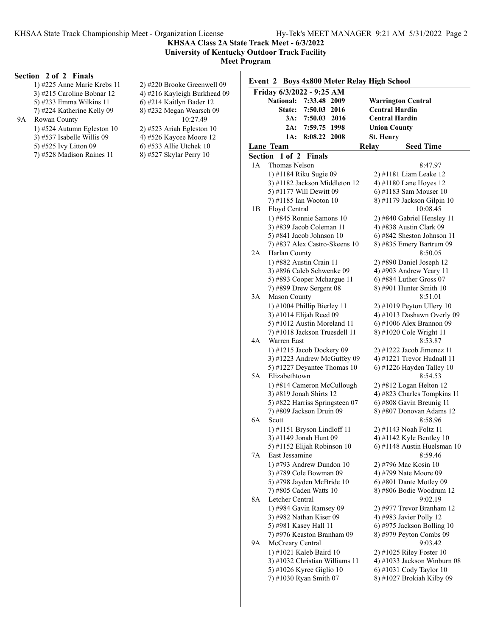#### **KHSAA Class 2A State Track Meet - 6/3/2022 University of Kentucky Outdoor Track Facility Meet Program**

## **Section 2 of 2 Finals**

|    | 1) #225 Anne Marie Krebs 11  | 2) #220 Brooke Greenwell 09  | Ľ                               |
|----|------------------------------|------------------------------|---------------------------------|
|    | 3) #215 Caroline Bobnar 12   | 4) #216 Kayleigh Burkhead 09 |                                 |
|    | 5) #233 Emma Wilkins 11      | 6) #214 Kaitlyn Bader 12     |                                 |
|    | 7) #224 Katherine Kelly 09   | 8) #232 Megan Wearsch 09     |                                 |
| 9A | Rowan County                 | 10:27.49                     |                                 |
|    | 1) #524 Autumn Egleston $10$ | $2)$ #523 Ariah Egleston 10  |                                 |
|    | $3)$ #537 Isabelle Willis 09 | 4) #526 Kaycee Moore 12      |                                 |
|    | 5) #525 Ivy Litton 09        | 6) #533 Allie Utchek 10      |                                 |
|    | 7) #528 Madison Raines 11    | 8) #527 Skylar Perry 10      | $\frac{\mathbf{L}}{\mathbf{S}}$ |
|    |                              |                              |                                 |
|    |                              |                              |                                 |

#### **Event 2 Boys 4x800 Meter Relay High School**

|                | Friday 6/3/2022 - 9:25 AM                          |              |      |                       |                                                        |
|----------------|----------------------------------------------------|--------------|------|-----------------------|--------------------------------------------------------|
|                | <b>National:</b>                                   | 7:33.48 2009 |      |                       | <b>Warrington Central</b>                              |
|                | <b>State:</b>                                      | 7:50.03 2016 |      | <b>Central Hardin</b> |                                                        |
|                | 3A:                                                | 7:50.03      | 2016 | <b>Central Hardin</b> |                                                        |
|                | 2A:                                                | 7:59.75 1998 |      | <b>Union County</b>   |                                                        |
|                | 1A:                                                | 8:08.22      | 2008 | <b>St. Henry</b>      |                                                        |
|                | <b>Lane Team</b>                                   |              |      | Relay                 | <b>Seed Time</b>                                       |
| <b>Section</b> | $1$ of $2$                                         | Finals       |      |                       |                                                        |
| 1А             | Thomas Nelson                                      |              |      |                       | 8:47.97                                                |
|                | 1) #1184 Riku Sugie 09                             |              |      |                       | 2) #1181 Liam Leake 12                                 |
|                | 3) #1182 Jackson Middleton 12                      |              |      |                       | 4) #1180 Lane Hoyes 12                                 |
|                | 5) #1177 Will Dewitt 09                            |              |      |                       | 6) #1183 Sam Mouser 10                                 |
|                | 7) #1185 Ian Wooton 10                             |              |      |                       | 8) #1179 Jackson Gilpin 10                             |
| 1В             | Floyd Central                                      |              |      |                       | 10:08.45                                               |
|                | 1) #845 Ronnie Samons 10                           |              |      |                       | 2) #840 Gabriel Hensley 11                             |
|                | 3) #839 Jacob Coleman 11                           |              |      |                       | 4) #838 Austin Clark 09                                |
|                | 5) #841 Jacob Johnson 10                           |              |      |                       | 6) #842 Sheston Johnson 11                             |
|                | 7) #837 Alex Castro-Skeens 10                      |              |      |                       | 8) #835 Emery Bartrum 09                               |
| 2A             | Harlan County                                      |              |      |                       | 8:50.05                                                |
|                | 1) #882 Austin Crain 11                            |              |      |                       | 2) #890 Daniel Joseph 12                               |
|                | 3) #896 Caleb Schwenke 09                          |              |      |                       | 4) #903 Andrew Yeary 11                                |
|                | 5) #893 Cooper Mchargue 11                         |              |      |                       | $6)$ #884 Luther Gross 07                              |
|                | 7) #899 Drew Sergent 08                            |              |      |                       | $(8)$ #901 Hunter Smith 10                             |
| 3A             | <b>Mason County</b>                                |              |      |                       | 8:51.01                                                |
|                | 1) #1004 Phillip Bierley 11                        |              |      |                       | $2)$ #1019 Peyton Ullery 10                            |
|                | 3) #1014 Elijah Reed 09                            |              |      |                       | 4) #1013 Dashawn Overly 09                             |
|                | 5) #1012 Austin Moreland 11                        |              |      |                       | 6) #1006 Alex Brannon 09                               |
| 4Α             | 7) #1018 Jackson Truesdell 11<br>Warren East       |              |      |                       | 8) #1020 Cole Wright 11<br>8:53.87                     |
|                | 1) #1215 Jacob Dockery 09                          |              |      |                       | 2) #1222 Jacob Jimenez 11                              |
|                | 3) #1223 Andrew McGuffey 09                        |              |      |                       | 4) #1221 Trevor Hudnall 11                             |
|                | 5) #1227 Deyantee Thomas 10                        |              |      |                       | 6) #1226 Hayden Talley 10                              |
| 5A             | Elizabethtown                                      |              |      |                       | 8:54.53                                                |
|                | 1) #814 Cameron McCullough                         |              |      |                       | 2) #812 Logan Helton 12                                |
|                | 3) #819 Jonah Shirts 12                            |              |      |                       | 4) #823 Charles Tompkins 11                            |
|                | 5) #822 Harriss Springsteen 07                     |              |      |                       | 6) #808 Gavin Breunig 11                               |
|                | 7) #809 Jackson Druin 09                           |              |      |                       | 8) #807 Donovan Adams 12                               |
| 6A             | Scott                                              |              |      |                       | 8:58.96                                                |
|                | 1) #1151 Bryson Lindloff 11                        |              |      |                       | 2) #1143 Noah Foltz 11                                 |
|                | 3) #1149 Jonah Hunt 09                             |              |      |                       | 4) #1142 Kyle Bentley 10                               |
|                | 5) #1152 Elijah Robinson 10                        |              |      |                       | 6) #1148 Austin Huelsman 10                            |
| 7Α             | East Jessamine                                     |              |      |                       | 8:59.46                                                |
|                | 1) #793 Andrew Dundon 10                           |              |      |                       | 2) #796 Mac Kosin 10                                   |
|                | 3) #789 Cole Bowman 09                             |              |      |                       | 4) #799 Nate Moore 09                                  |
|                | 5) #798 Jayden McBride 10                          |              |      |                       | $6)$ #801 Dante Motley 09                              |
|                | 7) #805 Caden Watts 10                             |              |      |                       | 8) #806 Bodie Woodrum 12                               |
| 8A             | Letcher Central                                    |              |      |                       | 9:02.19                                                |
|                | 1) #984 Gavin Ramsey 09                            |              |      |                       | 2) #977 Trevor Branham 12                              |
|                | 3) #982 Nathan Kiser 09                            |              |      |                       | 4) #983 Javier Polly 12                                |
|                | 5) #981 Kasey Hall 11                              |              |      |                       | 6) #975 Jackson Bolling 10                             |
|                | 7) #976 Keaston Branham 09                         |              |      |                       | 8) #979 Peyton Combs 09                                |
| 9А             | McCreary Central                                   |              |      |                       | 9:03.42                                                |
|                | 1) #1021 Kaleb Baird 10                            |              |      |                       | 2) #1025 Riley Foster 10                               |
|                | 3) #1032 Christian Williams 11                     |              |      |                       | 4) #1033 Jackson Winburn 08<br>6) #1031 Cody Taylor 10 |
|                | 5) #1026 Kyree Giglio 10<br>7) #1030 Ryan Smith 07 |              |      |                       | 8) #1027 Brokiah Kilby 09                              |
|                |                                                    |              |      |                       |                                                        |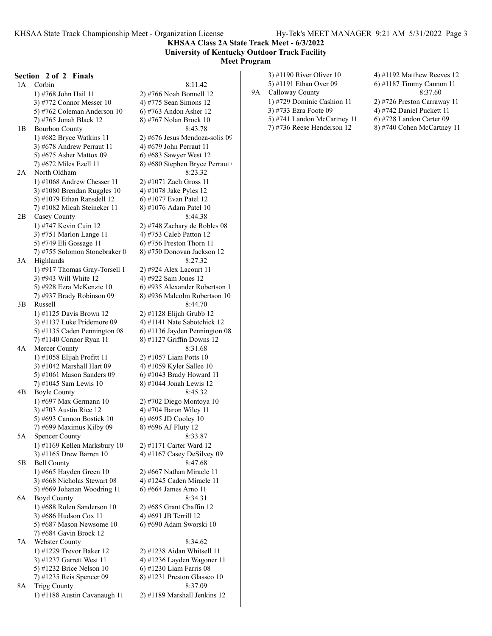#### **KHSAA Class 2A State Track Meet - 6/3/2022 University of Kentucky Outdoor Track Facility Meet Program**

#### **Section 2 of 2 Finals**

1A Corbin 8:11.42 1) #768 John Hail 11 2) #766 Noah Bonnell 12 3) #772 Connor Messer 10  $\qquad$  4) #775 Sean Simons 12 5) #762 Coleman Anderson 10 6) #763 Andon Asher 12 7) #765 Jonah Black 12 8) #767 Nolan Brock 10 1B Bourbon County 8:43.78 1)  $\#682$  Bryce Watkins 11 2)  $\#676$  Jesus Mendoza-solis 09 3)  $#678$  Andrew Perraut 11  $\qquad \qquad$  4)  $#679$  John Perraut 11 5) #675 Asher Mattox 09 6) #683 Sawyer West 12 7)  $#672$  Miles Ezell 11 8)  $#680$  Stephen Bryce Perraut 2A North Oldham 8:23.32 1) #1068 Andrew Chesser 11 2) #1071 Zach Gross 11 3) #1080 Brendan Ruggles 10  $\qquad$  4) #1078 Jake Pyles 12 5) #1079 Ethan Ransdell 12 6) #1077 Evan Patel 12 7) #1082 Micah Steineker 11 8) #1076 Adam Patel 10 2B Casey County 8:44.38 1) #747 Kevin Cuin 12 2) #748 Zachary de Robles 08 3) #751 Marlon Lange 11 4) #753 Caleb Patton 12 5) #749 Eli Gossage 11 6) #756 Preston Thorn 11 7) #755 Solomon Stonebraker 0 8) #750 Donovan Jackson 12 3A Highlands 8:27.32 1) #917 Thomas Gray-Torsell 1 2) #924 Alex Lacourt 11 3)  $\#943$  Will White 12 4)  $\#922$  Sam Jones 12 5) #928 Ezra McKenzie 10 6) #935 Alexander Robertson 1 7) #937 Brady Robinson 09 8) #936 Malcolm Robertson 10  $3B$  Russell  $8.44.70$ 1) #1125 Davis Brown 12 2) #1128 Elijah Grubb 12 3) #1137 Luke Pridemore 09  $\qquad$  4) #1141 Nate Sabotchick 12 5) #1135 Caden Pennington 08  $\qquad$  6) #1136 Jayden Pennington 08 7) #1140 Connor Ryan 11 8) #1127 Griffin Downs 12 4A Mercer County 8:31.68 1) #1058 Elijah Profitt 11 2) #1057 Liam Potts 10 3) #1042 Marshall Hart 09 4) #1059 Kyler Sallee 10 5) #1061 Mason Sanders 09 6) #1043 Brady Howard 11 7) #1045 Sam Lewis 10 8) #1044 Jonah Lewis 12 4B Boyle County 8:45.32 1) #697 Max Germann 10 2) #702 Diego Montoya 10 3) #703 Austin Rice 12 4) #704 Baron Wiley 11 5) #693 Cannon Bostick 10 6) #695 JD Cooley 10 7) #699 Maximus Kilby 09 8) #696 AJ Fluty 12 5A Spencer County 8:33.87 1) #1169 Kellen Marksbury 10 2) #1171 Carter Ward 12 3) #1165 Drew Barren 10 4) #1167 Casey DeSilvey 09 5B Bell County 8:47.68 1) #665 Hayden Green 10 2) #667 Nathan Miracle 11 3) #668 Nicholas Stewart 08  $\qquad$  4) #1245 Caden Miracle 11 5) #669 Johanan Woodring 11  $\qquad$  6) #664 James Arno 11 6A Boyd County 8:34.31 1) #688 Rolen Sanderson 10 2) #685 Grant Chaffin 12 3) #686 Hudson Cox 11 4) #691 JB Terrill 12 5) #687 Mason Newsome 10 6) #690 Adam Sworski 10 7) #684 Gavin Brock 12 7A Webster County 8:34.62 1) #1229 Trevor Baker 12 2) #1238 Aidan Whitsell 11 3) #1237 Garrett West 11 4) #1236 Layden Wagoner 11 5) #1232 Brice Nelson 10 6) #1230 Liam Farris 08 7) #1235 Reis Spencer 09 8) #1231 Preston Glassco 10 8A Trigg County 8:37.09 1) #1188 Austin Cavanaugh 11 2) #1189 Marshall Jenkins 12

5) #1191 Ethan Over 09 9A Calloway County 1) #729 Dominic Cashion 11 3) #733 Ezra Foote 09 5) #741 Landon McCartney 11 6) #728 Landon Carter 09

3) #1190 River Oliver 10

| 4) #1192 Matthew Reeves 12          |
|-------------------------------------|
| 6) #1187 Timmy Cannon 11            |
| 8:37.60                             |
| 2) #726 Preston Carraway 11         |
| 4) #742 Daniel Puckett 11           |
| $\triangle$ 4720 L and an Cartan 00 |

7) #736 Reese Henderson 12 8) #740 Cohen McCartney 11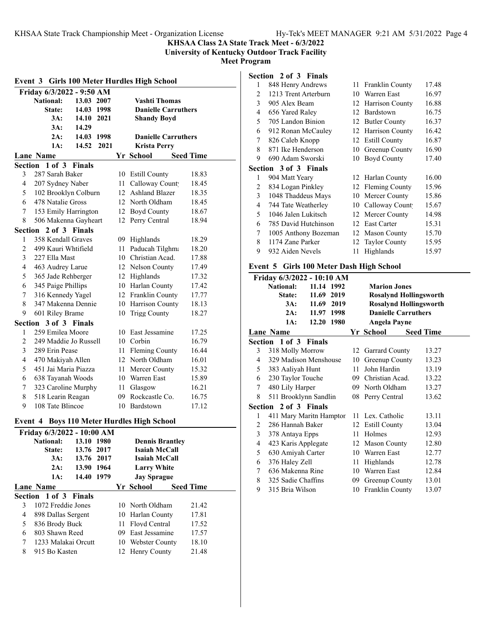#### **KHSAA Class 2A State Track Meet - 6/3/2022 University of Kentucky Outdoor Track Facility**

**Meet Program**

## **Event 3 Girls 100 Meter Hurdles High School Friday 6/3/2022 - 9:50 AM National: 13.03 2007 Vashti Thomas State: 14.03 1998 Danielle Carruthers 3A: 14.10 2021 Shandy Boyd 3A: 14.29 2A: 14.03 1998 Danielle Carruthers 1A: 14.52 2021 Krista Perry Lane Name Seed Time Seed Time Section 1 of 3 Finals** 3 287 Sarah Baker 10 Estill County 18.83 4 207 Sydney Naber 11 Calloway Count 18.45 5 102 Brooklyn Colburn 12 Ashland Blazer 18.35 6 478 Natalie Gross 12 North Oldham 18.45 7 153 Emily Harrington 12 Boyd County 18.67 8 506 Makenna Gayheart 12 Perry Central 18.94 **Section 2 of 3 Finals** 1 358 Kendall Graves 09 Highlands 18.29 2 499 Kauri Whtifield 11 Paducah Tilghma 18.20 3 227 Ella Mast 10 Christian Acad. 17.88 4 463 Audrey Larue 12 Nelson County 17.49 5 365 Jade Rehberger 12 Highlands 17.32 6 345 Paige Phillips 10 Harlan County 17.42 7 316 Kennedy Yagel 12 Franklin County 17.77 8 347 Makenna Dennie 10 Harrison County 18.13 9 601 Riley Brame 10 Trigg County 18.27 **Section 3 of 3 Finals** 1 259 Emilea Moore 10 East Jessamine 17.25 2 249 Maddie Jo Russell 10 Corbin 16.79 3 289 Erin Pease 11 Fleming County 16.44 4 470 Makiyah Allen 12 North Oldham 16.01 5 451 Jai Maria Piazza 11 Mercer County 15.32 6 638 Tayanah Woods 10 Warren East 15.89 7 323 Caroline Murphy 11 Glasgow 16.21 8 518 Learin Reagan 09 Rockcastle Co. 16.75 9 108 Tate Blincoe 10 Bardstown 17.12 **Event 4 Boys 110 Meter Hurdles High School**

|   | Friday 6/3/2022 - 10:00 AM |            |    |                        |                  |  |
|---|----------------------------|------------|----|------------------------|------------------|--|
|   | <b>National:</b>           | 13.10 1980 |    | <b>Dennis Brantley</b> |                  |  |
|   | State:                     | 13.76 2017 |    | Isaiah McCall          |                  |  |
|   | 3A:                        | 13.76 2017 |    | Isaiah McCall          |                  |  |
|   | 2A:                        | 13.90 1964 |    | <b>Larry White</b>     |                  |  |
|   | 1A:                        | 14.40 1979 |    | <b>Jay Sprague</b>     |                  |  |
|   | Lane Name                  |            |    | Yr School              | <b>Seed Time</b> |  |
|   | Section 1 of 3 Finals      |            |    |                        |                  |  |
| 3 | 1072 Freddie Jones         |            |    | 10 North Oldham        | 21.42            |  |
| 4 | 898 Dallas Sergent         |            |    | 10 Harlan County       | 17.81            |  |
| 5 | 836 Brody Buck             |            | 11 | Floyd Central          | 17.52            |  |
| 6 | 803 Shawn Reed             |            |    | 09 East Jessamine      | 17.57            |  |
| 7 | 1233 Malakai Orcutt        |            |    | 10 Webster County      | 18.10            |  |
| 8 | 915 Bo Kasten              |            | 12 | Henry County           | 21.48            |  |

| Section 2 of 3 Finals |  |
|-----------------------|--|
|-----------------------|--|

| 1             | 848 Henry Andrews            |     | 11 Franklin County    | 17.48 |
|---------------|------------------------------|-----|-----------------------|-------|
| 2             | 1213 Trent Arterburn         | 10  | Warren East           | 16.97 |
| 3             | 905 Alex Beam                |     | 12 Harrison County    | 16.88 |
| 4             | 656 Yared Raley              | 12  | Bardstown             | 16.75 |
| 5             | 705 Landon Binion            |     | 12 Butler County      | 16.37 |
| 6             | 912 Ronan McCauley           |     | 12 Harrison County    | 16.42 |
| 7             | 826 Caleb Knopp              | 12  | <b>Estill County</b>  | 16.87 |
| 8             | 871 Ike Henderson            | 10  | Greenup County        | 16.90 |
| 9             | 690 Adam Sworski             | 10  | Boyd County           | 17.40 |
|               | <b>Section 3 of 3 Finals</b> |     |                       |       |
| 1             | 904 Matt Yeary               |     | 12 Harlan County      | 16.00 |
| 2             | 834 Logan Pinkley            | 12  | <b>Fleming County</b> | 15.96 |
| $\mathcal{E}$ | 1048 Thaddeus Mays           | 10  | Mercer County         | 15.86 |
| 4             | 744 Tate Weatherley          | 10  | Calloway Count        | 15.67 |
| 5             | 1046 Jalen Lukitsch          | 12  | Mercer County         | 14.98 |
| 6             | 785 David Hutchinson         | 12  | <b>East Carter</b>    | 15.31 |
| 7             | 1005 Anthony Bozeman         | 12  | <b>Mason County</b>   | 15.70 |
| 8             | 1174 Zane Parker             | 12. | <b>Taylor County</b>  | 15.95 |
| 9             | 932 Aiden Nevels             | 11  | Highlands             | 15.97 |
|               |                              |     |                       |       |

#### **Event 5 Girls 100 Meter Dash High School**

|   | Friday 6/3/2022 - 10:10 AM |            |      |    |                               |                  |
|---|----------------------------|------------|------|----|-------------------------------|------------------|
|   | National:                  | 11.14 1992 |      |    | <b>Marion Jones</b>           |                  |
|   | State:                     | 11.69 2019 |      |    | <b>Rosalynd Hollingsworth</b> |                  |
|   | 3A:                        | 11.69      | 2019 |    | <b>Rosalynd Hollingsworth</b> |                  |
|   | 2A:                        | 11.97 1998 |      |    | <b>Danielle Carruthers</b>    |                  |
|   | 1A:                        | 12.20 1980 |      |    | Angela Payne                  |                  |
|   | <b>Lane Name</b>           |            |      |    | Yr School                     | <b>Seed Time</b> |
|   | Section 1 of 3 Finals      |            |      |    |                               |                  |
| 3 | 318 Molly Morrow           |            |      |    | 12 Garrard County             | 13.27            |
| 4 | 329 Madison Menshouse      |            |      | 10 | Greenup County                | 13.23            |
| 5 | 383 Aaliyah Hunt           |            |      | 11 | John Hardin                   | 13.19            |
| 6 | 230 Taylor Touche          |            |      |    | 09 Christian Acad.            | 13.22            |
| 7 | 480 Lily Harper            |            |      |    | 09 North Oldham               | 13.27            |
| 8 | 511 Brooklynn Sandlin      |            |      |    | 08 Perry Central              | 13.62            |
|   | Section 2 of 3 Finals      |            |      |    |                               |                  |
| 1 | 411 Mary Maritn Hampton    |            |      |    | 11 Lex. Catholic              | 13.11            |
| 2 | 286 Hannah Baker           |            |      | 12 | <b>Estill County</b>          | 13.04            |
| 3 | 378 Antaya Epps            |            |      | 11 | Holmes                        | 12.93            |
| 4 | 423 Karis Applegate        |            |      |    | 12 Mason County               | 12.80            |
| 5 | 630 Amiyah Carter          |            |      | 10 | Warren East                   | 12.77            |
| 6 | 376 Haley Zell             |            |      | 11 | Highlands                     | 12.78            |
| 7 | 636 Makenna Rine           |            |      | 10 | Warren East                   | 12.84            |
| 8 | 325 Sadie Chaffins         |            |      | 09 | Greenup County                | 13.01            |
| 9 | 315 Bria Wilson            |            |      |    | 10 Franklin County            | 13.07            |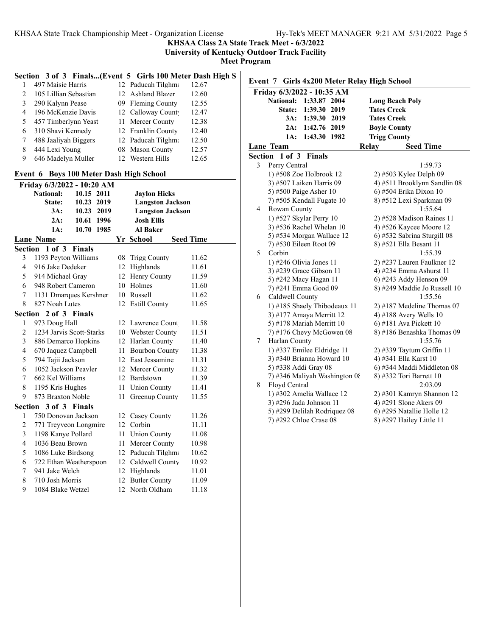**KHSAA Class 2A State Track Meet - 6/3/2022**

**University of Kentucky Outdoor Track Facility**

**Meet Program**

## **Section 3 of 3 Finals...(Event 5 Girls 100 Meter Dash High S**

|               | 497 Maisie Harris     | 12 Paducah Tilghma | 12.67 |
|---------------|-----------------------|--------------------|-------|
| $\mathcal{D}$ | 105 Lillian Sebastian | 12 Ashland Blazer  | 12.60 |
| 3             | 290 Kalynn Pease      | 09 Fleming County  | 12.55 |
| 4             | 196 McKenzie Davis    | 12 Calloway Count  | 12.47 |
| 5             | 457 Timberlynn Yeast  | 11 Mercer County   | 12.38 |
| 6             | 310 Shavi Kennedy     | 12 Franklin County | 12.40 |
| 7             | 488 Jaaliyah Biggers  | 12 Paducah Tilghma | 12.50 |
| 8             | 444 Lexi Young        | 08 Mason County    | 12.57 |
|               | 646 Madelyn Muller    | 12 Western Hills   | 12.65 |

#### **Event 6 Boys 100 Meter Dash High School**

| Friday 6/3/2022 - 10:20 AM |                          |               |      |    |                         |                  |
|----------------------------|--------------------------|---------------|------|----|-------------------------|------------------|
|                            | <b>National:</b>         | 10.15 2011    |      |    | <b>Jaylon Hicks</b>     |                  |
|                            | State:                   | 10.23 2019    |      |    | <b>Langston Jackson</b> |                  |
|                            | 3A:                      | 10.23 2019    |      |    | <b>Langston Jackson</b> |                  |
|                            | 2A:                      | 10.61 1996    |      |    | <b>Josh Ellis</b>       |                  |
|                            | 1A:                      | 10.70         | 1985 |    | <b>Al Baker</b>         |                  |
|                            | <b>Lane Name</b>         |               |      |    | Yr School               | <b>Seed Time</b> |
|                            | Section 1 of 3           | <b>Finals</b> |      |    |                         |                  |
| 3                          | 1193 Peyton Williams     |               |      |    | 08 Trigg County         | 11.62            |
| 4                          | 916 Jake Dedeker         |               |      | 12 | Highlands               | 11.61            |
| 5                          | 914 Michael Gray         |               |      |    | 12 Henry County         | 11.59            |
| 6                          | 948 Robert Cameron       |               |      |    | 10 Holmes               | 11.60            |
| 7                          | 1131 Dmarques Kershner   |               |      |    | 10 Russell              | 11.62            |
| 8                          | 827 Noah Lutes           |               |      | 12 | <b>Estill County</b>    | 11.65            |
|                            | Section 2 of 3 Finals    |               |      |    |                         |                  |
| 1                          | 973 Doug Hall            |               |      |    | 12 Lawrence Count       | 11.58            |
| $\overline{2}$             | 1234 Jarvis Scott-Starks |               |      |    | 10 Webster County       | 11.51            |
| 3                          | 886 Demarco Hopkins      |               |      |    | 12 Harlan County        | 11.40            |
| $\overline{4}$             | 670 Jaquez Campbell      |               |      | 11 | <b>Bourbon County</b>   | 11.38            |
| 5                          | 794 Tajii Jackson        |               |      |    | 12 East Jessamine       | 11.31            |
| 6                          | 1052 Jackson Peavler     |               |      |    | 12 Mercer County        | 11.32            |
| 7                          | 662 Kel Williams         |               |      |    | 12 Bardstown            | 11.39            |
| 8                          | 1195 Kris Hughes         |               |      | 11 | <b>Union County</b>     | 11.41            |
| 9                          | 873 Braxton Noble        |               |      | 11 | Greenup County          | 11.55            |
| Section                    | 3 of 3 Finals            |               |      |    |                         |                  |
| 1                          | 750 Donovan Jackson      |               |      |    | 12 Casey County         | 11.26            |
| $\overline{2}$             | 771 Treyveon Longmire    |               |      | 12 | Corbin                  | 11.11            |
| 3                          | 1198 Kanye Pollard       |               |      | 11 | <b>Union County</b>     | 11.08            |
| $\overline{4}$             | 1036 Beau Brown          |               |      | 11 | Mercer County           | 10.98            |
| 5                          | 1086 Luke Birdsong       |               |      |    | 12 Paducah Tilghma      | 10.62            |
| 6                          | 722 Ethan Weatherspoon   |               |      |    | 12 Caldwell County      | 10.92            |
| 7                          | 941 Jake Welch           |               |      |    | 12 Highlands            | 11.01            |
| 8                          | 710 Josh Morris          |               |      | 12 | <b>Butler County</b>    | 11.09            |
| 9                          | 1084 Blake Wetzel        |               |      | 12 | North Oldham            | 11.18            |

## **Event 7 Girls 4x200 Meter Relay High School**

|         | Friday 6/3/2022 - 10:35 AM       |                              |
|---------|----------------------------------|------------------------------|
|         | <b>National:</b><br>1:33.87 2004 | <b>Long Beach Poly</b>       |
|         | State: 1:39.30 2019              | <b>Tates Creek</b>           |
|         | 3A: 1:39.30 2019                 | <b>Tates Creek</b>           |
|         | 2A:<br>1:42.76 2019              | <b>Boyle County</b>          |
|         | 1:43.30 1982<br>1A:              | <b>Trigg County</b>          |
|         | <b>Lane Team</b>                 | Relay<br><b>Seed Time</b>    |
| Section | $1$ of $3$<br><b>Finals</b>      |                              |
| 3       | Perry Central                    | 1:59.73                      |
|         | 1) #508 Zoe Holbrook 12          | 2) #503 Kylee Delph 09       |
|         | 3) #507 Laiken Harris 09         | 4) #511 Brooklynn Sandlin 08 |
|         | 5) #500 Paige Asher 10           | 6) #504 Erika Dixon 10       |
|         | 7) #505 Kendall Fugate 10        | 8) #512 Lexi Sparkman 09     |
| 4       | Rowan County                     | 1:55.64                      |
|         | 1) #527 Skylar Perry 10          | 2) #528 Madison Raines 11    |
|         | 3) #536 Rachel Whelan 10         | 4) #526 Kaycee Moore 12      |
|         | 5) #534 Morgan Wallace 12        | 6) #532 Sabrina Sturgill 08  |
|         | 7) #530 Eileen Root 09           | 8) #521 Ella Besant 11       |
| 5       | Corbin                           | 1:55.39                      |
|         | 1) #246 Olivia Jones 11          | 2) #237 Lauren Faulkner 12   |
|         | 3) #239 Grace Gibson 11          | 4) #234 Emma Ashurst 11      |
|         | 5) #242 Macy Hagan 11            | 6) #243 Addy Henson 09       |
|         | 7) #241 Emma Good 09             | 8) #249 Maddie Jo Russell 10 |
| 6       | Caldwell County                  | 1:55.56                      |
|         | 1) #185 Shaely Thibodeaux 11     | $2)$ #187 Medeline Thomas 07 |
|         | 3) #177 Amaya Merritt 12         | 4) #188 Avery Wells 10       |
|         | 5) #178 Mariah Merritt 10        | $(6)$ #181 Ava Pickett 10    |
|         | $(7)$ #176 Chevy McGowen 08      | 8) #186 Benashka Thomas 09   |
| 7       | Harlan County                    | 1:55.76                      |
|         | 1) #337 Emilee Eldridge 11       | 2) #339 Taytum Griffin 11    |
|         | 3) #340 Brianna Howard 10        | 4) #341 Ella Karst 10        |
|         | 5) #338 Addi Gray 08             | 6) #344 Maddi Middleton 08   |
|         | 7) #346 Maliyah Washington 08    | 8) #332 Tori Barrett 10      |
| 8       | Floyd Central                    | 2:03.09                      |
|         | 1) #302 Amelia Wallace 12        | 2) #301 Kamryn Shannon 12    |
|         | 3) #296 Jada Johnson 11          | 4) #291 Slone Akers 09       |
|         | 5) #299 Delilah Rodriquez 08     | 6) #295 Natallie Holle 12    |
|         | 7) #292 Chloe Crase 08           | 8) #297 Hailey Little 11     |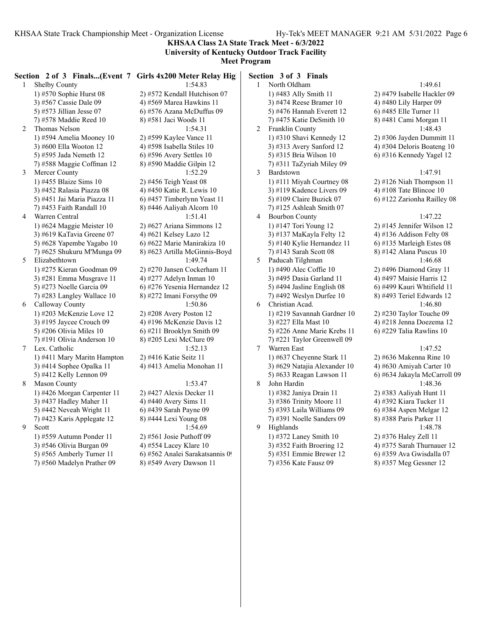**KHSAA Class 2A State Track Meet - 6/3/2022 University of Kentucky Outdoor Track Facility**

### **Meet Program**

|    |                             | Section 2 of 3 Finals(Event 7 Girls 4x200 Meter Relay High | Section 3 of 3 Finals        |
|----|-----------------------------|------------------------------------------------------------|------------------------------|
| 1  | Shelby County               | 1:54.83                                                    | North Oldham<br>$\mathbf{1}$ |
|    | 1) #570 Sophie Hurst 08     | 2) #572 Kendall Hutchison 07                               | 1) #483 Ally Smith 11        |
|    | 3) #567 Cassie Dale 09      | 4) #569 Marea Hawkins 11                                   | 3) #474 Reese Bramer 10      |
|    | 5) #573 Jillian Jesse $07$  | $(6)$ #576 Azana McDuffus 09                               | 5) #476 Hannah Everett 12    |
|    | 7) #578 Maddie Reed 10      | 8) #581 Jaci Woods 11                                      | 7) #475 Katie DeSmith 10     |
| 2  | Thomas Nelson               | 1:54.31                                                    | 2<br>Franklin County         |
|    | 1) #594 Amelia Mooney 10    | 2) #599 Kaylee Vance 11                                    | 1) #310 Shavi Kennedy 12     |
|    | 3) #600 Ella Wooton 12      | 4) #598 Isabella Stiles 10                                 | 3) #313 Avery Sanford 12     |
|    | 5) #595 Jada Nemeth 12      | $6$ ) #596 Avery Settles 10                                | 5) #315 Bria Wilson 10       |
|    | 7) #588 Maggie Coffman 12   | 8) #590 Maddie Gilpin 12                                   | 7) #311 TaZyriah Miley 09    |
| 3  | Mercer County               | 1:52.29                                                    | 3<br>Bardstown               |
|    | 1) #455 Blaize Sims 10      | 2) #456 Teigh Yeast 08                                     | 1) #111 Miyah Courtney 08    |
|    | 3) #452 Ralasia Piazza 08   | 4) #450 Katie R. Lewis 10                                  | 3) #119 Kadence Livers 09    |
|    | 5) #451 Jai Maria Piazza 11 | 6) #457 Timberlynn Yeast 11                                | 5) #109 Claire Buzick $07$   |
|    | 7) #453 Faith Randall 10    | 8) #446 Aaliyah Alcorn 10                                  | $(7)$ #125 Ashleah Smith 07  |
| 4  | Warren Central              | 1:51.41                                                    | 4<br><b>Bourbon County</b>   |
|    | 1) #624 Maggie Meister $10$ | $2)$ #627 Ariana Simmons 12                                | 1) #147 Tori Young 12        |
|    | 3) #619 KaTavia Greene 07   | 4) #621 Kelsey Lazo 12                                     | 3) #137 MaKayla Felty 12     |
|    | 5) #628 Yapembe Yagabo 10   | 6) #622 Marie Manirakiza 10                                | 5) #140 Kylie Hernandez 11   |
|    | 7) #625 Shukuru M'Munga 09  | 8) #623 Artilla McGinnis-Boyd                              | 7) #143 Sarah Scott 08       |
| 5. | Elizabethtown               | 1:49.74                                                    | 5<br>Paducah Tilghman        |
|    | 1) #275 Kieran Goodman 09   | 2) #270 Jansen Cockerham 11                                | 1) #490 Alec Coffie 10       |
|    | 3) #281 Emma Musgrave 11    | 4) #277 Adelyn Inman $10$                                  | 3) #495 Dasia Garland 11     |
|    | 5) #273 Noelle Garcia 09    | 6) #276 Yesenia Hernandez 12                               | 5) #494 Jasline English 08   |
|    | 7) #283 Langley Wallace 10  | 8) #272 Imani Forsythe 09                                  | 7) #492 Weslyn Durfee 10     |
| 6  | Calloway County             | 1:50.86                                                    | Christian Acad.<br>6         |
|    | 1) #203 McKenzie Love 12    | $2)$ #208 Avery Poston 12                                  | 1) #219 Savannah Gardner 10  |
|    | 3) #195 Jaycee Crouch $09$  | 4) #196 McKenzie Davis 12                                  | 3) #227 Ella Mast 10         |
|    | 5) #206 Olivia Miles $10$   | $(6)$ #211 Brooklyn Smith 09                               | 5) #226 Anne Marie Krebs 11  |
|    | 7) #191 Olivia Anderson 10  | 8) #205 Lexi McClure 09                                    | 7) #221 Taylor Greenwell 09  |
| 7  | Lex. Catholic               | 1:52.13                                                    | $7^{\circ}$<br>Warren East   |
|    | 1) #411 Mary Maritn Hampton | 2) #416 Katie Seitz 11                                     | 1) #637 Cheyenne Stark 11    |
|    | 3) #414 Sophee Opalka 11    | 4) #413 Amelia Monohan 11                                  | 3) #629 Natajia Alexander 10 |
|    | 5) #412 Kelly Lennon 09     |                                                            | 5) #633 Reagan Lawson 11     |
| 8  | <b>Mason County</b>         | 1:53.47                                                    | 8<br>John Hardin             |
|    | 1) #426 Morgan Carpenter 11 | 2) #427 Alexis Decker 11                                   | 1) #382 Janiya Drain 11      |
|    | 3) #437 Hadley Maher 11     | 4) #440 Avery Sims 11                                      | 3) #386 Trinity Moore 11     |
|    | 5) #442 Neveah Wright 11    | 6) #439 Sarah Payne 09                                     | 5) #393 Laila Williams 09    |
|    | 7) #423 Karis Applegate 12  | 8) #444 Lexi Young 08                                      | 7) #391 Noelle Sanders 09    |
| 9  | Scott                       | 1:54.69                                                    | 9<br>Highlands               |
|    | 1) #559 Autumn Ponder 11    | $2)$ #561 Josie Puthoff 09                                 | 1) #372 Laney Smith 10       |
|    | 3) #546 Olivia Burgan 09    | 4) #554 Lacey Klare 10                                     | 3) #352 Faith Broering 12    |
|    | 5) #565 Amberly Turner 11   | 6) #562 Analei Sarakatsannis 09                            | 5) #351 Emmie Brewer 12      |
|    | 7) #560 Madelyn Prather 09  | 8) #549 Avery Dawson 11                                    | 7) #356 Kate Fausz 09        |

1:49.61 2) #479 Isabelle Hackler 09 4) #480 Lily Harper 09 6) #485 Elle Turner 11 8) #481 Cami Morgan 11 1:48.43  $2)$  #306 Jayden Dummitt 11 4) #304 Deloris Boateng 10 6) #316 Kennedy Yagel 12 1:47.91  $2)$  #126 Niah Thompson 11 4) #108 Tate Blincoe 10 6) #122 Zarionha Railley 08

#### $1:47.22$

 $2)$  #145 Jennifer Wilson 12 4) #136 Addison Felty 08 6) #135 Marleigh Estes 08 8) #142 Alana Puscus 10 1:46.68 2) #496 Diamond Gray 11 4) #497 Maisie Harris 12 6) #499 Kauri Whtifield 11 8) #493 Teriel Edwards 12  $1:46.80$ 2) #230 Taylor Touche 09 4) #218 Jenna Doezema 12 6) #229 Talia Rawlins  $10$ 

#### $1:47.52$

2) #636 Makenna Rine 10 4) #630 Amiyah Carter 10 6) #634 Jakayla McCarroll 09 1:48.36 2) #383 Aaliyah Hunt 11 4) #392 Kiara Tucker 11 6) #384 Aspen Melgar 12 8) #388 Paris Parker 11 1:48.78 2) #376 Haley Zell 11 4) #375 Sarah Thurnauer 12 6) #359 Ava Gwisdalla 07 8) #357 Meg Gessner 12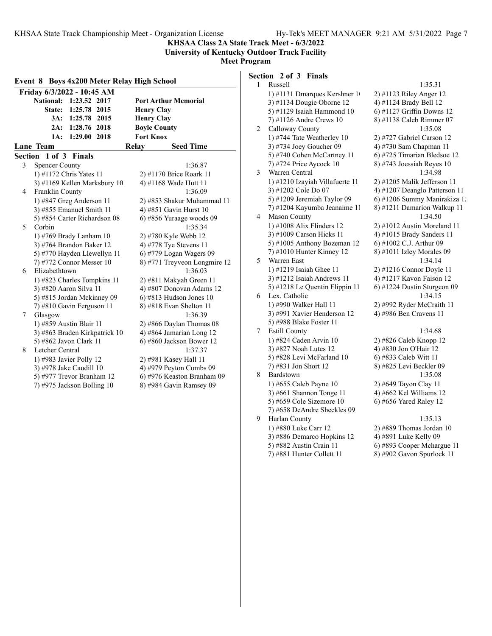**KHSAA Class 2A State Track Meet - 6/3/2022 University of Kentucky Outdoor Track Facility**

**Meet Program**

| Event 8 Boys 4x200 Meter Relay High School |                              |  |  |  |
|--------------------------------------------|------------------------------|--|--|--|
| Friday 6/3/2022 - 10:45 AM                 |                              |  |  |  |
| National: 1:23.52 2017                     | <b>Port Arthur Memorial</b>  |  |  |  |
| State: 1:25.78 2015                        | <b>Henry Clay</b>            |  |  |  |
| 3A: 1:25.78 2015                           | <b>Henry Clay</b>            |  |  |  |
| 2A: 1:28.76 2018                           | <b>Boyle County</b>          |  |  |  |
| 1:29.00 2018<br>1A:                        | <b>Fort Knox</b>             |  |  |  |
| Lane Team                                  | <b>Seed Time</b><br>Relay    |  |  |  |
| Section 1 of 3 Finals                      |                              |  |  |  |
| 3<br><b>Spencer County</b>                 | 1:36.87                      |  |  |  |
| 1) #1172 Chris Yates 11                    | 2) #1170 Brice Roark 11      |  |  |  |
| 3) #1169 Kellen Marksbury 10               | 4) #1168 Wade Hutt 11        |  |  |  |
| Franklin County<br>4                       | 1:36.09                      |  |  |  |
| 1) #847 Greg Anderson 11                   | 2) #853 Shakur Muhammad 11   |  |  |  |
| 3) #855 Emanuel Smith 11                   | 4) #851 Gavin Hurst 10       |  |  |  |
| 5) #854 Carter Richardson 08               | 6) #856 Yuraage woods 09     |  |  |  |
| 5<br>Corbin                                | 1:35.34                      |  |  |  |
| 1) #769 Brady Lanham 10                    | 2) #780 Kyle Webb 12         |  |  |  |
| 3) #764 Brandon Baker 12                   | 4) #778 Tye Stevens 11       |  |  |  |
| 5) #770 Hayden Llewellyn 11                | 6) #779 Logan Wagers 09      |  |  |  |
| 7) #772 Connor Messer 10                   | 8) #771 Treyveon Longmire 12 |  |  |  |
| Elizabethtown<br>6                         | 1:36.03                      |  |  |  |
| 1) #823 Charles Tompkins 11                | 2) #811 Makyah Green 11      |  |  |  |
| 3) #820 Aaron Silva 11                     | 4) #807 Donovan Adams 12     |  |  |  |
| 5) #815 Jordan Mckinney 09                 | $6$ ) #813 Hudson Jones 10   |  |  |  |
| 7) #810 Gavin Ferguson 11                  | 8) #818 Evan Shelton 11      |  |  |  |
| Glasgow<br>7                               | 1:36.39                      |  |  |  |
| 1) #859 Austin Blair 11                    | 2) #866 Daylan Thomas $08$   |  |  |  |
| 3) #863 Braden Kirkpatrick 10              | 4) #864 Jamarian Long 12     |  |  |  |
| 5) #862 Javon Clark 11                     | 6) #860 Jackson Bower 12     |  |  |  |
| 8<br>Letcher Central                       | 1:37.37                      |  |  |  |
| 1) #983 Javier Polly 12                    | 2) #981 Kasey Hall 11        |  |  |  |
| 3) #978 Jake Caudill 10                    | 4) #979 Peyton Combs 09      |  |  |  |
| 5) #977 Trevor Branham 12                  | 6) #976 Keaston Branham 09   |  |  |  |
| 7) #975 Jackson Bolling 10                 | 8) #984 Gavin Ramsey 09      |  |  |  |
|                                            |                              |  |  |  |

## **Section 2 of 3 Finals**

| 1 | Russell                         | 1:35.31                       |
|---|---------------------------------|-------------------------------|
|   | 1) #1131 Dmarques Kershner 1    | 2) #1123 Riley Anger 12       |
|   | 3) #1134 Dougie Oborne 12       | 4) #1124 Brady Bell 12        |
|   | 5) #1129 Isaiah Hammond 10      | 6) #1127 Griffin Downs 12     |
|   | 7) #1126 Andre Crews 10         | 8) #1138 Caleb Rimmer 07      |
| 2 | Calloway County                 | 1:35.08                       |
|   | 1) #744 Tate Weatherley 10      | 2) #727 Gabriel Carson 12     |
|   | 3) #734 Joey Goucher 09         | 4) #730 Sam Chapman 11        |
|   | 5) #740 Cohen McCartney 11      | 6) #725 Timarian Bledsoe 12   |
|   | 7) #724 Price Aycock 10         | 8) #743 Joessiah Reyes 10     |
| 3 | Warren Central                  | 1:34.98                       |
|   | 1) #1210 Izayiah Villafuerte 11 | 2) #1205 Malik Jefferson 11   |
|   | 3) #1202 Cole Do 07             | 4) #1207 Deanglo Patterson 11 |
|   | 5) #1209 Jeremiah Taylor 09     | 6) #1206 Summy Manirakiza 1.  |
|   | 7) #1204 Kayumba Jeanaime 11    | 8) #1211 Damarion Walkup 11   |
| 4 | <b>Mason County</b>             | 1:34.50                       |
|   | 1) #1008 Alix Flinders 12       | 2) #1012 Austin Moreland 11   |
|   | 3) #1009 Carson Hicks 11        | 4) #1015 Brady Sanders 11     |
|   | 5) #1005 Anthony Bozeman 12     | 6) #1002 C.J. Arthur 09       |
|   | 7) #1010 Hunter Kinney 12       | 8) #1011 Izley Morales 09     |
| 5 | Warren East                     | 1:34.14                       |
|   | 1) #1219 Isaiah Ghee 11         | $2)$ #1216 Connor Doyle 11    |
|   | 3) #1212 Isaiah Andrews 11      | 4) #1217 Kavon Faison 12      |
|   | 5) #1218 Le Quentin Flippin 11  | 6) #1224 Dustin Sturgeon 09   |
| 6 | Lex. Catholic                   | 1:34.15                       |
|   | 1) #990 Walker Hall 11          | 2) #992 Ryder McCraith 11     |
|   | 3) #991 Xavier Henderson 12     | 4) #986 Ben Cravens 11        |
|   | 5) #988 Blake Foster 11         |                               |
| 7 | <b>Estill County</b>            | 1:34.68                       |
|   | 1) #824 Caden Arvin 10          | 2) #826 Caleb Knopp 12        |
|   | 3) #827 Noah Lutes 12           | 4) #830 Jon O'Hair 12         |
|   | 5) #828 Levi McFarland 10       | 6) #833 Caleb Witt 11         |
|   | 7) #831 Jon Short 12            | 8) #825 Levi Beckler 09       |
| 8 | Bardstown                       | 1:35.08                       |
|   | 1) #655 Caleb Payne 10          | 2) #649 Tayon Clay 11         |
|   | 3) #661 Shannon Tonge 11        | 4) #662 Kel Williams 12       |
|   | 5) #659 Cole Sizemore 10        | 6) #656 Yared Raley 12        |
|   | 7) #658 DeAndre Sheckles 09     |                               |
| 9 | Harlan County                   | 1:35.13                       |
|   | 1) #880 Luke Carr 12            | 2) #889 Thomas Jordan 10      |
|   | 3) #886 Demarco Hopkins 12      | 4) #891 Luke Kelly 09         |
|   | 5) #882 Austin Crain 11         | 6) #893 Cooper Mchargue 11    |
|   | 7) #881 Hunter Collett 11       | 8) #902 Gavon Spurlock 11     |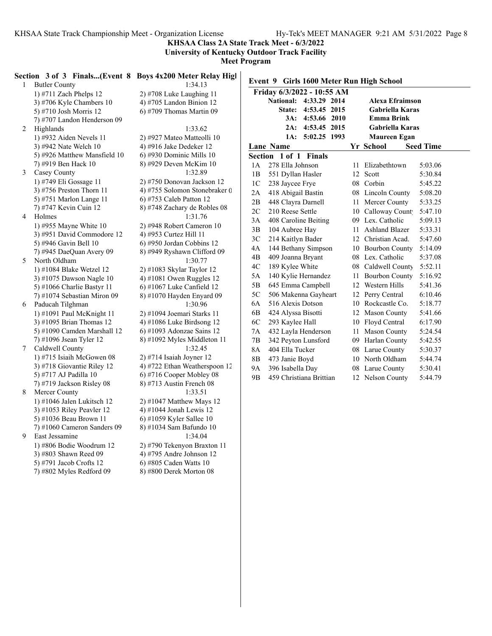**KHSAA Class 2A State Track Meet - 6/3/2022**

**University of Kentucky Outdoor Track Facility**

|   | Section 3 of 3 Finals(Event 8 Boys 4x200 Meter Relay High |                                                      |                |                            |                     |    |                                          |                  |
|---|-----------------------------------------------------------|------------------------------------------------------|----------------|----------------------------|---------------------|----|------------------------------------------|------------------|
| 1 | <b>Butler County</b>                                      | 1:34.13                                              |                |                            |                     |    | Event 9 Girls 1600 Meter Run High School |                  |
|   | 1) #711 Zach Phelps 12                                    | $2)$ #708 Luke Laughing 11                           |                | Friday 6/3/2022 - 10:55 AM |                     |    |                                          |                  |
|   | 3) #706 Kyle Chambers $10$                                | 4) #705 Landon Binion $12$                           |                | National: 4:33.29 2014     |                     |    | Alexa Efraimson                          |                  |
|   | 5) #710 Josh Morris 12                                    | 6) #709 Thomas Martin 09                             |                |                            | State: 4:53.45 2015 |    | Gabriella Karas                          |                  |
|   | 7) #707 Landon Henderson 09                               |                                                      |                |                            | 3A: 4:53.66 2010    |    | <b>Emma Brink</b>                        |                  |
| 2 | Highlands                                                 | 1:33.62                                              |                |                            | 2A: 4:53.45 2015    |    | Gabriella Karas                          |                  |
|   | 1) #932 Aiden Nevels 11                                   | 2) #927 Mateo Matteolli 10                           |                |                            | 1A: 5:02.25 1993    |    | <b>Maureen Egan</b>                      |                  |
|   | 3) #942 Nate Welch 10                                     | 4) #916 Jake Dedeker 12                              |                | Lane Name                  |                     |    | Yr School                                | <b>Seed Time</b> |
|   | 5) #926 Matthew Mansfield 10                              | 6) #930 Dominic Mills 10                             |                | Section 1 of 1 Finals      |                     |    |                                          |                  |
|   | 7) #919 Ben Hack 10                                       | 8) #929 Deven McKim 10                               | 1A             | 278 Ella Johnson           |                     |    | 11 Elizabethtown                         | 5:03.06          |
| 3 | Casey County                                              | 1:32.89                                              | 1B             | 551 Dyllan Hasler          |                     |    | 12 Scott                                 | 5:30.84          |
|   | 1) #749 Eli Gossage 11                                    | 2) #750 Donovan Jackson 12                           | 1 <sup>C</sup> | 238 Jaycee Frye            |                     |    | 08 Corbin                                | 5:45.22          |
|   | $3)$ #756 Preston Thorn 11                                | 4) #755 Solomon Stonebraker 0                        | 2A             | 418 Abigail Bastin         |                     |    | 08 Lincoln County                        | 5:08.20          |
|   | 5) #751 Marlon Lange 11                                   | 6) #753 Caleb Patton 12                              | 2B             | 448 Clayra Darnell         |                     |    | 11 Mercer County                         | 5:33.25          |
|   | 7) #747 Kevin Cuin 12                                     | 8) #748 Zachary de Robles 08                         | 2C             | 210 Reese Settle           |                     |    | 10 Calloway Count                        | 5:47.10          |
| 4 | Holmes                                                    | 1:31.76                                              | 3A             | 408 Caroline Beiting       |                     |    | 09 Lex. Catholic                         | 5:09.13          |
|   | 1) #955 Mayne White 10                                    | 2) #948 Robert Cameron 10                            | 3B             | 104 Aubree Hay             |                     |    | 11 Ashland Blazer                        | 5:33.31          |
|   | 3) #951 David Commodore 12                                | 4) #953 Curtez Hill 11                               |                |                            |                     |    |                                          |                  |
|   | 5) #946 Gavin Bell 10                                     | $(6)$ #950 Jordan Cobbins 12                         | 3C             | 214 Kaitlyn Bader          |                     |    | 12 Christian Acad.                       | 5:47.60          |
|   | 7) #945 DaeQuan Avery 09                                  | 8) #949 Ryshawn Clifford 09                          | 4A             | 144 Bethany Simpson        |                     |    | 10 Bourbon County                        | 5:14.09          |
| 5 | North Oldham                                              | 1:30.77                                              | 4B             | 409 Joanna Bryant          |                     |    | 08 Lex. Catholic                         | 5:37.08          |
|   | 1) #1084 Blake Wetzel 12                                  | 2) #1083 Skylar Taylor 12                            | 4C             | 189 Kylee White            |                     |    | 08 Caldwell County                       | 5:52.11          |
|   | 3) #1075 Dawson Nagle 10                                  | 4) #1081 Owen Ruggles $12$                           | 5A             | 140 Kylie Hernandez        |                     |    | 11 Bourbon County                        | 5:16.92          |
|   | 5) #1066 Charlie Bastyr 11                                | $(6)$ #1067 Luke Canfield 12                         | 5B             | 645 Emma Campbell          |                     |    | 12 Western Hills                         | 5:41.36          |
|   | 7) #1074 Sebastian Miron 09                               | 8) #1070 Hayden Enyard 09                            | 5C             | 506 Makenna Gayheart       |                     |    | 12 Perry Central                         | 6:10.46          |
| 6 | Paducah Tilghman                                          | 1:30.96                                              | 6A             | 516 Alexis Dotson          |                     |    | 10 Rockcastle Co.                        | 5:18.77          |
|   | 1) #1091 Paul McKnight 11                                 | 2) #1094 Joemari Starks 11                           | 6 <sub>B</sub> | 424 Alyssa Bisotti         |                     |    | 12 Mason County                          | 5:41.66          |
|   | 3) #1095 Brian Thomas $12$                                | 4) #1086 Luke Birdsong 12                            | 6C             | 293 Kaylee Hall            |                     |    | 10 Floyd Central                         | 6:17.90          |
|   | 5) #1090 Camden Marshall 12                               | $6)$ #1093 Adonzae Sains 12                          | 7A             | 432 Layla Henderson        |                     |    | 11 Mason County                          | 5:24.54          |
|   | 7) #1096 Jsean Tyler 12                                   | 8) #1092 Myles Middleton 11                          | 7B             | 342 Peyton Lunsford        |                     | 09 | Harlan County                            | 5:42.55          |
| 7 | Caldwell County                                           | 1:32.45                                              | 8A             | 404 Ella Tucker            |                     |    | 08 Larue County                          | 5:30.37          |
|   | 1) #715 Isiaih McGowen 08                                 | $2)$ #714 Isaiah Joyner 12                           | 8B             | 473 Janie Boyd             |                     |    | 10 North Oldham                          | 5:44.74          |
|   | 3) #718 Giovantie Riley 12                                | 4) #722 Ethan Weatherspoon 12                        | 9A             | 396 Isabella Day           |                     |    | 08 Larue County                          | 5:30.41          |
|   | 5) #717 AJ Padilla 10                                     | $(6)$ #716 Cooper Mobley 08                          | 9 <sub>B</sub> | 459 Christiana Brittian    |                     |    | 12 Nelson County                         | 5:44.79          |
|   | 7) #719 Jackson Risley 08                                 | $(8)$ #713 Austin French 08                          |                |                            |                     |    |                                          |                  |
| 8 | Mercer County                                             | 1:33.51                                              |                |                            |                     |    |                                          |                  |
|   | $1)$ #1046 Jalen Lukitsch 12                              | 2) #1047 Matthew Mays 12                             |                |                            |                     |    |                                          |                  |
|   | 3) #1053 Riley Peavler 12                                 | 4) #1044 Jonah Lewis 12                              |                |                            |                     |    |                                          |                  |
|   | 5) #1036 Beau Brown 11                                    | $(6)$ #1059 Kyler Sallee 10                          |                |                            |                     |    |                                          |                  |
|   | $(7)$ #1060 Cameron Sanders 09                            | 8) #1034 Sam Bafundo 10                              |                |                            |                     |    |                                          |                  |
| 9 | East Jessamine                                            | 1:34.04                                              |                |                            |                     |    |                                          |                  |
|   | 1) #806 Bodie Woodrum 12                                  | 2) #790 Tekenyon Braxton 11                          |                |                            |                     |    |                                          |                  |
|   |                                                           |                                                      |                |                            |                     |    |                                          |                  |
|   | 3) #803 Shawn Reed 09                                     | 4) #795 Andre Johnson 12                             |                |                            |                     |    |                                          |                  |
|   | 5) #791 Jacob Crofts 12<br>$(7)$ #802 Myles Redford 09    | $(6)$ #805 Caden Watts 10<br>8) #800 Derek Morton 08 |                |                            |                     |    |                                          |                  |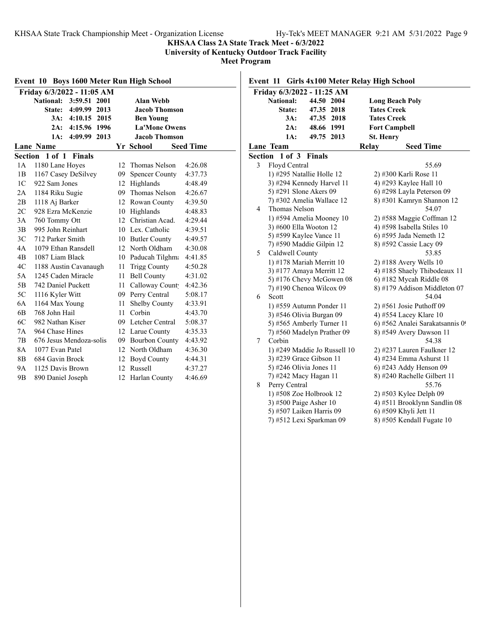#### **KHSAA Class 2A State Track Meet - 6/3/2022**

**University of Kentucky Outdoor Track Facility**

**Meet Program**

|                | <b>Boys 1600 Meter Run High School</b><br>Event 10 |    |                       |                  |  |  |  |
|----------------|----------------------------------------------------|----|-----------------------|------------------|--|--|--|
|                | Friday 6/3/2022 - 11:05 AM                         |    |                       |                  |  |  |  |
|                | National: 3:59.51 2001                             |    | <b>Alan Webb</b>      |                  |  |  |  |
|                | State:<br>4:09.99<br>2013                          |    | <b>Jacob Thomson</b>  |                  |  |  |  |
|                | 4:10.15 2015<br>3A:                                |    | <b>Ben Young</b>      |                  |  |  |  |
|                | 4:15.96 1996<br>2A:                                |    | <b>La'Mone Owens</b>  |                  |  |  |  |
|                | 4:09.99<br>2013<br>1A:                             |    | <b>Jacob Thomson</b>  |                  |  |  |  |
|                | <b>Lane Name</b>                                   |    | Yr School             | <b>Seed Time</b> |  |  |  |
| Section        | 1 of 1<br><b>Finals</b>                            |    |                       |                  |  |  |  |
| 1A             | 1180 Lane Hoyes                                    | 12 | Thomas Nelson         | 4:26.08          |  |  |  |
| 1B             | 1167 Casey DeSilvey                                | 09 | <b>Spencer County</b> | 4:37.73          |  |  |  |
| 1 <sup>C</sup> | 922 Sam Jones                                      | 12 | Highlands             | 4:48.49          |  |  |  |
| 2A             | 1184 Riku Sugie                                    | 09 | Thomas Nelson         | 4:26.67          |  |  |  |
| 2B             | 1118 Aj Barker                                     |    | 12 Rowan County       | 4:39.50          |  |  |  |
| 2C             | 928 Ezra McKenzie                                  | 10 | Highlands             | 4:48.83          |  |  |  |
| 3A             | 760 Tommy Ott                                      | 12 | Christian Acad.       | 4:29.44          |  |  |  |
| 3B             | 995 John Reinhart                                  |    | 10 Lex. Catholic      | 4:39.51          |  |  |  |
| 3C             | 712 Parker Smith                                   | 10 | <b>Butler County</b>  | 4:49.57          |  |  |  |
| 4A             | 1079 Ethan Ransdell                                | 12 | North Oldham          | 4:30.08          |  |  |  |
| 4B             | 1087 Liam Black                                    | 10 | Paducah Tilghma       | 4:41.85          |  |  |  |
| 4C             | 1188 Austin Cavanaugh                              | 11 | <b>Trigg County</b>   | 4:50.28          |  |  |  |
| 5A             | 1245 Caden Miracle                                 | 11 | <b>Bell County</b>    | 4:31.02          |  |  |  |
| 5Β             | 742 Daniel Puckett                                 | 11 | Calloway Count        | 4:42.36          |  |  |  |
| 5C             | 1116 Kyler Witt                                    |    | 09 Perry Central      | 5:08.17          |  |  |  |
| 6A             | 1164 Max Young                                     | 11 | Shelby County         | 4:33.91          |  |  |  |
| 6 <sub>B</sub> | 768 John Hail                                      | 11 | Corbin                | 4:43.70          |  |  |  |
| 6C             | 982 Nathan Kiser                                   | 09 | Letcher Central       | 5:08.37          |  |  |  |
| 7A             | 964 Chase Hines                                    |    | 12 Larue County       | 4:35.33          |  |  |  |
| 7B             | 676 Jesus Mendoza-solis                            |    | 09 Bourbon County     | 4:43.92          |  |  |  |
| 8A             | 1077 Evan Patel                                    | 12 | North Oldham          | 4:36.30          |  |  |  |
| 8B             | 684 Gavin Brock                                    | 12 | <b>Boyd County</b>    | 4:44.31          |  |  |  |
| <b>9A</b>      | 1125 Davis Brown                                   | 12 | Russell               | 4:37.27          |  |  |  |
| 9 <sub>B</sub> | 890 Daniel Joseph                                  | 12 | Harlan County         | 4:46.69          |  |  |  |

## **Event 11 Girls 4x100 Meter Relay High School**

|         |                         | Friday 6/3/2022 - 11:25 AM   |                    |                                 |
|---------|-------------------------|------------------------------|--------------------|---------------------------------|
|         | National:               | 44.50 2004                   |                    | <b>Long Beach Poly</b>          |
|         | <b>State:</b>           | 47.35 2018                   | <b>Tates Creek</b> |                                 |
|         | 3A:                     | 47.35 2018                   | <b>Tates Creek</b> |                                 |
|         | $2A$ :                  | 48.66 1991                   |                    | <b>Fort Campbell</b>            |
|         | 1A:                     | 49.75 2013                   | <b>St. Henry</b>   |                                 |
|         | Lane Team               |                              | Relay              | <b>Seed Time</b>                |
| Section | 1 of 3                  | <b>Finals</b>                |                    |                                 |
| 3       | Floyd Central           |                              |                    | 55.69                           |
|         |                         | 1) #295 Natallie Holle 12    |                    | 2) #300 Karli Rose 11           |
|         |                         | 3) #294 Kennedy Harvel 11    |                    | 4) #293 Kaylee Hall 10          |
|         | 5) #291 Slone Akers 09  |                              |                    | 6) #298 Layla Peterson 09       |
|         |                         | 7) #302 Amelia Wallace 12    |                    | 8) #301 Kamryn Shannon 12       |
| 4       | Thomas Nelson           |                              |                    | 54.07                           |
|         |                         | 1) #594 Amelia Mooney 10     |                    | 2) #588 Maggie Coffman 12       |
|         | 3) #600 Ella Wooton 12  |                              |                    | 4) #598 Isabella Stiles 10      |
|         |                         | 5) #599 Kaylee Vance 11      |                    | 6) #595 Jada Nemeth 12          |
|         |                         | 7) #590 Maddie Gilpin 12     |                    | 8) #592 Cassie Lacy 09          |
| 5       | Caldwell County         |                              |                    | 53.85                           |
|         |                         | 1) #178 Mariah Merritt 10    |                    | $2)$ #188 Avery Wells 10        |
|         |                         | 3) #177 Amaya Merritt 12     |                    | 4) #185 Shaely Thibodeaux 11    |
|         |                         | 5) #176 Chevy McGowen 08     |                    | 6) #182 Mycah Riddle 08         |
|         |                         | 7) #190 Chenoa Wilcox 09     |                    | 8) #179 Addison Middleton 07    |
| 6       | Scott                   |                              |                    | 54.04                           |
|         |                         | 1) #559 Autumn Ponder 11     |                    | $2)$ #561 Josie Puthoff 09      |
|         |                         | 3) #546 Olivia Burgan 09     |                    | 4) #554 Lacey Klare 10          |
|         |                         | 5) #565 Amberly Turner 11    |                    | 6) #562 Analei Sarakatsannis 09 |
|         |                         | 7) #560 Madelyn Prather 09   |                    | 8) #549 Avery Dawson 11         |
| 7       | Corbin                  |                              |                    | 54.38                           |
|         |                         | 1) #249 Maddie Jo Russell 10 |                    | 2) #237 Lauren Faulkner 12      |
|         |                         | 3) #239 Grace Gibson 11      |                    | 4) #234 Emma Ashurst 11         |
|         | 5) #246 Olivia Jones 11 |                              |                    | 6) #243 Addy Henson 09          |
|         |                         | 7) #242 Macy Hagan 11        |                    | 8) #240 Rachelle Gilbert 11     |
| 8       | Perry Central           |                              |                    | 55.76                           |
|         |                         | 1) #508 Zoe Holbrook 12      |                    | 2) #503 Kylee Delph 09          |
|         | 3) #500 Paige Asher 10  |                              |                    | 4) #511 Brooklynn Sandlin 08    |
|         |                         | 5) #507 Laiken Harris 09     |                    | 6) #509 Khyli Jett 11           |
|         |                         | 7) #512 Lexi Sparkman 09     |                    | 8) #505 Kendall Fugate 10       |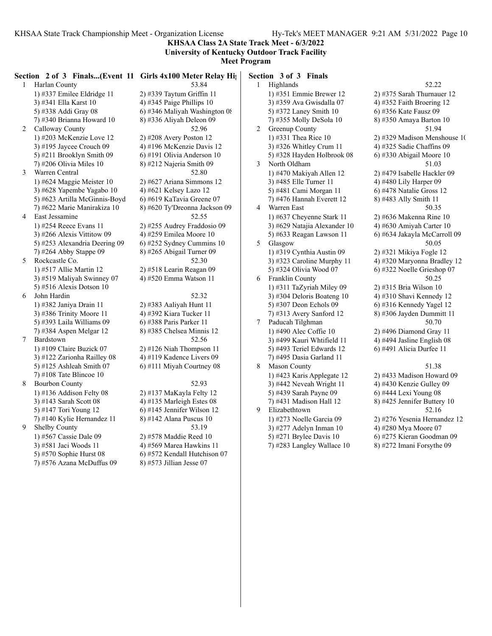**KHSAA Class 2A State Track Meet - 6/3/2022 University of Kentucky Outdoor Track Facility**

|   |                               | Section 2 of 3 Finals(Event 11 Girls 4x100 Meter Relay Hights) |                | Section 3 of 3 Finals        |                              |
|---|-------------------------------|----------------------------------------------------------------|----------------|------------------------------|------------------------------|
|   | 1 Harlan County               | 53.84                                                          |                | 1 Highlands                  | 52.22                        |
|   | 1) #337 Emilee Eldridge 11    | 2) #339 Taytum Griffin 11                                      |                | 1) #351 Emmie Brewer 12      | 2) #375 Sarah Thurnauer 12   |
|   | 3) #341 Ella Karst 10         | 4) #345 Paige Phillips 10                                      |                | 3) #359 Ava Gwisdalla 07     | 4) #352 Faith Broering 12    |
|   | 5) #338 Addi Gray 08          | 6) #346 Maliyah Washington 08                                  |                | 5) #372 Laney Smith 10       | 6) #356 Kate Fausz 09        |
|   | 7) #340 Brianna Howard 10     | 8) #336 Aliyah Deleon 09                                       |                | 7) #355 Molly DeSola 10      | 8) #350 Amaya Barton 10      |
| 2 | Calloway County               | 52.96                                                          | 2              | Greenup County               | 51.94                        |
|   | 1) #203 McKenzie Love 12      | $2)$ #208 Avery Poston 12                                      |                | 1) #331 Thea Rice 10         | 2) #329 Madison Menshouse 10 |
|   | 3) #195 Jaycee Crouch $09$    | 4) #196 McKenzie Davis 12                                      |                | 3) #326 Whitley Crum 11      | 4) #325 Sadie Chaffins 09    |
|   | 5) #211 Brooklyn Smith 09     | 6) #191 Olivia Anderson 10                                     |                | 5) #328 Hayden Holbrook 08   | 6) #330 Abigail Moore 10     |
|   | 7) #206 Olivia Miles 10       | 8) #212 Najeria Smith 09                                       | 3              | North Oldham                 | 51.03                        |
| 3 | Warren Central                | 52.80                                                          |                | 1) #470 Makiyah Allen 12     | 2) #479 Isabelle Hackler 09  |
|   | 1) #624 Maggie Meister 10     | 2) #627 Ariana Simmons 12                                      |                | 3) #485 Elle Turner 11       | 4) #480 Lily Harper 09       |
|   | 3) #628 Yapembe Yagabo 10     | 4) #621 Kelsey Lazo 12                                         |                | 5) #481 Cami Morgan 11       | 6) #478 Natalie Gross 12     |
|   | 5) #623 Artilla McGinnis-Boyd | 6) #619 KaTavia Greene 07                                      |                | 7) #476 Hannah Everett 12    | 8) #483 Ally Smith 11        |
|   | 7) #622 Marie Manirakiza 10   | 8) #620 Ty'Dreonna Jackson 09                                  | 4              | Warren East                  | 50.35                        |
| 4 | East Jessamine                | 52.55                                                          |                | 1) #637 Cheyenne Stark 11    | 2) #636 Makenna Rine 10      |
|   | 1) #254 Reece Evans 11        | 2) #255 Audrey Fraddosio 09                                    |                | 3) #629 Natajia Alexander 10 | 4) #630 Amiyah Carter 10     |
|   | 3) #266 Alexis Vittitow 09    | 4) #259 Emilea Moore 10                                        |                | 5) #633 Reagan Lawson 11     | 6) #634 Jakayla McCarroll 09 |
|   | 5) #253 Alexandria Deering 09 | 6) #252 Sydney Cummins $10$                                    | 5 <sup>1</sup> | Glasgow                      | 50.05                        |
|   | 7) #264 Abby Stappe 09        | 8) #265 Abigail Turner 09                                      |                | 1) #319 Cynthia Austin 09    | 2) #321 Mikiya Fogle 12      |
| 5 | Rockcastle Co.                | 52.30                                                          |                | 3) #323 Caroline Murphy 11   | 4) #320 Maryonna Bradley 12  |
|   | 1) #517 Allie Martin 12       | 2) #518 Learin Reagan 09                                       |                | 5) #324 Olivia Wood 07       | 6) #322 Noelle Grieshop 07   |
|   | 3) #519 Maliyah Swinney 07    | 4) #520 Emma Watson 11                                         | 6              | Franklin County              | 50.25                        |
|   | 5) #516 Alexis Dotson $10$    |                                                                |                | 1) #311 TaZyriah Miley 09    | 2) #315 Bria Wilson 10       |
| 6 | John Hardin                   | 52.32                                                          |                | 3) #304 Deloris Boateng 10   | 4) #310 Shavi Kennedy 12     |
|   | 1) #382 Janiya Drain 11       | 2) #383 Aaliyah Hunt 11                                        |                | 5) #307 Deon Echols 09       | 6) #316 Kennedy Yagel 12     |
|   | 3) #386 Trinity Moore 11      | 4) #392 Kiara Tucker 11                                        |                | 7) #313 Avery Sanford 12     | 8) #306 Jayden Dummitt 11    |
|   | 5) #393 Laila Williams 09     | 6) #388 Paris Parker 11                                        | 7              | Paducah Tilghman             | 50.70                        |
|   | 7) #384 Aspen Melgar 12       | 8) #385 Chelsea Minnis 12                                      |                | 1) #490 Alec Coffie 10       | 2) #496 Diamond Gray 11      |
| 7 | Bardstown                     | 52.56                                                          |                | 3) #499 Kauri Whtifield 11   | 4) #494 Jasline English 08   |
|   | 1) #109 Claire Buzick $07$    | $2)$ #126 Niah Thompson 11                                     |                | 5) #493 Teriel Edwards 12    | 6) #491 Alicia Durfee 11     |
|   | 3) #122 Zarionha Railley 08   | 4) #119 Kadence Livers 09                                      |                | 7) #495 Dasia Garland 11     |                              |
|   | 5) #125 Ashleah Smith $07$    | 6) #111 Miyah Courtney 08                                      | 8              | <b>Mason County</b>          | 51.38                        |
|   | 7) #108 Tate Blincoe $10$     |                                                                |                | 1) #423 Karis Applegate 12   | 2) #433 Madison Howard 09    |
| 8 | <b>Bourbon County</b>         | 52.93                                                          |                | 3) #442 Neveah Wright 11     | 4) #430 Kenzie Gulley 09     |
|   | 1) #136 Addison Felty 08      | 2) #137 MaKayla Felty 12                                       |                | 5) #439 Sarah Payne 09       | 6) #444 Lexi Young 08        |
|   | 3) #143 Sarah Scott 08        | 4) #135 Marleigh Estes 08                                      |                | 7) #431 Madison Hall 12      | 8) #425 Jennifer Buttery 10  |
|   | 5) #147 Tori Young 12         | $6$ ) #145 Jennifer Wilson 12                                  | 9              | Elizabethtown                | 52.16                        |
|   | 7) #140 Kylie Hernandez 11    | 8) #142 Alana Puscus 10                                        |                | 1) #273 Noelle Garcia 09     | 2) #276 Yesenia Hernandez 12 |
| 9 | Shelby County                 | 53.19                                                          |                | 3) #277 Adelyn Inman 10      | 4) #280 Mya Moore 07         |
|   | 1) #567 Cassie Dale 09        | 2) #578 Maddie Reed 10                                         |                | 5) #271 Brylee Davis 10      | 6) #275 Kieran Goodman 09    |
|   | 3) #581 Jaci Woods 11         | 4) #569 Marea Hawkins 11                                       |                | 7) #283 Langley Wallace 10   | 8) #272 Imani Forsythe 09    |
|   | 5) #570 Sophie Hurst 08       | 6) #572 Kendall Hutchison 07                                   |                |                              |                              |
|   | 7) #576 Azana McDuffus 09     | 8) #573 Jillian Jesse 07                                       |                |                              |                              |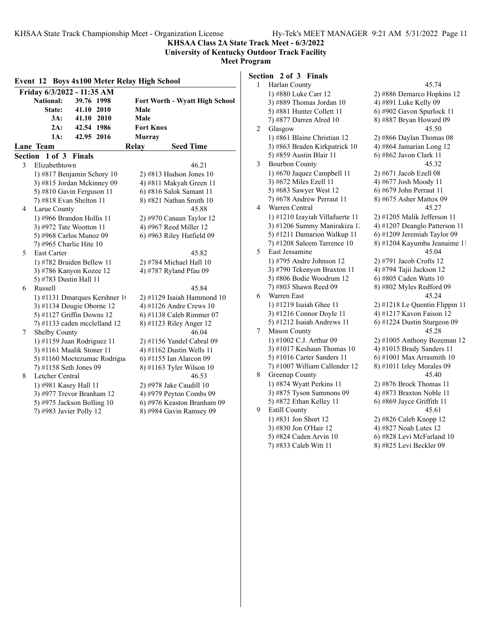**KHSAA Class 2A State Track Meet - 6/3/2022**

#### **University of Kentucky Outdoor Track Facility Meet Program**

| vieet Program |  |
|---------------|--|
|               |  |

|   | Friday 6/3/2022 - 11:35 AM     |                                       |
|---|--------------------------------|---------------------------------------|
|   | <b>National:</b><br>39.76 1998 | <b>Fort Worth - Wyatt High School</b> |
|   | 41.10 2010<br>State:           | Male                                  |
|   | 3A:<br>41.10 2010              | Male                                  |
|   | 2A:<br>42.54 1986              | <b>Fort Knox</b>                      |
|   | 42.95 2016<br>1A:              | <b>Murray</b>                         |
|   | <b>Lane Team</b>               | <b>Relay</b><br><b>Seed Time</b>      |
|   | Section 1 of 3 Finals          |                                       |
| 3 | Elizabethtown                  | 46.21                                 |
|   | 1) #817 Benjamin Schory 10     | $2)$ #813 Hudson Jones 10             |
|   | 3) #815 Jordan Mckinney 09     | 4) #811 Makyah Green 11               |
|   | 5) #810 Gavin Ferguson 11      | 6) #816 Salok Samant 11               |
|   | 7) #818 Evan Shelton 11        | 8) #821 Nathan Smith 10               |
| 4 | Larue County                   | 45.88                                 |
|   | 1) #966 Brandon Hollis 11      | 2) #970 Canaan Taylor 12              |
|   | 3) #972 Tate Wootton 11        | 4) #967 Reed Miller 12                |
|   | 5) #968 Carlos Munoz 09        | 6) #963 Riley Hatfield 09             |
|   | 7) #965 Charlie Hite 10        |                                       |
| 5 | East Carter                    | 45.82                                 |
|   | 1) #782 Braiden Bellew 11      | 2) #784 Michael Hall 10               |
|   | 3) #786 Kanyon Kozee 12        | 4) #787 Ryland Pfau 09                |
|   | 5) #783 Dustin Hall 11         |                                       |
| 6 | Russell                        | 45.84                                 |
|   | 1) #1131 Dmarques Kershner 1   | $2)$ #1129 Isaiah Hammond 10          |
|   | 3) #1134 Dougie Oborne 12      | 4) #1126 Andre Crews $10$             |
|   | 5) #1127 Griffin Downs 12      | 6) #1138 Caleb Rimmer 07              |
|   | 7) #1133 caden mcclelland 12   | 8) #1123 Riley Anger 12               |
| 7 | Shelby County                  | 46.04                                 |
|   | 1) #1159 Juan Rodriguez 11     | 2) #1156 Yandel Cabral 09             |
|   | 3) #1161 Maalik Stoner 11      | 4) #1162 Dustin Wells 11              |
|   | 5) #1160 Moctezumac Rodrigue   | 6) #1155 Ian Alarcon 09               |
|   | 7) #1158 Seth Jones 09         | 8) #1163 Tyler Wilson 10              |
| 8 | Letcher Central                | 46.53                                 |
|   | 1) #981 Kasey Hall 11          | 2) #978 Jake Caudill 10               |
|   | 3) #977 Trevor Branham 12      | 4) #979 Peyton Combs 09               |
|   | 5) #975 Jackson Bolling 10     | 6) #976 Keaston Branham 09            |
|   | 7) #983 Javier Polly 12        | 8) #984 Gavin Ramsey 09               |

| Section 2 of 3 Finals |  |  |  |  |
|-----------------------|--|--|--|--|
|-----------------------|--|--|--|--|

| 1 | Harlan County                   | 45.74                          |
|---|---------------------------------|--------------------------------|
|   | 1) #880 Luke Carr 12            | 2) #886 Demarco Hopkins 12     |
|   | 3) #889 Thomas Jordan 10        | 4) #891 Luke Kelly 09          |
|   | 5) #881 Hunter Collett 11       | 6) #902 Gavon Spurlock 11      |
|   | 7) #877 Darren Alred 10         | 8) #887 Bryan Howard 09        |
| 2 | Glasgow                         | 45.50                          |
|   | 1) #861 Blaine Christian 12     | 2) #866 Daylan Thomas 08       |
|   | 3) #863 Braden Kirkpatrick 10   | 4) #864 Jamarian Long 12       |
|   | 5) #859 Austin Blair 11         | 6) #862 Javon Clark 11         |
| 3 | <b>Bourbon County</b>           | 45.32                          |
|   | 1) #670 Jaquez Campbell 11      | 2) #671 Jacob Ezell 08         |
|   | 3) #672 Miles Ezell 11          | 4) #677 Josh Moody 11          |
|   | 5) #683 Sawyer West 12          | 6) #679 John Perraut 11        |
|   | 7) #678 Andrew Perraut 11       | 8) #675 Asher Mattox 09        |
| 4 | Warren Central                  | 45.27                          |
|   | 1) #1210 Izayiah Villafuerte 11 | 2) #1205 Malik Jefferson 11    |
|   | 3) #1206 Summy Manirakiza 1.    | 4) #1207 Deanglo Patterson 11  |
|   | 5) #1211 Damarion Walkup 11     | 6) #1209 Jeremiah Taylor 09    |
|   | $(7)$ #1208 Saleem Tarrence 10  | 8) #1204 Kayumba Jeanaime 11   |
| 5 | East Jessamine                  | 45.04                          |
|   | 1) #795 Andre Johnson 12        | 2) #791 Jacob Crofts 12        |
|   | 3) #790 Tekenyon Braxton 11     | 4) #794 Tajii Jackson 12       |
|   | 5) #806 Bodie Woodrum 12        | 6) #805 Caden Watts 10         |
|   | 7) #803 Shawn Reed 09           | 8) #802 Myles Redford 09       |
| 6 | Warren East                     | 45.24                          |
|   | 1) #1219 Isaiah Ghee 11         | 2) #1218 Le Quentin Flippin 11 |
|   | 3) #1216 Connor Doyle 11        | 4) #1217 Kavon Faison 12       |
|   | 5) #1212 Isaiah Andrews 11      | 6) #1224 Dustin Sturgeon 09    |
| 7 | Mason County                    | 45.28                          |
|   | 1) #1002 C.J. Arthur 09         | 2) #1005 Anthony Bozeman 12    |
|   | 3) #1017 Keshaun Thomas $10$    | 4) #1015 Brady Sanders 11      |
|   | 5) #1016 Carter Sanders 11      | $6$ ) #1001 Max Arrasmith 10   |
|   | 7) #1007 William Callender 12   | 8) #1011 Izley Morales 09      |
| 8 | Greenup County                  | 45.40                          |
|   | 1) #874 Wyatt Perkins 11        | 2) #876 Brock Thomas $11$      |
|   | 3) #875 Tyson Sammons 09        | 4) #873 Braxton Noble 11       |
|   | 5) #872 Ethan Kelley 11         | $6)$ #869 Jayce Griffith 11    |
| 9 | <b>Estill County</b>            | 45.61                          |
|   | 1) #831 Jon Short 12            | 2) #826 Caleb Knopp 12         |
|   | 3) #830 Jon O'Hair 12           | 4) #827 Noah Lutes 12          |
|   | 5) #824 Caden Arvin 10          | 6) #828 Levi McFarland 10      |
|   | 7) #833 Caleb Witt 11           | 8) #825 Levi Beckler 09        |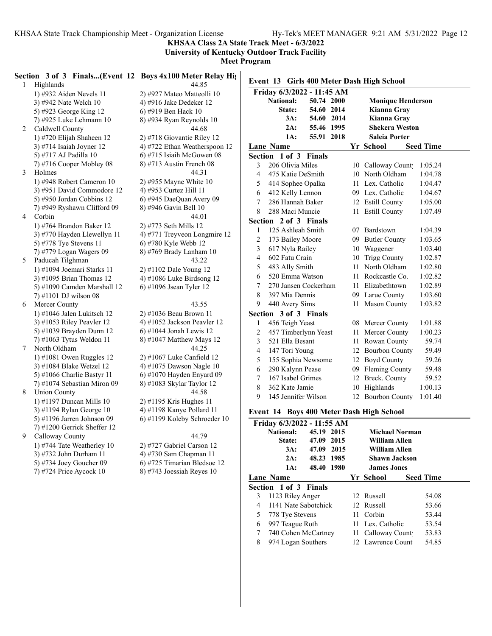**KHSAA Class 2A State Track Meet - 6/3/2022**

**University of Kentucky Outdoor Track Facility**

**Meet Program**

|                | Section 3 of 3 Finals(Event 12 Boys 4x100 Meter Relay High |                                                       |                                                                          |
|----------------|------------------------------------------------------------|-------------------------------------------------------|--------------------------------------------------------------------------|
| $\mathbf{1}$   | Highlands                                                  | 44.85                                                 | Event 13 Girls 400 Meter Dash High School                                |
|                | 1) #932 Aiden Nevels 11                                    | 2) #927 Mateo Matteolli 10                            | Friday 6/3/2022 - 11:45 AM                                               |
|                | 3) #942 Nate Welch 10                                      | 4) #916 Jake Dedeker 12                               | 50.74 2000<br><b>National:</b><br><b>Monique Henderson</b>               |
|                | 5) #923 George King 12                                     | 6) #919 Ben Hack 10                                   | 54.60 2014<br>Kianna Gray<br>State:                                      |
|                | 7) #925 Luke Lehmann 10                                    | 8) #934 Ryan Reynolds 10                              | 54.60 2014<br>3A:<br>Kianna Gray                                         |
| $\overline{2}$ | Caldwell County                                            | 44.68                                                 | 55.46 1995<br><b>Shekera Weston</b><br>2A:                               |
|                | 1) #720 Elijah Shaheen 12                                  | 2) #718 Giovantie Riley 12                            | 1A:<br>55.91 2018<br><b>Saleia Porter</b>                                |
|                | 3) #714 Isaiah Joyner 12                                   | 4) #722 Ethan Weatherspoon 12                         | Yr School<br><b>Seed Time</b><br>Lane Name                               |
|                | 5) #717 AJ Padilla 10                                      | 6) #715 Isiaih McGowen 08                             | Section 1 of 3 Finals                                                    |
|                | 7) #716 Cooper Mobley 08                                   | 8) #713 Austin French 08                              | 3<br>206 Olivia Miles<br>1:05.24<br>10 Calloway Count                    |
| 3              | Holmes                                                     | 44.31                                                 | $\overline{4}$<br>1:04.78<br>475 Katie DeSmith<br>10 North Oldham        |
|                | 1) #948 Robert Cameron 10                                  | 2) #955 Mayne White 10                                | 5<br>11 Lex. Catholic<br>1:04.47<br>414 Sophee Opalka                    |
|                | 3) #951 David Commodore 12                                 | 4) #953 Curtez Hill 11                                | 09 Lex. Catholic<br>1:04.67<br>6<br>412 Kelly Lennon                     |
|                | 5) #950 Jordan Cobbins 12                                  | 6) #945 DaeQuan Avery 09                              | $\overline{7}$<br>286 Hannah Baker<br>12 Estill County<br>1:05.00        |
|                | 7) #949 Ryshawn Clifford 09                                | 8) #946 Gavin Bell 10                                 | 8<br>288 Maci Muncie<br>11 Estill County<br>1:07.49                      |
| 4              | Corbin                                                     | 44.01                                                 | Section 2 of 3 Finals                                                    |
|                | 1) #764 Brandon Baker 12                                   | 2) #773 Seth Mills 12                                 | 125 Ashleah Smith<br>07 Bardstown<br>1:04.39<br>$\mathbf{1}$             |
|                | 3) #770 Hayden Llewellyn 11                                | 4) #771 Treyveon Longmire 12                          | $\overline{2}$<br>09 Butler County<br>1:03.65<br>173 Bailey Moore        |
|                | 5) #778 Tye Stevens 11                                     | 6) #780 Kyle Webb 12                                  | $\mathfrak{Z}$                                                           |
|                | 7) #779 Logan Wagers 09                                    | 8) #769 Brady Lanham 10                               | 617 Nyla Railey<br>10 Waggener<br>1:03.40                                |
| 5              | Paducah Tilghman                                           | 43.22                                                 | $\overline{\mathbf{4}}$<br>602 Fatu Crain<br>10 Trigg County<br>1:02.87  |
|                | 1) #1094 Joemari Starks 11                                 | 2) #1102 Dale Young 12                                | 5<br>11 North Oldham<br>1:02.80<br>483 Ally Smith                        |
|                | 3) #1095 Brian Thomas 12                                   | 4) #1086 Luke Birdsong 12                             | 1:02.82<br>6<br>520 Emma Watson<br>11 Rockcastle Co.                     |
|                | 5) #1090 Camden Marshall 12                                | 6) #1096 Jsean Tyler 12                               | $\boldsymbol{7}$<br>1:02.89<br>270 Jansen Cockerham<br>11 Elizabethtown  |
|                | 7) #1101 DJ wilson 08                                      |                                                       | $\,8\,$<br>1:03.60<br>397 Mia Dennis<br>09 Larue County                  |
| 6              | Mercer County                                              | 43.55                                                 | 9<br>440 Avery Sims<br>1:03.82<br>11 Mason County                        |
|                | 1) #1046 Jalen Lukitsch 12                                 | 2) #1036 Beau Brown 11                                | Section 3 of 3 Finals                                                    |
|                | 3) #1053 Riley Peavler 12                                  | 4) #1052 Jackson Peavler 12                           | 1:01.88<br>$\mathbf{1}$<br>456 Teigh Yeast<br>08 Mercer County           |
|                | 5) #1039 Brayden Dunn 12                                   | $6$ ) #1044 Jonah Lewis 12                            | $\overline{c}$<br>1:00.23<br>457 Timberlynn Yeast<br>11 Mercer County    |
|                | 7) #1063 Tytus Weldon 11                                   | 8) #1047 Matthew Mays 12                              | 3<br>521 Ella Besant<br>11 Rowan County<br>59.74                         |
| 7              | North Oldham                                               | 44.25                                                 | $\overline{\mathcal{L}}$<br>147 Tori Young<br>59.49<br>12 Bourbon County |
|                | 1) #1081 Owen Ruggles 12                                   | 2) #1067 Luke Canfield 12                             | 5<br>59.26<br>155 Sophia Newsome<br>12 Boyd County                       |
|                | 3) #1084 Blake Wetzel 12                                   | 4) #1075 Dawson Nagle 10                              | 59.48<br>6<br>290 Kalynn Pease<br>09 Fleming County                      |
|                | 5) #1066 Charlie Bastyr 11                                 | 6) #1070 Hayden Enyard 09                             | $\overline{7}$<br>167 Isabel Grimes<br>12 Breck. County<br>59.52         |
|                | 7) #1074 Sebastian Miron 09                                | 8) #1083 Skylar Taylor 12                             | 8<br>1:00.13<br>362 Kate Jamie<br>10 Highlands                           |
| 8              | <b>Union County</b>                                        | 44.58                                                 | 9<br>145 Jennifer Wilson<br>12 Bourbon County<br>1:01.40                 |
|                | 1) #1197 Duncan Mills 10                                   | 2) #1195 Kris Hughes 11                               |                                                                          |
|                | 3) #1194 Rylan George 10                                   | 4) #1198 Kanye Pollard 11                             | Event 14 Boys 400 Meter Dash High School                                 |
|                | 5) #1196 Jarren Johnson 09                                 | 6) #1199 Koleby Schroeder 10                          | Friday 6/3/2022 - 11:55 AM                                               |
| 9              | 7) #1200 Gerrick Sheffer 12                                | 44.79                                                 | <b>National:</b><br>45.19 2015<br><b>Michael Norman</b>                  |
|                | Calloway County                                            |                                                       | 47.09 2015<br><b>William Allen</b><br>State:                             |
|                | 1) #744 Tate Weatherley 10                                 | 2) #727 Gabriel Carson 12                             | 47.09 2015<br><b>William Allen</b><br>3A:                                |
|                | 3) #732 John Durham 11                                     | 4) #730 Sam Chapman 11<br>6) #725 Timarian Bledsoe 12 | 48.23 1985<br><b>Shawn Jackson</b><br>2A:                                |
|                | 5) #734 Joey Goucher 09<br>7) #724 Price Aycock 10         | 8) #743 Joessiah Reyes 10                             | 48.40 1980<br><b>James Jones</b><br>$1A$ :                               |
|                |                                                            |                                                       | Yr School<br><b>Seed Time</b><br>Lane Name                               |
|                |                                                            |                                                       |                                                                          |

**Section 1 of 3 Finals**

 1123 Riley Anger 12 Russell 54.08 1141 Nate Sabotchick 12 Russell 53.66 778 Tye Stevens 11 Corbin 53.44 997 Teague Roth 11 Lex. Catholic 53.54 7 740 Cohen McCartney 11 Calloway Count 53.83 8 974 Logan Southers 12 Lawrence Count 54.85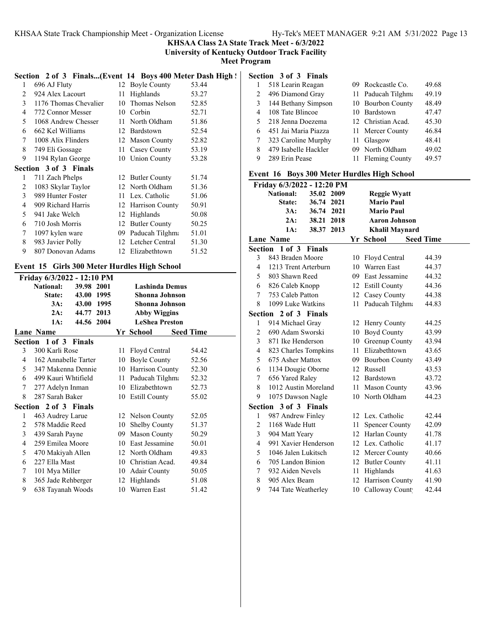**KHSAA Class 2A State Track Meet - 6/3/2022**

**University of Kentucky Outdoor Track Facility**

**Meet Program**

#### Section 2 of 3 Finals...(Event 14 Boys 400 Meter Dash High ! **Section 3 of 3 Finals**

| 1              | 696 AJ Fluty                 |    | 12 Boyle County      | 53.44 |
|----------------|------------------------------|----|----------------------|-------|
| $\overline{c}$ | 924 Alex Lacourt             | 11 | Highlands            | 53.27 |
| 3              | 1176 Thomas Chevalier        | 10 | Thomas Nelson        | 52.85 |
| $\overline{4}$ | 772 Connor Messer            | 10 | Corbin               | 52.71 |
| 5              | 1068 Andrew Chesser          | 11 | North Oldham         | 51.86 |
| 6              | 662 Kel Williams             | 12 | Bardstown            | 52.54 |
| 7              | 1008 Alix Flinders           | 12 | <b>Mason County</b>  | 52.82 |
| 8              | 749 Eli Gossage              | 11 | Casey County         | 53.19 |
| 9              | 1194 Rylan George            |    | 10 Union County      | 53.28 |
|                | <b>Section 3 of 3 Finals</b> |    |                      |       |
| 1              | 711 Zach Phelps              |    | 12 Butler County     | 51.74 |
| 2              | 1083 Skylar Taylor           |    | 12 North Oldham      | 51.36 |
| 3              | 989 Hunter Foster            | 11 | Lex. Catholic        | 51.06 |
| 4              | 909 Richard Harris           | 12 | Harrison County      | 50.91 |
| 5              | 941 Jake Welch               | 12 | Highlands            | 50.08 |
| 6              | 710 Josh Morris              | 12 | <b>Butler County</b> | 50.25 |
| 7              | 1097 kylen ware              | 09 | Paducah Tilghma      | 51.01 |
| 8              | 983 Javier Polly             |    | 12 Letcher Central   | 51.30 |
| 9              | 807 Donovan Adams            |    | 12 Elizabethtown     | 51.52 |
|                |                              |    |                      |       |

## **Event 15 Girls 300 Meter Hurdles High School**

|   | Friday 6/3/2022 - 12:10 PM |            |      |     |                       |                  |  |
|---|----------------------------|------------|------|-----|-----------------------|------------------|--|
|   | National:                  | 39.98 2001 |      |     | <b>Lashinda Demus</b> |                  |  |
|   | State:                     | 43.00      | 1995 |     | Shonna Johnson        |                  |  |
|   | 3A:                        | 43.00      | 1995 |     | Shonna Johnson        |                  |  |
|   | 2A:                        | 44.77 2013 |      |     | <b>Abby Wiggins</b>   |                  |  |
|   | 1A:                        | 44.56 2004 |      |     | <b>LeShea Preston</b> |                  |  |
|   | Lane Name                  |            |      |     | Yr School             | <b>Seed Time</b> |  |
|   | Section 1 of 3 Finals      |            |      |     |                       |                  |  |
| 3 | 300 Karli Rose             |            |      | 11  | Floyd Central         | 54.42            |  |
| 4 | 162 Annabelle Tarter       |            |      | 10  | Boyle County          | 52.56            |  |
| 5 | 347 Makenna Dennie         |            |      |     | 10 Harrison County    | 52.30            |  |
| 6 | 499 Kauri Whtifield        |            |      | 11  | Paducah Tilghma       | 52.32            |  |
| 7 | 277 Adelyn Inman           |            |      | 10  | Elizabethtown         | 52.73            |  |
| 8 | 287 Sarah Baker            |            |      |     | 10 Estill County      | 55.02            |  |
|   | Section 2 of 3 Finals      |            |      |     |                       |                  |  |
| 1 | 463 Audrey Larue           |            |      |     | 12 Nelson County      | 52.05            |  |
| 2 | 578 Maddie Reed            |            |      | 10  | Shelby County         | 51.37            |  |
| 3 | 439 Sarah Payne            |            |      | 09. | <b>Mason County</b>   | 50.29            |  |
| 4 | 259 Emilea Moore           |            |      | 10  | East Jessamine        | 50.01            |  |
| 5 | 470 Makiyah Allen          |            |      |     | 12 North Oldham       | 49.83            |  |
| 6 | 227 Ella Mast              |            |      | 10  | Christian Acad.       | 49.84            |  |
| 7 | 101 Mya Miller             |            |      | 10  | <b>Adair County</b>   | 50.05            |  |
| 8 | 365 Jade Rehberger         |            |      |     | 12 Highlands          | 51.08            |  |
| 9 | 638 Tayanah Woods          |            |      | 10  | Warren East           | 51.42            |  |
|   |                            |            |      |     |                       |                  |  |

|    | уссийн эмгэ гийн     |                    |       |
|----|----------------------|--------------------|-------|
|    | 518 Learin Reagan    | 09 Rockcastle Co.  | 49.68 |
| 2  | 496 Diamond Gray     | 11 Paducah Tilghma | 49.19 |
| 3  | 144 Bethany Simpson  | 10 Bourbon County  | 48.49 |
| 4  | 108 Tate Blincoe     | 10 Bardstown       | 47.47 |
| 5. | 218 Jenna Doezema    | 12 Christian Acad. | 45.30 |
| 6  | 451 Jai Maria Piazza | 11 Mercer County   | 46.84 |
|    | 323 Caroline Murphy  | 11 Glasgow         | 48.41 |
| 8  | 479 Isabelle Hackler | 09 North Oldham    | 49.02 |
| 9  | 289 Erin Pease       | 11 Fleming County  | 49.57 |

#### **Event 16 Boys 300 Meter Hurdles High School**

| Friday 6/3/2022 - 12:20 PM      |                                |    |                       |                  |  |
|---------------------------------|--------------------------------|----|-----------------------|------------------|--|
|                                 | <b>National:</b><br>35.02 2009 |    | <b>Reggie Wyatt</b>   |                  |  |
|                                 | State:<br>36.74<br>2021        |    | <b>Mario Paul</b>     |                  |  |
|                                 | 36.74 2021<br>3A:              |    | <b>Mario Paul</b>     |                  |  |
|                                 | 38.21 2018<br>2A:              |    | <b>Aaron Johnson</b>  |                  |  |
|                                 | 38.37 2013<br>1A:              |    | <b>Khalil Maynard</b> |                  |  |
|                                 | <b>Lane Name</b>               |    | Yr School             | <b>Seed Time</b> |  |
| Section 1 of 3<br><b>Finals</b> |                                |    |                       |                  |  |
| 3                               | 843 Braden Moore               | 10 | Floyd Central         | 44.39            |  |
| 4                               | 1213 Trent Arterburn           |    | 10 Warren East        | 44.37            |  |
| 5                               | 803 Shawn Reed                 |    | 09 East Jessamine     | 44.32            |  |
| 6                               | 826 Caleb Knopp                |    | 12 Estill County      | 44.36            |  |
| 7                               | 753 Caleb Patton               |    | 12 Casey County       | 44.38            |  |
| 8                               | 1099 Luke Watkins              | 11 | Paducah Tilghma       | 44.83            |  |
|                                 | Section 2 of 3 Finals          |    |                       |                  |  |
| $\mathbf{1}$                    | 914 Michael Gray               |    | 12 Henry County       | 44.25            |  |
| $\overline{c}$                  | 690 Adam Sworski               |    | 10 Boyd County        | 43.99            |  |
| 3                               | 871 Ike Henderson              |    | 10 Greenup County     | 43.94            |  |
| 4                               | 823 Charles Tompkins           |    | 11 Elizabethtown      | 43.65            |  |
| 5                               | 675 Asher Mattox               |    | 09 Bourbon County     | 43.49            |  |
| 6                               | 1134 Dougie Oborne             |    | 12 Russell            | 43.53            |  |
| 7                               | 656 Yared Raley                |    | 12 Bardstown          | 43.72            |  |
| 8                               | 1012 Austin Moreland           |    | 11 Mason County       | 43.96            |  |
| 9                               | 1075 Dawson Nagle              |    | 10 North Oldham       | 44.23            |  |
|                                 | Section 3 of 3 Finals          |    |                       |                  |  |
| 1                               | 987 Andrew Finley              |    | 12 Lex. Catholic      | 42.44            |  |
| 2                               | 1168 Wade Hutt                 | 11 | <b>Spencer County</b> | 42.09            |  |
| 3                               | 904 Matt Yeary                 |    | 12 Harlan County      | 41.78            |  |
| $\overline{4}$                  | 991 Xavier Henderson           |    | 12 Lex. Catholic      | 41.17            |  |
| 5                               | 1046 Jalen Lukitsch            |    | 12 Mercer County      | 40.66            |  |
| 6                               | 705 Landon Binion              |    | 12 Butler County      | 41.11            |  |
| 7                               | 932 Aiden Nevels               | 11 | Highlands             | 41.63            |  |
| 8                               | 905 Alex Beam                  |    | 12 Harrison County    | 41.90            |  |
| 9                               | 744 Tate Weatherley            |    | 10 Calloway Count     | 42.44            |  |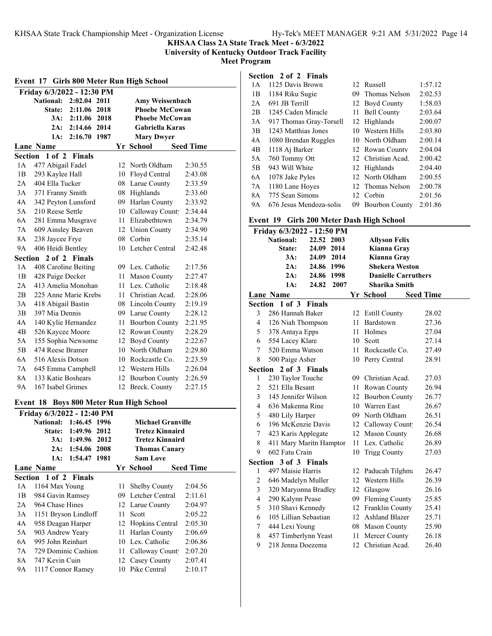**KHSAA Class 2A State Track Meet - 6/3/2022**

**University of Kentucky Outdoor Track Facility**

**Meet Program**

## **Section 2 of 2 Finals**

| Event 17 Girls 800 Meter Run High School |                            |                  |      |    |                                         |                  |  |  |
|------------------------------------------|----------------------------|------------------|------|----|-----------------------------------------|------------------|--|--|
|                                          | Friday 6/3/2022 - 12:30 PM |                  |      |    |                                         |                  |  |  |
|                                          | National: 2:02.04 2011     |                  |      |    | Amy Weissenbach                         |                  |  |  |
|                                          | <b>State:</b>              | 2:11.06 2018     |      |    | <b>Phoebe McCowan</b>                   |                  |  |  |
|                                          |                            | 3A: 2:11.06 2018 |      |    | <b>Phoebe McCowan</b>                   |                  |  |  |
|                                          |                            | 2A: 2:14.66 2014 |      |    | <b>Gabriella Karas</b>                  |                  |  |  |
|                                          | 1A:                        | 2:16.70 1987     |      |    | <b>Mary Dwyer</b>                       |                  |  |  |
|                                          | Lane Name                  |                  |      |    | Yr School                               | <b>Seed Time</b> |  |  |
|                                          | Section 1 of 2 Finals      |                  |      |    |                                         |                  |  |  |
| 1A                                       | 477 Abigail Fadel          |                  |      |    | 12 North Oldham                         | 2:30.55          |  |  |
| 1B                                       | 293 Kaylee Hall            |                  |      |    | 10 Floyd Central                        | 2:43.08          |  |  |
| 2A                                       | 404 Ella Tucker            |                  |      |    | 08 Larue County                         | 2:33.59          |  |  |
| 3A                                       | 371 Franny Smith           |                  |      |    | 08 Highlands                            | 2:33.60          |  |  |
| 4A                                       | 342 Peyton Lunsford        |                  |      |    | 09 Harlan County                        | 2:33.92          |  |  |
| 5A                                       | 210 Reese Settle           |                  |      |    | 10 Calloway Count                       | 2:34.44          |  |  |
| 6A                                       | 281 Emma Musgrave          |                  |      | 11 | Elizabethtown                           | 2:34.79          |  |  |
| 7A                                       | 609 Ainsley Beaven         |                  |      |    | 12 Union County                         | 2:34.90          |  |  |
| 8A                                       | 238 Jaycee Frye            |                  |      |    | 08 Corbin                               | 2:35.14          |  |  |
| 9А                                       | 406 Heidi Bentley          |                  |      |    | 10 Letcher Central                      | 2:42.48          |  |  |
|                                          | Section 2 of 2 Finals      |                  |      |    |                                         |                  |  |  |
| 1А                                       | 408 Caroline Beiting       |                  |      |    | 09 Lex. Catholic                        | 2:17.56          |  |  |
| 1B                                       | 428 Paige Decker           |                  |      |    | 11 Mason County                         | 2:27.47          |  |  |
| 2A                                       | 413 Amelia Monohan         |                  |      |    | 11 Lex. Catholic                        | 2:18.48          |  |  |
| 2В                                       | 225 Anne Marie Krebs       |                  |      |    | 11 Christian Acad.                      | 2:28.06          |  |  |
| 3A                                       | 418 Abigail Bastin         |                  |      |    | 08 Lincoln County                       | 2:19.19          |  |  |
| 3B                                       | 397 Mia Dennis             |                  |      |    | 09 Larue County                         | 2:28.12          |  |  |
| 4Α                                       | 140 Kylie Hernandez        |                  |      |    | 11 Bourbon County                       | 2:21.95          |  |  |
| 4B                                       | 526 Kaycee Moore           |                  |      |    | 12 Rowan County                         | 2:28.29          |  |  |
| 5A                                       | 155 Sophia Newsome         |                  |      | 12 | Boyd County                             | 2:22.67          |  |  |
| 5Β                                       | 474 Reese Bramer           |                  |      | 10 | North Oldham                            | 2:29.80          |  |  |
| 6A                                       | 516 Alexis Dotson          |                  |      |    | 10 Rockcastle Co.                       | 2:23.59          |  |  |
| 7А                                       | 645 Emma Campbell          |                  |      |    | 12 Western Hills                        | 2:26.04          |  |  |
| 8A                                       | 133 Katie Boshears         |                  |      |    | 12 Bourbon County                       | 2:26.59          |  |  |
| 9Α                                       | 167 Isabel Grimes          |                  |      |    | 12 Breck. County                        | 2:27.15          |  |  |
|                                          |                            |                  |      |    |                                         |                  |  |  |
|                                          |                            |                  |      |    | Event 18 Boys 800 Meter Run High School |                  |  |  |
|                                          | Friday 6/3/2022 - 12:40 PM |                  |      |    |                                         |                  |  |  |
|                                          | <b>National:</b>           | 1:46.45 1996     |      |    | <b>Michael Granville</b>                |                  |  |  |
|                                          | State:                     | 1:49.96          | 2012 |    | <b>Tretez Kinnaird</b>                  |                  |  |  |
|                                          | $3A$ :                     | 1:49.96          | 2012 |    | <b>Tretez Kinnaird</b>                  |                  |  |  |
|                                          | 2A:                        | 1:54.06          | 2008 |    | <b>Thomas Canary</b>                    |                  |  |  |
|                                          | 1A:                        | 1:54.47          | 1981 |    | <b>Sam Love</b>                         |                  |  |  |
|                                          | <b>Lane Name</b>           |                  |      |    | Yr School                               | <b>Seed Time</b> |  |  |
|                                          | Section 1 of 2 Finals      |                  |      |    |                                         |                  |  |  |
| 1А                                       | 1164 Max Young             |                  |      | 11 | Shelby County                           | 2:04.56          |  |  |
| 1B                                       | 984 Gavin Ramsey           |                  |      | 09 | Letcher Central                         | 2:11.61          |  |  |
| 2Α                                       | 964 Chase Hines            |                  |      | 12 | Larue County                            | 2:04.97          |  |  |
| 3A                                       | 1151 Bryson Lindloff       |                  |      | 11 | Scott                                   | 2:05.22          |  |  |
| 4A                                       | 958 Deagan Harper          |                  |      | 12 | Hopkins Central                         | 2:05.30          |  |  |
| 5A                                       | 903 Andrew Yeary           |                  |      | 11 | Harlan County                           | 2:06.69          |  |  |
| 6A                                       | 995 John Reinhart          |                  |      | 10 | Lex. Catholic                           | 2:06.86          |  |  |
| $7A$                                     | 729 Dominic Cashion        |                  |      | 11 | Calloway Count                          | 2:07.20          |  |  |

8A 747 Kevin Cuin 12 Casey County 2:07.41 9A 1117 Connor Ramey 10 Pike Central 2:10.17

| легия          |                         |     |                       |         |
|----------------|-------------------------|-----|-----------------------|---------|
| 1 A            | 1125 Davis Brown        |     | 12 Russell            | 1:57.12 |
| 1B             | 1184 Riku Sugie         | 09. | Thomas Nelson         | 2:02.53 |
| 2A             | 691 JB Terrill          |     | 12 Boyd County        | 1:58.03 |
| 2B             | 1245 Caden Miracle      | 11. | <b>Bell County</b>    | 2:03.64 |
| 3A             | 917 Thomas Gray-Torsell |     | 12 Highlands          | 2:00.07 |
| 3B             | 1243 Matthias Jones     |     | 10 Western Hills      | 2:03.80 |
| 4A             | 1080 Brendan Ruggles    |     | 10 North Oldham       | 2:00.14 |
| 4 <sub>B</sub> | 1118 Aj Barker          |     | 12 Rowan County       | 2:04.04 |
| 5A             | 760 Tommy Ott           |     | 12 Christian Acad.    | 2:00.42 |
| 5B             | 943 Will White          |     | 12 Highlands          | 2:04.40 |
| 6A             | 1078 Jake Pyles         |     | 12 North Oldham       | 2:00.55 |
| 7A             | 1180 Lane Hoyes         |     | 12 Thomas Nelson      | 2:00.78 |
| 8A             | 775 Sean Simons         |     | 12 Corbin             | 2:01.56 |
| <b>9A</b>      | 676 Jesus Mendoza-solis | 09  | <b>Bourbon County</b> | 2:01.86 |

#### **Event 19 Girls 200 Meter Dash High School**

| Friday 6/3/2022 - 12:50 PM |                         |               |      |    |                            |                  |
|----------------------------|-------------------------|---------------|------|----|----------------------------|------------------|
|                            | <b>National:</b>        | 22.52 2003    |      |    | <b>Allyson Felix</b>       |                  |
|                            | State:                  | 24.09 2014    |      |    | Kianna Gray                |                  |
|                            | 3A:                     | 24.09 2014    |      |    | Kianna Gray                |                  |
|                            | $2A$ :                  | 24.86 1996    |      |    | <b>Shekera Weston</b>      |                  |
|                            | 2A:                     | 24.86 1998    |      |    | <b>Danielle Carruthers</b> |                  |
|                            | 1A:                     | 24.82         | 2007 |    | <b>Sharika Smith</b>       |                  |
|                            | <b>Lane Name</b>        |               |      |    | Yr School                  | <b>Seed Time</b> |
|                            | Section 1 of 3          | <b>Finals</b> |      |    |                            |                  |
| 3                          | 286 Hannah Baker        |               |      | 12 | <b>Estill County</b>       | 28.02            |
| 4                          | 126 Niah Thompson       |               |      | 11 | Bardstown                  | 27.36            |
| 5                          | 378 Antaya Epps         |               |      | 11 | Holmes                     | 27.04            |
| 6                          | 554 Lacey Klare         |               |      |    | 10 Scott                   | 27.14            |
| 7                          | 520 Emma Watson         |               |      | 11 | Rockcastle Co.             | 27.49            |
| 8                          | 500 Paige Asher         |               |      |    | 10 Perry Central           | 28.91            |
| Section                    | 2 of 3 Finals           |               |      |    |                            |                  |
| 1                          | 230 Taylor Touche       |               |      |    | 09 Christian Acad.         | 27.03            |
| 2                          | 521 Ella Besant         |               |      |    | 11 Rowan County            | 26.94            |
| 3                          | 145 Jennifer Wilson     |               |      |    | 12 Bourbon County          | 26.77            |
| 4                          | 636 Makenna Rine        |               |      |    | 10 Warren East             | 26.67            |
| 5                          | 480 Lily Harper         |               |      |    | 09 North Oldham            | 26.51            |
| 6                          | 196 McKenzie Davis      |               |      |    | 12 Calloway Count          | 26.54            |
| 7                          | 423 Karis Applegate     |               |      | 12 | Mason County               | 26.68            |
| 8                          | 411 Mary Maritn Hampton |               |      | 11 | Lex. Catholic              | 26.89            |
| 9                          | 602 Fatu Crain          |               |      | 10 | <b>Trigg County</b>        | 27.03            |
|                            | Section 3 of 3 Finals   |               |      |    |                            |                  |
| 1                          | 497 Maisie Harris       |               |      | 12 | Paducah Tilghma            | 26.47            |
| 2                          | 646 Madelyn Muller      |               |      | 12 | Western Hills              | 26.39            |
| 3                          | 320 Maryonna Bradley    |               |      | 12 | Glasgow                    | 26.16            |
| 4                          | 290 Kalynn Pease        |               |      |    | 09 Fleming County          | 25.85            |
| 5                          | 310 Shavi Kennedy       |               |      |    | 12 Franklin County         | 25.41            |
| 6                          | 105 Lillian Sebastian   |               |      |    | 12 Ashland Blazer          | 25.71            |
| 7                          | 444 Lexi Young          |               |      |    | 08 Mason County            | 25.90            |
| 8                          | 457 Timberlynn Yeast    |               |      | 11 | Mercer County              | 26.18            |
| 9                          | 218 Jenna Doezema       |               |      | 12 | Christian Acad.            | 26.40            |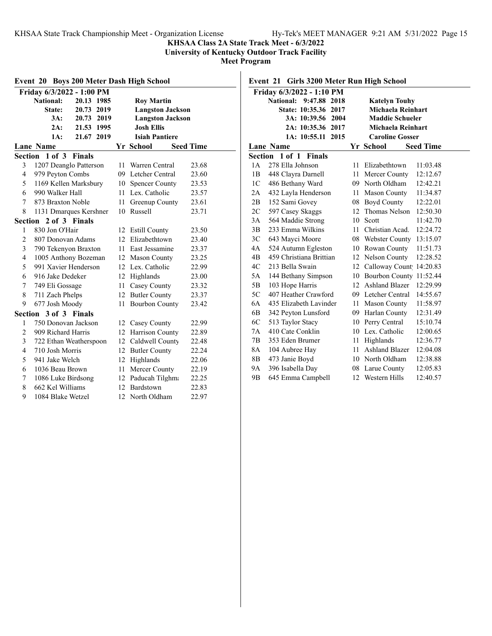**KHSAA Class 2A State Track Meet - 6/3/2022**

**University of Kentucky Outdoor Track Facility**

**Meet Program**

| <b>Boys 200 Meter Dash High School</b><br>Event 20 |                                 |    |                         |                  |  |  |  |  |
|----------------------------------------------------|---------------------------------|----|-------------------------|------------------|--|--|--|--|
|                                                    | Friday 6/3/2022 - 1:00 PM       |    |                         |                  |  |  |  |  |
|                                                    | <b>National:</b><br>20.13 1985  |    | <b>Roy Martin</b>       |                  |  |  |  |  |
|                                                    | State:<br>20.73 2019            |    | <b>Langston Jackson</b> |                  |  |  |  |  |
|                                                    | 2019<br>3A:<br>20.73            |    | <b>Langston Jackson</b> |                  |  |  |  |  |
|                                                    | 2A:<br>21.53 1995               |    | <b>Josh Ellis</b>       |                  |  |  |  |  |
|                                                    | 1A:<br>21.67 2019               |    | <b>Isiah Pantiere</b>   |                  |  |  |  |  |
|                                                    | <b>Lane Name</b>                |    | Yr School               | <b>Seed Time</b> |  |  |  |  |
|                                                    | Section 1 of 3<br><b>Finals</b> |    |                         |                  |  |  |  |  |
| 3                                                  | 1207 Deanglo Patterson          | 11 | Warren Central          | 23.68            |  |  |  |  |
| 4                                                  | 979 Peyton Combs                |    | 09 Letcher Central      | 23.60            |  |  |  |  |
| 5                                                  | 1169 Kellen Marksbury           | 10 | <b>Spencer County</b>   | 23.53            |  |  |  |  |
| 6                                                  | 990 Walker Hall                 | 11 | Lex. Catholic           | 23.57            |  |  |  |  |
| 7                                                  | 873 Braxton Noble               | 11 | Greenup County          | 23.61            |  |  |  |  |
| 8                                                  | 1131 Dmarques Kershner          |    | 10 Russell              | 23.71            |  |  |  |  |
| Section                                            | 2 of 3 Finals                   |    |                         |                  |  |  |  |  |
| 1                                                  | 830 Jon O'Hair                  |    | 12 Estill County        | 23.50            |  |  |  |  |
| $\overline{c}$                                     | 807 Donovan Adams               |    | 12 Elizabethtown        | 23.40            |  |  |  |  |
| 3                                                  | 790 Tekenyon Braxton            | 11 | East Jessamine          | 23.37            |  |  |  |  |
| 4                                                  | 1005 Anthony Bozeman            |    | 12 Mason County         | 23.25            |  |  |  |  |
| 5                                                  | 991 Xavier Henderson            | 12 | Lex. Catholic           | 22.99            |  |  |  |  |
| 6                                                  | 916 Jake Dedeker                | 12 | Highlands               | 23.00            |  |  |  |  |
| 7                                                  | 749 Eli Gossage                 | 11 | Casey County            | 23.32            |  |  |  |  |
| 8                                                  | 711 Zach Phelps                 |    | 12 Butler County        | 23.37            |  |  |  |  |
| 9                                                  | 677 Josh Moody                  | 11 | <b>Bourbon County</b>   | 23.42            |  |  |  |  |
|                                                    | Section 3 of 3 Finals           |    |                         |                  |  |  |  |  |
| 1                                                  | 750 Donovan Jackson             |    | 12 Casey County         | 22.99            |  |  |  |  |
| $\overline{c}$                                     | 909 Richard Harris              | 12 | Harrison County         | 22.89            |  |  |  |  |
| 3                                                  | 722 Ethan Weatherspoon          | 12 | Caldwell County         | 22.48            |  |  |  |  |
| 4                                                  | 710 Josh Morris                 |    | 12 Butler County        | 22.24            |  |  |  |  |
| 5                                                  | 941 Jake Welch                  |    | 12 Highlands            | 22.06            |  |  |  |  |
| 6                                                  | 1036 Beau Brown                 | 11 | Mercer County           | 22.19            |  |  |  |  |
| 7                                                  | 1086 Luke Birdsong              |    | 12 Paducah Tilghma      | 22.25            |  |  |  |  |
| 8                                                  | 662 Kel Williams                |    | 12 Bardstown            | 22.83            |  |  |  |  |
| 9                                                  | 1084 Blake Wetzel               | 12 | North Oldham            | 22.97            |  |  |  |  |

## **Event 21 Girls 3200 Meter Run High School**

|                | Friday 6/3/2022 - 1:10 PM      |    |                          |                  |
|----------------|--------------------------------|----|--------------------------|------------------|
|                | National:<br>9:47.88<br>2018   |    | <b>Katelyn Touhy</b>     |                  |
|                | <b>State: 10:35.36</b><br>2017 |    | Michaela Reinhart        |                  |
|                | 3A: 10:39.56<br>2004           |    | <b>Maddie Schueler</b>   |                  |
|                | 2A: 10:35.36 2017              |    | <b>Michaela Reinhart</b> |                  |
|                | 1A: 10:55.11<br>2015           |    | <b>Caroline Gosser</b>   |                  |
|                | <b>Lane Name</b>               |    | Yr School                | <b>Seed Time</b> |
|                | Section 1 of 1 Finals          |    |                          |                  |
| 1 A            | 278 Ella Johnson               | 11 | Elizabethtown            | 11:03.48         |
| 1B             | 448 Clayra Darnell             | 11 | Mercer County            | 12:12.67         |
| 1 <sup>C</sup> | 486 Bethany Ward               | 09 | North Oldham             | 12:42.21         |
| 2A             | 432 Layla Henderson            | 11 | <b>Mason County</b>      | 11:34.87         |
| 2В             | 152 Sami Govey                 |    | 08 Boyd County           | 12:22.01         |
| 2C             | 597 Casey Skaggs               |    | 12 Thomas Nelson         | 12:50.30         |
| 3A             | 564 Maddie Strong              | 10 | Scott                    | 11:42.70         |
| 3B             | 233 Emma Wilkins               | 11 | Christian Acad.          | 12:24.72         |
| 3C             | 643 Mayci Moore                |    | 08 Webster County        | 13:15.07         |
| 4A             | 524 Autumn Egleston            | 10 | Rowan County             | 11:51.73         |
| 4B             | 459 Christiana Brittian        | 12 | Nelson County            | 12:28.52         |
| 4C             | 213 Bella Swain                | 12 | Calloway Count 14:20.83  |                  |
| 5A             | 144 Bethany Simpson            | 10 | Bourbon County 11:52.44  |                  |
| 5Β             | 103 Hope Harris                | 12 | Ashland Blazer           | 12:29.99         |
| 5C             | 407 Heather Crawford           | 09 | Letcher Central          | 14:55.67         |
| 6A             | 435 Elizabeth Lavinder         | 11 | Mason County             | 11:58.97         |
| 6B             | 342 Peyton Lunsford            |    | 09 Harlan County         | 12:31.49         |
| 6C             | 513 Taylor Stacy               |    | 10 Perry Central         | 15:10.74         |
| 7A             | 410 Cate Conklin               |    | 10 Lex. Catholic         | 12:00.65         |
| 7B             | 353 Eden Brumer                | 11 | Highlands                | 12:36.77         |
| 8Α             | 104 Aubree Hay                 | 11 | <b>Ashland Blazer</b>    | 12:04.08         |
| 8В             | 473 Janie Boyd                 | 10 | North Oldham             | 12:38.88         |
| 9Α             | 396 Isabella Day               | 08 | Larue County             | 12:05.83         |
| 9B             | 645 Emma Campbell              |    | 12 Western Hills         | 12:40.57         |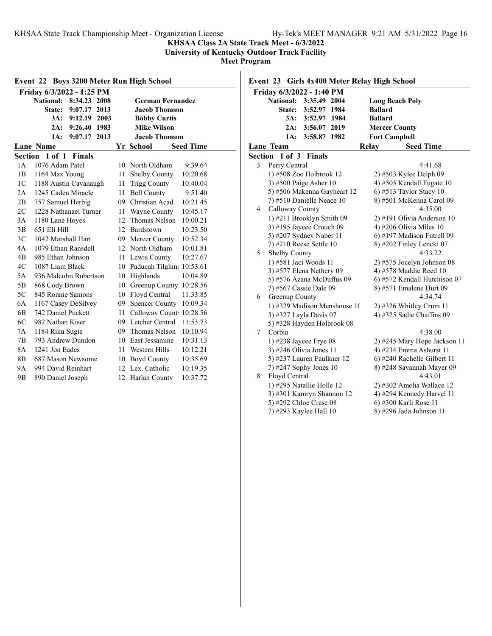**KHSAA Class 2A State Track Meet - 6/3/2022**

**University of Kentucky Outdoor Track Facility**

**Meet Program**

| Event 22 Boys 3200 Meter Run High School          |                                     |     |                          |          |  |  |
|---------------------------------------------------|-------------------------------------|-----|--------------------------|----------|--|--|
|                                                   | Friday 6/3/2022 - 1:25 PM           |     |                          |          |  |  |
|                                                   | <b>National:</b><br>8:34.23<br>2008 |     | <b>German Fernandez</b>  |          |  |  |
|                                                   | State: 9:07.17<br>2013              |     | <b>Jacob Thomson</b>     |          |  |  |
|                                                   | 9:12.19<br>2003<br>3A:              |     | <b>Bobby Curtis</b>      |          |  |  |
|                                                   | 9:26.40<br>1983<br>2A:              |     | <b>Mike Wilson</b>       |          |  |  |
|                                                   | 2013<br>1A:<br>9:07.17              |     | <b>Jacob Thomson</b>     |          |  |  |
| <b>Seed Time</b><br><b>Lane Name</b><br>Yr School |                                     |     |                          |          |  |  |
| Section                                           | $1$ of $1$<br><b>Finals</b>         |     |                          |          |  |  |
| 1A                                                | 1076 Adam Patel                     | 10  | North Oldham             | 9:39.64  |  |  |
| 1B                                                | 1164 Max Young                      | 11  | <b>Shelby County</b>     | 10:20.68 |  |  |
| 1 <sup>C</sup>                                    | 1188 Austin Cavanaugh               | 11  | <b>Trigg County</b>      | 10:40.04 |  |  |
| 2A                                                | 1245 Caden Miracle                  | 11  | <b>Bell County</b>       | 9:51.40  |  |  |
| 2B                                                | 757 Samuel Herbig                   | 09  | Christian Acad.          | 10:21.45 |  |  |
| 2C                                                | 1228 Nathanael Turner               | 11  | Wayne County             | 10:45.17 |  |  |
| 3A                                                | 1180 Lane Hoyes                     | 12  | Thomas Nelson            | 10:00.21 |  |  |
| 3B                                                | 651 Eli Hill                        | 12  | Bardstown                | 10:23.50 |  |  |
| 3C                                                | 1042 Marshall Hart                  | 09  | Mercer County            | 10:52.34 |  |  |
| 4A                                                | 1079 Ethan Ransdell                 | 12  | North Oldham             | 10:01.81 |  |  |
| 4B                                                | 985 Ethan Johnson                   | 11  | Lewis County             | 10:27.67 |  |  |
| 4C                                                | 1087 Liam Black                     | 10  | Paducah Tilghm: 10:53.61 |          |  |  |
| 5A                                                | 936 Malcolm Robertson               | 10  | Highlands                | 10:04.89 |  |  |
| 5B                                                | 868 Cody Brown                      | 10  | Greenup County           | 10:28.56 |  |  |
| 5C                                                | 845 Ronnie Samons                   | 10  | Floyd Central            | 11:33.85 |  |  |
| 6A                                                | 1167 Casey DeSilvey                 | 09  | <b>Spencer County</b>    | 10:09.34 |  |  |
| 6B                                                | 742 Daniel Puckett                  | 11  | Calloway Count           | 10:28.56 |  |  |
| 6C                                                | 982 Nathan Kiser                    | 09  | Letcher Central          | 11:53.73 |  |  |
| 7A                                                | 1184 Riku Sugie                     | 09  | Thomas Nelson            | 10:10.94 |  |  |
| 7B                                                | 793 Andrew Dundon                   | 10  | East Jessamine           | 10:31.13 |  |  |
| 8A                                                | 1241 Jon Eades                      | 11  | Western Hills            | 10:12.21 |  |  |
| 8B                                                | 687 Mason Newsome                   | 10  | Boyd County              | 10:35.69 |  |  |
| 9Α                                                | 994 David Reinhart                  | 12  | Lex. Catholic            | 10:19.35 |  |  |
| 9 <sub>B</sub>                                    | 890 Daniel Joseph                   | 12. | Harlan County            | 10:37.72 |  |  |

## **Event 23 Girls 4x400 Meter Relay High School**

|         | Friday 6/3/2022 - 1:40 PM        |                              |
|---------|----------------------------------|------------------------------|
|         | <b>National:</b><br>3:35.49 2004 | <b>Long Beach Poly</b>       |
|         | <b>State:</b><br>3:52.97 1984    | <b>Ballard</b>               |
|         | 3A: 3:52.97 1984                 | <b>Ballard</b>               |
|         | 3:56.07 2019<br>2A:              | <b>Mercer County</b>         |
|         | 1A:<br>3:58.87 1982              | <b>Fort Campbell</b>         |
|         | <b>Lane Team</b>                 | Relay<br><b>Seed Time</b>    |
| Section | $1$ of $3$<br><b>Finals</b>      |                              |
| 3       | Perry Central                    | 4:41.68                      |
|         | 1) #508 Zoe Holbrook 12          | 2) #503 Kylee Delph 09       |
|         | 3) #500 Paige Asher 10           | 4) #505 Kendall Fugate 10    |
|         | 5) #506 Makenna Gayheart 12      | 6) #513 Taylor Stacy $10$    |
|         | 7) #510 Danielle Neace 10        | 8) #501 McKenna Carol 09     |
| 4       | Calloway County                  | 4:35.00                      |
|         | 1) #211 Brooklyn Smith 09        | 2) #191 Olivia Anderson 10   |
|         | 3) #195 Jaycee Crouch 09         | 4) #206 Olivia Miles 10      |
|         | 5) #207 Sydney Naber 11          | 6) #197 Madison Futrell 09   |
|         | 7) #210 Reese Settle 10          | 8) #202 Finley Lencki 07     |
| 5       | Shelby County                    | 4:33.22                      |
|         | 1) #581 Jaci Woods 11            | 2) #575 Jocelyn Johnson 08   |
|         | 3) #577 Elena Nethery 09         | 4) #578 Maddie Reed 10       |
|         | 5) #576 Azana McDuffus 09        | 6) #572 Kendall Hutchison 07 |
|         | 7) #567 Cassie Dale 09           | 8) #571 Emalene Hurt 09      |
| 6       | Greenup County                   | 4:34.74                      |
|         | 1) #329 Madison Menshouse 10     | $2)$ #326 Whitley Crum 11    |
|         | 3) #327 Layla Davis 07           | 4) #325 Sadie Chaffins 09    |
|         | 5) #328 Hayden Holbrook 08       |                              |
| 7       | Corbin                           | 4:38.00                      |
|         | 1) #238 Jaycee Frye 08           | 2) #245 Mary Hope Jackson 11 |
|         | 3) #246 Olivia Jones 11          | 4) #234 Emma Ashurst 11      |
|         | 5) #237 Lauren Faulkner 12       | 6) #240 Rachelle Gilbert 11  |
|         | 7) #247 Sophy Jones 10           | 8) #248 Savannah Mayer 09    |
| 8       | Floyd Central                    | 4:43.01                      |
|         | 1) #295 Natallie Holle 12        | 2) #302 Amelia Wallace 12    |
|         | 3) #301 Kamryn Shannon 12        | 4) #294 Kennedy Harvel 11    |
|         | 5) #292 Chloe Crase 08           | 6) #300 Karli Rose 11        |
|         | 7) #293 Kaylee Hall 10           | 8) #296 Jada Johnson 11      |
|         |                                  |                              |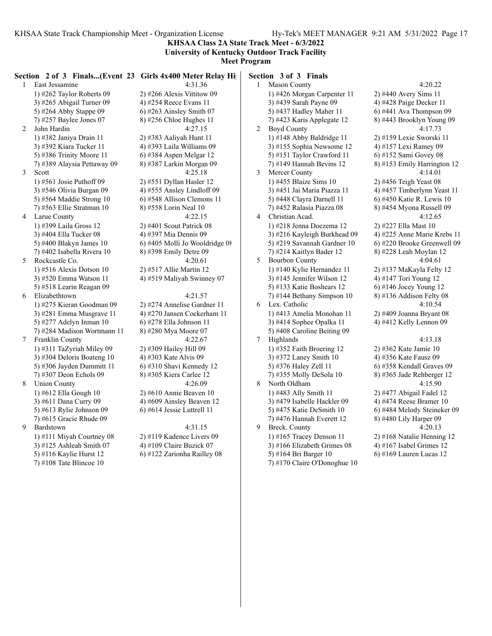**KHSAA Class 2A State Track Meet - 6/3/2022 University of Kentucky Outdoor Track Facility**

|   | Section 2 of 3 Finals(Event 23 Girls 4x400 Meter Relay High |                                |                | Section 3 of 3 Finals        |                             |
|---|-------------------------------------------------------------|--------------------------------|----------------|------------------------------|-----------------------------|
|   | 1 East Jessamine                                            | 4:31.36                        |                | 1 Mason County               | 4:20.22                     |
|   | 1) #262 Taylor Roberts $09$                                 | $2)$ #266 Alexis Vittitow 09   |                | 1) #426 Morgan Carpenter 11  | 2) #440 Avery Sims 11       |
|   | 3) #265 Abigail Turner 09                                   | 4) #254 Reece Evans 11         |                | 3) #439 Sarah Payne 09       | 4) #428 Paige Decker 11     |
|   | 5) #264 Abby Stappe 09                                      | 6) #263 Ainsley Smith $07$     |                | 5) #437 Hadley Maher 11      | $6)$ #441 Ava Thompson 09   |
|   | 7) #257 Baylee Jones 07                                     | 8) #256 Chloe Hughes 11        |                | 7) #423 Karis Applegate 12   | 8) #443 Brooklyn Young 09   |
| 2 | John Hardin                                                 | 4:27.15                        | $\overline{c}$ | <b>Boyd County</b>           | 4:17.73                     |
|   | 1) #382 Janiya Drain 11                                     | 2) #383 Aaliyah Hunt 11        |                | 1) #148 Abby Baldridge 11    | 2) #159 Lexie Sworski 11    |
|   | 3) #392 Kiara Tucker 11                                     | 4) #393 Laila Williams 09      |                | 3) #155 Sophia Newsome 12    | 4) #157 Lexi Ramey 09       |
|   | 5) #386 Trinity Moore 11                                    | 6) #384 Aspen Melgar 12        |                | 5) #151 Taylor Crawford 11   | $6)$ #152 Sami Govey 08     |
|   | 7) #389 Alaysia Pettaway 09                                 | 8) #387 Larkin Morgan 09       |                | 7) #149 Hannah Bevins 12     | 8) #153 Emily Harrington 12 |
| 3 | Scott                                                       | 4:25.18                        | 3              | Mercer County                | 4:14.01                     |
|   | 1) #561 Josie Puthoff $09$                                  | 2) #551 Dyllan Hasler 12       |                | 1) #455 Blaize Sims 10       | 2) #456 Teigh Yeast 08      |
|   | 3) #546 Olivia Burgan 09                                    | 4) #555 Ansley Lindloff 09     |                | 3) #451 Jai Maria Piazza 11  | 4) #457 Timberlynn Yeast 11 |
|   | 5) #564 Maddie Strong 10                                    | 6) #548 Allison Clemons 11     |                | 5) #448 Clayra Darnell 11    | 6) #450 Katie R. Lewis 10   |
|   | $(7)$ #563 Ellie Stratman 10                                | 8) #558 Lorin Neal 10          |                | 7) #452 Ralasia Piazza 08    | 8) #454 Myona Russell 09    |
| 4 | Larue County                                                | 4:22.15                        | 4              | Christian Acad.              | 4:12.65                     |
|   | 1) #399 Laila Gross 12                                      | $2)$ #401 Scout Patrick 08     |                | 1) #218 Jenna Doezema 12     | 2) #227 Ella Mast 10        |
|   | 3) #404 Ella Tucker 08                                      | 4) #397 Mia Dennis 09          |                | 3) #216 Kayleigh Burkhead 09 | 4) #225 Anne Marie Krebs 11 |
|   | 5) #400 Blakyn James 10                                     | 6) #405 Molli Jo Wooldridge 08 |                | 5) #219 Savannah Gardner 10  | 6) #220 Brooke Greenwell 09 |
|   | 7) #402 Isabella Rivera 10                                  | 8) #398 Emily Detre 09         |                | $(7)$ #214 Kaitlyn Bader 12  | 8) #228 Leah Moylan 12      |
| 5 | Rockcastle Co.                                              | 4:20.61                        | 5              | <b>Bourbon County</b>        | 4:04.61                     |
|   | 1) #516 Alexis Dotson $10$                                  | 2) #517 Allie Martin 12        |                | 1) #140 Kylie Hernandez 11   | 2) #137 MaKayla Felty 12    |
|   | 3) #520 Emma Watson 11                                      | 4) #519 Maliyah Swinney 07     |                | 3) #145 Jennifer Wilson 12   | 4) #147 Tori Young 12       |
|   | 5) #518 Learin Reagan 09                                    |                                |                | 5) #133 Katie Boshears 12    | $6)$ #146 Jocey Young 12    |
| 6 | Elizabethtown                                               | 4:21.57                        |                | 7) #144 Bethany Simpson 10   | 8) #136 Addison Felty 08    |
|   | 1) #275 Kieran Goodman 09                                   | 2) #274 Annelise Gardner 11    | 6              | Lex. Catholic                | 4:10.54                     |
|   | 3) #281 Emma Musgrave 11                                    | 4) #270 Jansen Cockerham 11    |                | 1) #413 Amelia Monohan 11    | 2) #409 Joanna Bryant 08    |
|   | 5) #277 Adelyn Inman 10                                     | 6) #278 Ella Johnson 11        |                | 3) #414 Sophee Opalka 11     | 4) #412 Kelly Lennon 09     |
|   | 7) #284 Madison Wortmann 11                                 | 8) #280 Mya Moore 07           |                | 5) #408 Caroline Beiting 09  |                             |
| 7 | Franklin County                                             | 4:22.67                        | $\tau$         | Highlands                    | 4:13.18                     |
|   | 1) #311 TaZyriah Miley 09                                   | 2) #309 Hailey Hill 09         |                | 1) #352 Faith Broering 12    | 2) #362 Kate Jamie 10       |
|   | 3) #304 Deloris Boateng 10                                  | 4) #303 Kate Alvis 09          |                | 3) #372 Laney Smith 10       | 4) #356 Kate Fausz 09       |
|   | 5) #306 Jayden Dummitt 11                                   | $(6)$ #310 Shavi Kennedy 12    |                | 5) #376 Haley Zell 11        | 6) #358 Kendall Graves 09   |
|   | 7) #307 Deon Echols 09                                      | 8) #305 Kiera Carlee 12        |                | 7) #355 Molly DeSola 10      | 8) #365 Jade Rehberger 12   |
| 8 | <b>Union County</b>                                         | 4:26.09                        | 8              | North Oldham                 | 4:15.90                     |
|   | 1) #612 Ella Gough 10                                       | $2)$ #610 Annie Beaven 10      |                | 1) #483 Ally Smith 11        | $2)$ #477 Abigail Fadel 12  |
|   | 3) #611 Dana Curry 09                                       | 4) #609 Ainsley Beaven 12      |                | 3) #479 Isabelle Hackler 09  | 4) #474 Reese Bramer 10     |
|   | 5) #613 Rylie Johnson 09                                    | 6) #614 Jessie Luttrell 11     |                | 5) #475 Katie DeSmith $10$   | 6) #484 Melody Steineker 09 |
|   | 7) #615 Gracie Rhude 09                                     |                                |                | 7) #476 Hannah Everett 12    | 8) #480 Lily Harper 09      |
| 9 | Bardstown                                                   | 4:31.15                        | 9              | Breck. County                | 4:20.13                     |
|   | 1) #111 Miyah Courtney 08                                   | 2) #119 Kadence Livers 09      |                | 1) #165 Tracey Denson 11     | 2) #168 Natalie Henning 12  |
|   | 3) #125 Ashleah Smith 07                                    | 4) #109 Claire Buzick 07       |                | 3) #166 Elizabeth Grimes 08  | 4) #167 Isabel Grimes $12$  |
|   | 5) #116 Kaylie Hurst 12                                     | 6) #122 Zarionha Railley 08    |                | 5) #164 Bri Barger 10        | 6) #169 Lauren Lucas 12     |
|   | 7) #108 Tate Blincoe $10$                                   |                                |                | 7) #170 Claire O'Donoghue 10 |                             |
|   |                                                             |                                |                |                              |                             |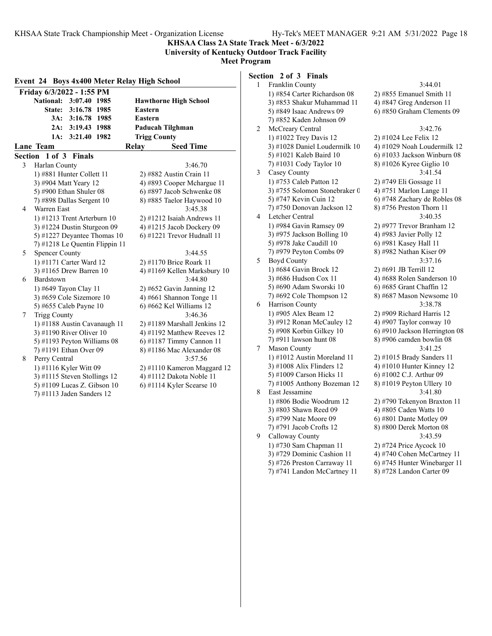**KHSAA Class 2A State Track Meet - 6/3/2022**

**University of Kentucky Outdoor Track Facility Meet Program**

| Event 24 Boys 4x400 Meter Relay High School |                                |                              |  |  |
|---------------------------------------------|--------------------------------|------------------------------|--|--|
|                                             | Friday 6/3/2022 - 1:55 PM      |                              |  |  |
|                                             | National: 3:07.40 1985         | <b>Hawthorne High School</b> |  |  |
|                                             | 3:16.78 1985<br>State:         | Eastern                      |  |  |
|                                             | 3A: 3:16.78 1985               | Eastern                      |  |  |
|                                             | 2A: 3:19.43 1988               | Paducah Tilghman             |  |  |
|                                             | 3:21.40 1982<br>1A:            | <b>Trigg County</b>          |  |  |
|                                             | Lane Team                      | <b>Seed Time</b><br>Relay    |  |  |
|                                             | Section 1 of 3 Finals          |                              |  |  |
| 3                                           | Harlan County                  | 3:46.70                      |  |  |
|                                             | 1) #881 Hunter Collett 11      | 2) #882 Austin Crain 11      |  |  |
|                                             | 3) #904 Matt Yeary 12          | 4) #893 Cooper Mchargue 11   |  |  |
|                                             | 5) #900 Ethan Shuler 08        | 6) #897 Jacob Schwenke 08    |  |  |
|                                             | 7) #898 Dallas Sergent 10      | 8) #885 Taelor Haywood 10    |  |  |
| 4                                           | Warren East                    | 3:45.38                      |  |  |
|                                             | 1) #1213 Trent Arterburn 10    | $2)$ #1212 Isaiah Andrews 11 |  |  |
|                                             | 3) #1224 Dustin Sturgeon 09    | 4) #1215 Jacob Dockery 09    |  |  |
|                                             | 5) #1227 Deyantee Thomas 10    | 6) #1221 Trevor Hudnall 11   |  |  |
|                                             | 7) #1218 Le Quentin Flippin 11 |                              |  |  |
| 5                                           | <b>Spencer County</b>          | 3:44.55                      |  |  |
|                                             | 1) #1171 Carter Ward 12        | 2) #1170 Brice Roark 11      |  |  |
|                                             | 3) #1165 Drew Barren 10        | 4) #1169 Kellen Marksbury 10 |  |  |
| 6                                           | Bardstown                      | 3:44.80                      |  |  |
|                                             | 1) #649 Tayon Clay 11          | $2)$ #652 Gavin Janning 12   |  |  |
|                                             | 3) #659 Cole Sizemore 10       | 4) #661 Shannon Tonge $11$   |  |  |
|                                             | 5) #655 Caleb Payne 10         | 6) #662 Kel Williams 12      |  |  |
| 7                                           | <b>Trigg County</b>            | 3:46.36                      |  |  |
|                                             | 1) #1188 Austin Cavanaugh 11   | 2) #1189 Marshall Jenkins 12 |  |  |
|                                             | 3) #1190 River Oliver 10       | 4) #1192 Matthew Reeves 12   |  |  |
|                                             | 5) #1193 Peyton Williams 08    | 6) #1187 Timmy Cannon 11     |  |  |
|                                             | 7) #1191 Ethan Over 09         | 8) #1186 Mac Alexander 08    |  |  |
| 8                                           | Perry Central                  | 3:57.56                      |  |  |
|                                             | 1) #1116 Kyler Witt 09         | 2) #1110 Kameron Maggard 12  |  |  |
|                                             | 3) #1115 Steven Stollings 12   | 4) #1112 Dakota Noble 11     |  |  |
|                                             | 5) #1109 Lucas Z. Gibson 10    | 6) #1114 Kyler Scearse 10    |  |  |
|                                             | 7) #1113 Jaden Sanders 12      |                              |  |  |

# **Section 2 of 3 Finals**

| 1 | Franklin County               | 3:44.01                       |
|---|-------------------------------|-------------------------------|
|   | 1) #854 Carter Richardson 08  | 2) #855 Emanuel Smith 11      |
|   | 3) #853 Shakur Muhammad 11    | 4) #847 Greg Anderson 11      |
|   | 5) #849 Isaac Andrews 09      | 6) #850 Graham Clements 09    |
|   | 7) #852 Kaden Johnson 09      |                               |
| 2 | McCreary Central              | 3:42.76                       |
|   | 1) #1022 Trey Davis 12        | 2) #1024 Lee Felix 12         |
|   | 3) #1028 Daniel Loudermilk 10 | 4) #1029 Noah Loudermilk 12   |
|   | 5) #1021 Kaleb Baird 10       | 6) #1033 Jackson Winburn 08   |
|   | 7) #1031 Cody Taylor 10       | 8) #1026 Kyree Giglio 10      |
| 3 | Casey County                  | 3:41.54                       |
|   | 1) #753 Caleb Patton 12       | 2) #749 Eli Gossage 11        |
|   | 3) #755 Solomon Stonebraker 0 | 4) #751 Marlon Lange 11       |
|   | 5) #747 Kevin Cuin 12         | 6) #748 Zachary de Robles 08  |
|   | 7) #750 Donovan Jackson 12    | 8) #756 Preston Thorn 11      |
| 4 | Letcher Central               | 3:40.35                       |
|   | 1) #984 Gavin Ramsey 09       | 2) #977 Trevor Branham 12     |
|   | 3) #975 Jackson Bolling 10    | 4) #983 Javier Polly 12       |
|   | 5) #978 Jake Caudill 10       | 6) #981 Kasey Hall 11         |
|   | 7) #979 Peyton Combs 09       | 8) #982 Nathan Kiser 09       |
| 5 | <b>Boyd County</b>            | 3:37.16                       |
|   | 1) #684 Gavin Brock 12        | 2) #691 JB Terrill 12         |
|   | 3) #686 Hudson Cox 11         | 4) #688 Rolen Sanderson 10    |
|   | 5) #690 Adam Sworski 10       | 6) #685 Grant Chaffin 12      |
|   | $(7)$ #692 Cole Thompson 12   | 8) #687 Mason Newsome 10      |
| 6 | Harrison County               | 3:38.78                       |
|   | 1) #905 Alex Beam 12          | 2) #909 Richard Harris 12     |
|   | 3) #912 Ronan McCauley 12     | 4) #907 Taylor conway 10      |
|   | 5) #908 Korbin Gilkey 10      | 6) #910 Jackson Herrington 08 |
|   | 7) #911 lawson hunt 08        | 8) #906 camden bowlin 08      |
| 7 | Mason County                  | 3:41.25                       |
|   | 1) #1012 Austin Moreland 11   | 2) #1015 Brady Sanders 11     |
|   | 3) #1008 Alix Flinders 12     | 4) #1010 Hunter Kinney 12     |
|   | 5) #1009 Carson Hicks 11      | 6) #1002 C.J. Arthur 09       |
|   | 7) #1005 Anthony Bozeman 12   | 8) #1019 Peyton Ullery 10     |
| 8 | East Jessamine                | 3:41.80                       |
|   | 1) #806 Bodie Woodrum 12      | 2) #790 Tekenyon Braxton 11   |
|   | 3) #803 Shawn Reed 09         | 4) #805 Caden Watts 10        |
|   | 5) #799 Nate Moore 09         | 6) #801 Dante Motley 09       |
|   | 7) #791 Jacob Crofts 12       | 8) #800 Derek Morton 08       |
| 9 | Calloway County               | 3:43.59                       |
|   | 1) #730 Sam Chapman 11        | 2) #724 Price Aycock 10       |
|   | 3) #729 Dominic Cashion 11    | 4) #740 Cohen McCartney 11    |
|   | 5) #726 Preston Carraway 11   | 6) #745 Hunter Winebarger 11  |
|   | 7) #741 Landon McCartney 11   | 8) #728 Landon Carter 09      |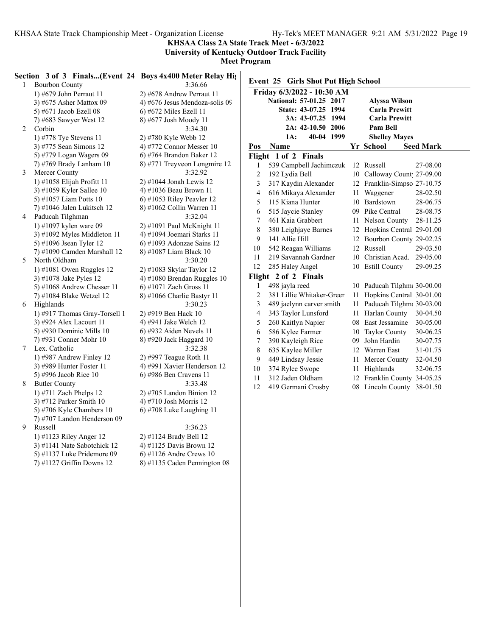**KHSAA Class 2A State Track Meet - 6/3/2022**

**University of Kentucky Outdoor Track Facility**

|                | Section 3 of 3 Finals(Event 24 Boys 4x400 Meter Relay Hights) |                                 |                |                                     |    |                             |                  |
|----------------|---------------------------------------------------------------|---------------------------------|----------------|-------------------------------------|----|-----------------------------|------------------|
| $\mathbf{1}$   | <b>Bourbon County</b>                                         | 3:36.66                         |                | Event 25 Girls Shot Put High School |    |                             |                  |
|                | 1) #679 John Perraut 11                                       | 2) #678 Andrew Perraut 11       |                | Friday 6/3/2022 - 10:30 AM          |    |                             |                  |
|                | 3) #675 Asher Mattox 09                                       | 4) #676 Jesus Mendoza-solis 09  |                | National: 57-01.25 2017             |    | <b>Alyssa Wilson</b>        |                  |
|                | 5) #671 Jacob Ezell 08                                        | $(6)$ #672 Miles Ezell 11       |                | State: 43-07.25 1994                |    | <b>Carla Prewitt</b>        |                  |
|                | 7) #683 Sawyer West 12                                        | 8) #677 Josh Moody 11           |                | 3A: 43-07.25 1994                   |    | <b>Carla Prewitt</b>        |                  |
| $\overline{2}$ | Corbin                                                        | 3:34.30                         |                | 2A: 42-10.50 2006                   |    | Pam Bell                    |                  |
|                | 1) #778 Tye Stevens 11                                        | 2) #780 Kyle Webb 12            |                | 40-04 1999<br>$1A$ :                |    | <b>Shelley Mayes</b>        |                  |
|                | 3) #775 Sean Simons 12                                        | 4) #772 Connor Messer 10        | Pos            | Name                                |    | Yr School                   | <b>Seed Mark</b> |
|                | 5) #779 Logan Wagers 09                                       | 6) #764 Brandon Baker 12        |                | Flight 1 of 2 Finals                |    |                             |                  |
|                | 7) #769 Brady Lanham 10                                       | 8) #771 Treyveon Longmire 12    | 1              | 539 Campbell Jachimczuk             |    | 12 Russell                  | 27-08.00         |
| 3              | Mercer County                                                 | 3:32.92                         | $\overline{c}$ | 192 Lydia Bell                      |    | 10 Calloway Count 27-09.00  |                  |
|                | 1) #1058 Elijah Profitt 11                                    | 2) #1044 Jonah Lewis 12         | 3              | 317 Kaydin Alexander                |    | 12 Franklin-Simpso 27-10.75 |                  |
|                | 3) #1059 Kyler Sallee 10                                      | 4) #1036 Beau Brown 11          | 4              | 616 Mikaya Alexander                |    | 11 Waggener                 | 28-02.50         |
|                | 5) #1057 Liam Potts 10                                        | $(6)$ #1053 Riley Peavler 12    | 5              | 115 Kiana Hunter                    |    | 10 Bardstown                | 28-06.75         |
|                | $(7)$ #1046 Jalen Lukitsch 12                                 | 8) #1062 Collin Warren 11       |                | 515 Jaycie Stanley                  |    | 09 Pike Central             | 28-08.75         |
| 4              | Paducah Tilghman                                              | 3:32.04                         | 6              |                                     |    |                             |                  |
|                | 1) #1097 kylen ware 09                                        | 2) #1091 Paul McKnight 11       | 7              | 461 Kaia Grabbert                   |    | 11 Nelson County            | 28-11.25         |
|                | $3)$ #1092 Myles Middleton 11                                 | 4) #1094 Joemari Starks 11      | $\,$ 8 $\,$    | 380 Leighjaye Barnes                |    | 12 Hopkins Central 29-01.00 |                  |
|                | 5) #1096 Jsean Tyler 12                                       | 6) #1093 Adonzae Sains 12       | 9              | 141 Allie Hill                      |    | 12 Bourbon County 29-02.25  |                  |
|                | 7) #1090 Camden Marshall 12                                   | 8) #1087 Liam Black 10          | 10             | 542 Reagan Williams                 |    | 12 Russell                  | 29-03.50         |
| 5              | North Oldham                                                  | 3:30.20                         | 11             | 219 Savannah Gardner                |    | 10 Christian Acad. 29-05.00 |                  |
|                | 1) #1081 Owen Ruggles $12$                                    | 2) #1083 Skylar Taylor 12       | 12             | 285 Haley Angel                     |    | 10 Estill County            | 29-09.25         |
|                | 3) #1078 Jake Pyles 12                                        | 4) #1080 Brendan Ruggles $10$   |                | Flight 2 of 2 Finals                |    |                             |                  |
|                | 5) #1068 Andrew Chesser 11                                    | 6) #1071 Zach Gross 11          | 1              | 498 jayla reed                      |    | 10 Paducah Tilghma 30-00.00 |                  |
|                | 7) #1084 Blake Wetzel 12                                      | $(8)$ #1066 Charlie Bastyr 11   | $\sqrt{2}$     | 381 Lillie Whitaker-Greer           | 11 | Hopkins Central 30-01.00    |                  |
| 6              | Highlands                                                     | 3:30.23                         | 3              | 489 jaelynn carver smith            |    | 11 Paducah Tilghma 30-03.00 |                  |
|                | 1) #917 Thomas Gray-Torsell 1                                 | 2) #919 Ben Hack 10             | 4              | 343 Taylor Lunsford                 |    | 11 Harlan County            | 30-04.50         |
|                | 3) #924 Alex Lacourt 11                                       | 4) #941 Jake Welch 12           | 5              | 260 Kaitlyn Napier                  |    | 08 East Jessamine           | 30-05.00         |
|                | 5) #930 Dominic Mills $10$                                    | $(6)$ #932 Aiden Nevels 11      | 6              | 586 Kylee Farmer                    |    | 10 Taylor County            | 30-06.25         |
|                | 7) #931 Conner Mohr 10                                        | 8) #920 Jack Haggard 10         | 7              | 390 Kayleigh Rice                   |    | 09 John Hardin              | 30-07.75         |
| $\tau$         | Lex. Catholic                                                 | 3:32.38                         | $\,$ $\,$      | 635 Kaylee Miller                   |    | 12 Warren East              | 31-01.75         |
|                | 1) #987 Andrew Finley 12                                      | 2) #997 Teague Roth 11          | 9              | 449 Lindsay Jessie                  |    | 11 Mercer County            | 32-04.50         |
|                | 3) #989 Hunter Foster 11                                      | 4) #991 Xavier Henderson 12     | 10             | 374 Rylee Swope                     |    | 11 Highlands                | 32-06.75         |
|                | 5) #996 Jacob Rice 10                                         | 6) #986 Ben Cravens 11          | 11             | 312 Jaden Oldham                    |    | 12 Franklin County 34-05.25 |                  |
| 8              | <b>Butler County</b>                                          | 3:33.48                         | 12             | 419 Germani Crosby                  |    | 08 Lincoln County 38-01.50  |                  |
|                | 1) #711 Zach Phelps $12$                                      | $2)$ #705 Landon Binion 12      |                |                                     |    |                             |                  |
|                | 3) #712 Parker Smith 10                                       | 4) #710 Josh Morris 12          |                |                                     |    |                             |                  |
|                | 5) #706 Kyle Chambers 10                                      | $(6)$ #708 Luke Laughing 11     |                |                                     |    |                             |                  |
|                | 7) #707 Landon Henderson 09                                   |                                 |                |                                     |    |                             |                  |
| 9              | Russell                                                       | 3:36.23                         |                |                                     |    |                             |                  |
|                | 1) #1123 Riley Anger 12                                       | 2) #1124 Brady Bell 12          |                |                                     |    |                             |                  |
|                | 3) #1141 Nate Sabotchick 12                                   | 4) #1125 Davis Brown 12         |                |                                     |    |                             |                  |
|                | 5) #1137 Luke Pridemore 09                                    | $(6)$ #1126 Andre Crews 10      |                |                                     |    |                             |                  |
|                | 7) #1127 Griffin Downs 12                                     | $(8)$ #1135 Caden Pennington 08 |                |                                     |    |                             |                  |
|                |                                                               |                                 |                |                                     |    |                             |                  |
|                |                                                               |                                 |                |                                     |    |                             |                  |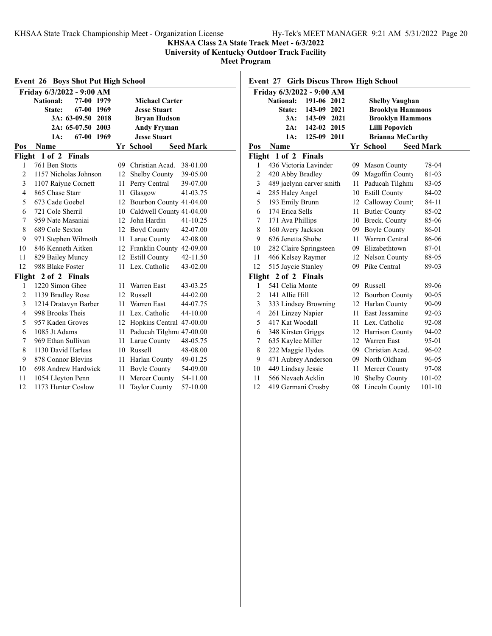**KHSAA Class 2A State Track Meet - 6/3/2022**

**University of Kentucky Outdoor Track Facility**

**Meet Program**

| <b>Event 26 Boys Shot Put High School</b> |                                                            |     |                             |                  |  |  |  |  |  |  |
|-------------------------------------------|------------------------------------------------------------|-----|-----------------------------|------------------|--|--|--|--|--|--|
|                                           | Friday 6/3/2022 - 9:00 AM                                  |     |                             |                  |  |  |  |  |  |  |
|                                           | <b>National:</b><br>77-00<br>1979<br><b>Michael Carter</b> |     |                             |                  |  |  |  |  |  |  |
|                                           | 67-00 1969<br>State:                                       |     | <b>Jesse Stuart</b>         |                  |  |  |  |  |  |  |
|                                           | 3A: 63-09.50 2018                                          |     | <b>Bryan Hudson</b>         |                  |  |  |  |  |  |  |
|                                           | 2A: 65-07.50 2003                                          |     | <b>Andy Fryman</b>          |                  |  |  |  |  |  |  |
|                                           | 67-00 1969<br>1A:                                          |     | <b>Jesse Stuart</b>         |                  |  |  |  |  |  |  |
| Pos                                       | <b>Name</b>                                                |     | Yr School                   | <b>Seed Mark</b> |  |  |  |  |  |  |
| Flight                                    | 1 of 2<br><b>Finals</b>                                    |     |                             |                  |  |  |  |  |  |  |
| 1                                         | 761 Ben Stotts                                             | 09. | Christian Acad.             | 38-01.00         |  |  |  |  |  |  |
| $\overline{2}$                            | 1157 Nicholas Johnson                                      | 12  | Shelby County               | 39-05.00         |  |  |  |  |  |  |
| 3                                         | 1107 Raiyne Cornett                                        | 11  | Perry Central               | 39-07.00         |  |  |  |  |  |  |
| $\overline{4}$                            | 865 Chase Starr                                            | 11  | Glasgow                     | 41-03.75         |  |  |  |  |  |  |
| 5                                         | 673 Cade Goebel                                            | 12  | Bourbon County 41-04.00     |                  |  |  |  |  |  |  |
| 6                                         | 721 Cole Sherril                                           | 10  | Caldwell County 41-04.00    |                  |  |  |  |  |  |  |
| 7                                         | 959 Nate Masaniai                                          |     | 12 John Hardin              | 41-10.25         |  |  |  |  |  |  |
| 8                                         | 689 Cole Sexton                                            |     | 12 Boyd County              | 42-07.00         |  |  |  |  |  |  |
| 9                                         | 971 Stephen Wilmoth                                        |     | 11 Larue County             | 42-08.00         |  |  |  |  |  |  |
| 10                                        | 846 Kenneth Aitken                                         |     | 12 Franklin County 42-09.00 |                  |  |  |  |  |  |  |
| 11                                        | 829 Bailey Muncy                                           |     | 12 Estill County            | 42-11.50         |  |  |  |  |  |  |
| 12                                        | 988 Blake Foster                                           | 11  | Lex. Catholic               | 43-02.00         |  |  |  |  |  |  |
| Flight                                    | 2 of 2 Finals                                              |     |                             |                  |  |  |  |  |  |  |
| 1                                         | 1220 Simon Ghee                                            | 11  | Warren East                 | 43-03.25         |  |  |  |  |  |  |
| $\overline{2}$                            | 1139 Bradley Rose                                          | 12  | <b>Russell</b>              | 44-02.00         |  |  |  |  |  |  |
| 3                                         | 1214 Dratavyn Barber                                       | 11  | Warren East                 | 44-07.75         |  |  |  |  |  |  |
| $\overline{4}$                            | 998 Brooks Theis                                           | 11  | Lex. Catholic               | 44-10.00         |  |  |  |  |  |  |
| 5                                         | 957 Kaden Groves                                           |     | 12 Hopkins Central 47-00.00 |                  |  |  |  |  |  |  |
| 6                                         | 1085 Jt Adams                                              |     | 11 Paducah Tilghm: 47-00.00 |                  |  |  |  |  |  |  |
| 7                                         | 969 Ethan Sullivan                                         |     | 11 Larue County             | 48-05.75         |  |  |  |  |  |  |
| 8                                         | 1130 David Harless                                         |     | 10 Russell                  | 48-08.00         |  |  |  |  |  |  |
| 9                                         | 878 Connor Blevins                                         | 11  | Harlan County               | 49-01.25         |  |  |  |  |  |  |
| 10                                        | 698 Andrew Hardwick                                        | 11  | <b>Boyle County</b>         | 54-09.00         |  |  |  |  |  |  |
| 11                                        | 1054 Lleyton Penn                                          | 11  | Mercer County               | 54-11.00         |  |  |  |  |  |  |
| 12                                        | 1173 Hunter Coslow                                         | 11  | <b>Taylor County</b>        | 57-10.00         |  |  |  |  |  |  |

**Event 27 Girls Discus Throw High School**

|                | Friday 6/3/2022 - 9:00 AM          |    |                         |                  |
|----------------|------------------------------------|----|-------------------------|------------------|
|                | <b>National:</b><br>191-06<br>2012 |    | <b>Shelby Vaughan</b>   |                  |
|                | 143-09<br>2021<br>State:           |    | <b>Brooklyn Hammons</b> |                  |
|                | 3A:<br>143-09 2021                 |    | <b>Brooklyn Hammons</b> |                  |
|                | 142-02 2015<br>2A:                 |    | <b>Lilli Popovich</b>   |                  |
|                | 1A:<br>125-09<br>2011              |    | <b>Brianna McCarthy</b> |                  |
| Pos            | Name                               |    | Yr School               | <b>Seed Mark</b> |
| Flight         | $1$ of $2$<br><b>Finals</b>        |    |                         |                  |
| 1              | 436 Victoria Lavinder              |    | 09 Mason County         | 78-04            |
| $\overline{c}$ | 420 Abby Bradley                   | 09 | Magoffin County         | 81-03            |
| 3              | 489 jaelynn carver smith           | 11 | Paducah Tilghma         | 83-05            |
| 4              | 285 Haley Angel                    |    | 10 Estill County        | 84-02            |
| 5              | 193 Emily Brunn                    | 12 | Calloway Count          | 84-11            |
| 6              | 174 Erica Sells                    | 11 | <b>Butler County</b>    | 85-02            |
| 7              | 171 Ava Phillips                   |    | 10 Breck. County        | 85-06            |
| 8              | 160 Avery Jackson                  |    | 09 Boyle County         | 86-01            |
| 9              | 626 Jenetta Shobe                  | 11 | Warren Central          | 86-06            |
| 10             | 282 Claire Springsteen             |    | 09 Elizabethtown        | 87-01            |
| 11             | 466 Kelsey Raymer                  |    | 12 Nelson County        | 88-05            |
| 12             | 515 Jaycie Stanley                 | 09 | Pike Central            | 89-03            |
| Flight         | 2 of 2 Finals                      |    |                         |                  |
| 1              | 541 Celia Monte                    | 09 | Russell                 | 89-06            |
| $\overline{2}$ | 141 Allie Hill                     | 12 | <b>Bourbon County</b>   | $90 - 05$        |
| 3              | 333 Lindsey Browning               |    | 12 Harlan County        | 90-09            |
| 4              | 261 Linzey Napier                  |    | 11 East Jessamine       | 92-03            |
| 5              | 417 Kat Woodall                    |    | 11 Lex. Catholic        | 92-08            |
| 6              | 348 Kirsten Griggs                 | 12 | Harrison County         | 94-02            |
| 7              | 635 Kaylee Miller                  | 12 | Warren East             | 95-01            |
| 8              | 222 Maggie Hydes                   |    | 09 Christian Acad.      | 96-02            |
| 9              | 471 Aubrey Anderson                |    | 09 North Oldham         | 96-05            |
| 10             | 449 Lindsay Jessie                 | 11 | Mercer County           | 97-08            |
| 11             | 566 Nevaeh Acklin                  | 10 | <b>Shelby County</b>    | 101-02           |
| 12             | 419 Germani Crosby                 | 08 | Lincoln County          | $101 - 10$       |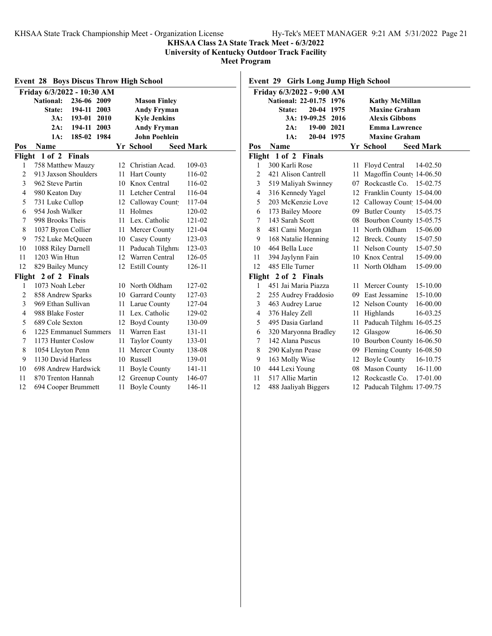## **KHSAA Class 2A State Track Meet - 6/3/2022**

**University of Kentucky Outdoor Track Facility**

**Meet Program**

| <b>Boys Discus Throw High School</b><br>Event 28 |                                 |      |                      |                  |  |  |  |  |  |
|--------------------------------------------------|---------------------------------|------|----------------------|------------------|--|--|--|--|--|
|                                                  | Friday 6/3/2022 - 10:30 AM      |      |                      |                  |  |  |  |  |  |
|                                                  | 236-06 2009<br><b>National:</b> |      | <b>Mason Finley</b>  |                  |  |  |  |  |  |
|                                                  | State:<br>194-11<br>2003        |      | <b>Andy Fryman</b>   |                  |  |  |  |  |  |
|                                                  | 3A:<br>193-01<br>2010           |      | <b>Kyle Jenkins</b>  |                  |  |  |  |  |  |
|                                                  | 2A:<br>194-11<br>2003           |      | <b>Andy Fryman</b>   |                  |  |  |  |  |  |
|                                                  | 1A:<br>185-02<br>1984           |      | <b>John Poehlein</b> |                  |  |  |  |  |  |
| Pos                                              | Name                            |      | Yr School            | <b>Seed Mark</b> |  |  |  |  |  |
|                                                  | Flight 1 of 2<br><b>Finals</b>  |      |                      |                  |  |  |  |  |  |
| 1                                                | 758 Matthew Mauzy               |      | 12 Christian Acad.   | 109-03           |  |  |  |  |  |
| 2                                                | 913 Jaxson Shoulders            | 11   | <b>Hart County</b>   | 116-02           |  |  |  |  |  |
| 3                                                | 962 Steve Partin                | 10   | Knox Central         | 116-02           |  |  |  |  |  |
| $\overline{4}$                                   | 980 Keaton Day                  | 11   | Letcher Central      | 116-04           |  |  |  |  |  |
| 5                                                | 731 Luke Cullop                 |      | 12 Calloway Count    | 117-04           |  |  |  |  |  |
| 6                                                | 954 Josh Walker                 |      | 11 Holmes            | 120-02           |  |  |  |  |  |
| 7                                                | 998 Brooks Theis                |      | 11 Lex. Catholic     | 121-02           |  |  |  |  |  |
| 8                                                | 1037 Byron Collier              | 11   | Mercer County        | 121-04           |  |  |  |  |  |
| 9                                                | 752 Luke McQueen                |      | 10 Casey County      | 123-03           |  |  |  |  |  |
| 10                                               | 1088 Riley Darnell              | 11   | Paducah Tilghma      | 123-03           |  |  |  |  |  |
| 11                                               | 1203 Win Htun                   |      | 12 Warren Central    | 126-05           |  |  |  |  |  |
| 12                                               | 829 Bailey Muncy                | 12   | <b>Estill County</b> | 126-11           |  |  |  |  |  |
| Flight                                           | 2 of 2 Finals                   |      |                      |                  |  |  |  |  |  |
| 1                                                | 1073 Noah Leber                 |      | 10 North Oldham      | 127-02           |  |  |  |  |  |
| 2                                                | 858 Andrew Sparks               |      | 10 Garrard County    | 127-03           |  |  |  |  |  |
| 3                                                | 969 Ethan Sullivan              |      | 11 Larue County      | 127-04           |  |  |  |  |  |
| 4                                                | 988 Blake Foster                | 11 - | Lex. Catholic        | 129-02           |  |  |  |  |  |
| 5                                                | 689 Cole Sexton                 | 12   | <b>Boyd County</b>   | 130-09           |  |  |  |  |  |
| 6                                                | 1225 Emmanuel Summers           | 11   | Warren East          | 131-11           |  |  |  |  |  |
| 7                                                | 1173 Hunter Coslow              | 11   | <b>Taylor County</b> | 133-01           |  |  |  |  |  |
| 8                                                | 1054 Lleyton Penn               | 11   | Mercer County        | 138-08           |  |  |  |  |  |
| 9                                                | 1130 David Harless              | 10   | Russell              | 139-01           |  |  |  |  |  |
| 10                                               | 698 Andrew Hardwick             | 11   | <b>Boyle County</b>  | 141-11           |  |  |  |  |  |
| 11                                               | 870 Trenton Hannah              | 12   | Greenup County       | 146-07           |  |  |  |  |  |
| 12                                               | 694 Cooper Brummett             | 11   | <b>Boyle County</b>  | 146-11           |  |  |  |  |  |

**Event 29 Girls Long Jump High School**

|                | Friday 6/3/2022 - 9:00 AM |    |                             |                  |
|----------------|---------------------------|----|-----------------------------|------------------|
|                | National: 22-01.75 1976   |    | <b>Kathy McMillan</b>       |                  |
|                | 20-04 1975<br>State:      |    | <b>Maxine Graham</b>        |                  |
|                | 3A: 19-09.25 2016         |    | <b>Alexis Gibbons</b>       |                  |
|                | 19-00 2021<br>2A:         |    | <b>Emma Lawrence</b>        |                  |
|                | 20-04 1975<br>1A:         |    | <b>Maxine Graham</b>        |                  |
| Pos            | Name                      |    | Yr School                   | <b>Seed Mark</b> |
|                | Flight 1 of 2 Finals      |    |                             |                  |
| 1              | 300 Karli Rose            | 11 | Floyd Central               | 14-02.50         |
| $\overline{c}$ | 421 Alison Cantrell       | 11 | Magoffin County 14-06.50    |                  |
| 3              | 519 Maliyah Swinney       |    | 07 Rockcastle Co.           | 15-02.75         |
| 4              | 316 Kennedy Yagel         |    | 12 Franklin County 15-04.00 |                  |
| 5              | 203 McKenzie Love         |    | 12 Calloway Count 15-04.00  |                  |
| 6              | 173 Bailey Moore          |    | 09 Butler County            | 15-05.75         |
| 7              | 143 Sarah Scott           |    | 08 Bourbon County 15-05.75  |                  |
| 8              | 481 Cami Morgan           |    | 11 North Oldham             | 15-06.00         |
| 9              | 168 Natalie Henning       |    | 12 Breck. County            | 15-07.50         |
| 10             | 464 Bella Luce            |    | 11 Nelson County            | 15-07.50         |
| 11             | 394 Jaylynn Fain          |    | 10 Knox Central             | 15-09.00         |
| 12             | 485 Elle Turner           | 11 | North Oldham                | 15-09.00         |
| Flight         | 2 of 2 Finals             |    |                             |                  |
| 1              | 451 Jai Maria Piazza      | 11 | Mercer County               | 15-10.00         |
| 2              | 255 Audrey Fraddosio      |    | 09 East Jessamine           | 15-10.00         |
| 3              | 463 Audrey Larue          |    | 12 Nelson County            | 16-00.00         |
| 4              | 376 Haley Zell            | 11 | Highlands                   | 16-03.25         |
| 5              | 495 Dasia Garland         | 11 | Paducah Tilghma 16-05.25    |                  |
| 6              | 320 Maryonna Bradley      |    | 12 Glasgow                  | 16-06.50         |
| 7              | 142 Alana Puscus          |    | 10 Bourbon County 16-06.50  |                  |
| 8              | 290 Kalynn Pease          |    | 09 Fleming County 16-08.50  |                  |
| 9              | 163 Molly Wise            |    | 12 Boyle County             | 16-10.75         |
| 10             | 444 Lexi Young            |    | 08 Mason County             | 16-11.00         |
| 11             | 517 Allie Martin          | 12 | Rockcastle Co.              | 17-01.00         |
| 12             | 488 Jaaliyah Biggers      |    | 12 Paducah Tilghma 17-09.75 |                  |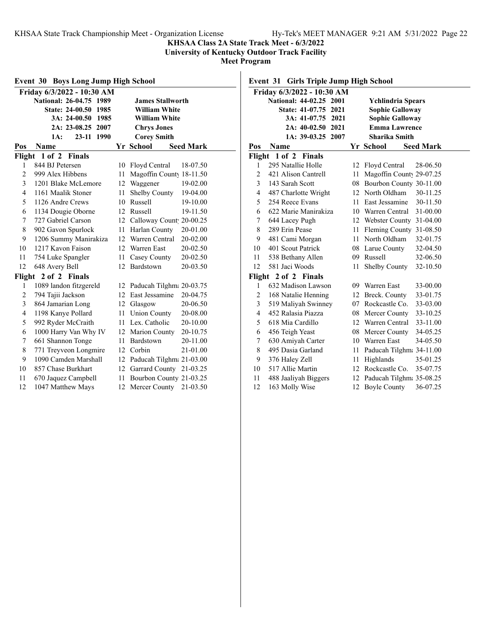## **KHSAA Class 2A State Track Meet - 6/3/2022**

**University of Kentucky Outdoor Track Facility**

**Meet Program**

| <b>Event 30 Boys Long Jump High School</b> |                                                    |                 |                             |                  |  |  |  |  |  |  |
|--------------------------------------------|----------------------------------------------------|-----------------|-----------------------------|------------------|--|--|--|--|--|--|
|                                            | Friday 6/3/2022 - 10:30 AM                         |                 |                             |                  |  |  |  |  |  |  |
|                                            | National: 26-04.75 1989<br><b>James Stallworth</b> |                 |                             |                  |  |  |  |  |  |  |
|                                            | <b>State: 24-00.50</b><br>1985                     |                 | <b>William White</b>        |                  |  |  |  |  |  |  |
|                                            | 3A: 24-00.50 1985                                  |                 | <b>William White</b>        |                  |  |  |  |  |  |  |
|                                            | 2A: 23-08.25 2007                                  |                 | <b>Chrys Jones</b>          |                  |  |  |  |  |  |  |
|                                            | $23 - 11$<br>1990<br>1A:                           |                 | <b>Corey Smith</b>          |                  |  |  |  |  |  |  |
| Pos                                        | Name                                               |                 | Yr School                   | <b>Seed Mark</b> |  |  |  |  |  |  |
|                                            | Flight 1 of 2 Finals                               |                 |                             |                  |  |  |  |  |  |  |
| 1                                          | 844 BJ Petersen                                    | 10              | Floyd Central               | 18-07.50         |  |  |  |  |  |  |
| $\overline{2}$                             | 999 Alex Hibbens                                   | 11              | Magoffin County 18-11.50    |                  |  |  |  |  |  |  |
| 3                                          | 1201 Blake McLemore                                | 12              | Waggener                    | 19-02.00         |  |  |  |  |  |  |
| $\overline{4}$                             | 1161 Maalik Stoner                                 | 11              | Shelby County               | 19-04.00         |  |  |  |  |  |  |
| 5                                          | 1126 Andre Crews                                   | 10              | Russell                     | 19-10.00         |  |  |  |  |  |  |
| 6                                          | 1134 Dougie Oborne                                 | 12              | Russell                     | 19-11.50         |  |  |  |  |  |  |
| 7                                          | 727 Gabriel Carson                                 | 12              | Calloway Count 20-00.25     |                  |  |  |  |  |  |  |
| 8                                          | 902 Gavon Spurlock                                 | 11              | Harlan County               | 20-01.00         |  |  |  |  |  |  |
| 9                                          | 1206 Summy Manirakiza                              | 12              | Warren Central              | 20-02.00         |  |  |  |  |  |  |
| 10                                         | 1217 Kavon Faison                                  | 12              | Warren East                 | 20-02.50         |  |  |  |  |  |  |
| 11                                         | 754 Luke Spangler                                  | 11              | Casey County                | 20-02.50         |  |  |  |  |  |  |
| 12                                         | 648 Avery Bell                                     | 12              | Bardstown                   | 20-03.50         |  |  |  |  |  |  |
| Flight                                     | 2 of 2 Finals                                      |                 |                             |                  |  |  |  |  |  |  |
| 1                                          | 1089 landon fitzgereld                             |                 | 12 Paducah Tilghm: 20-03.75 |                  |  |  |  |  |  |  |
| 2                                          | 794 Tajii Jackson                                  | 12 <sub>1</sub> | East Jessamine              | 20-04.75         |  |  |  |  |  |  |
| 3                                          | 864 Jamarian Long                                  | 12              | Glasgow                     | 20-06.50         |  |  |  |  |  |  |
| $\overline{4}$                             | 1198 Kanye Pollard                                 | 11              | <b>Union County</b>         | 20-08.00         |  |  |  |  |  |  |
| 5                                          | 992 Ryder McCraith                                 | 11              | Lex. Catholic               | 20-10.00         |  |  |  |  |  |  |
| 6                                          | 1000 Harry Van Why IV                              |                 | 12 Marion County            | 20-10.75         |  |  |  |  |  |  |
| 7                                          | 661 Shannon Tonge                                  | 11              | Bardstown                   | 20-11.00         |  |  |  |  |  |  |
| 8                                          | 771 Treyveon Longmire                              | 12              | Corbin                      | 21-01.00         |  |  |  |  |  |  |
| 9                                          | 1090 Camden Marshall                               |                 | 12 Paducah Tilghm: 21-03.00 |                  |  |  |  |  |  |  |
| 10                                         | 857 Chase Burkhart                                 |                 | 12 Garrard County 21-03.25  |                  |  |  |  |  |  |  |
| 11                                         | 670 Jaquez Campbell                                | 11              | Bourbon County 21-03.25     |                  |  |  |  |  |  |  |
| 12                                         | 1047 Matthew Mays                                  | 12              | Mercer County               | 21-03.50         |  |  |  |  |  |  |

## **Event 31 Girls Triple Jump High School**

| Friday 6/3/2022 - 10:30 AM                   |                      |    |                            |                  |  |  |  |  |  |  |
|----------------------------------------------|----------------------|----|----------------------------|------------------|--|--|--|--|--|--|
| National: 44-02.25 2001<br>Ychlindria Spears |                      |    |                            |                  |  |  |  |  |  |  |
|                                              | State: 41-07.75 2021 |    | <b>Sophie Galloway</b>     |                  |  |  |  |  |  |  |
|                                              | 3A: 41-07.75 2021    |    | <b>Sophie Galloway</b>     |                  |  |  |  |  |  |  |
|                                              | 2A: 40-02.50 2021    |    | <b>Emma Lawrence</b>       |                  |  |  |  |  |  |  |
|                                              | 1A: 39-03.25 2007    |    | <b>Sharika Smith</b>       |                  |  |  |  |  |  |  |
| Pos                                          | Name                 |    | Yr School                  | <b>Seed Mark</b> |  |  |  |  |  |  |
|                                              | Flight 1 of 2 Finals |    |                            |                  |  |  |  |  |  |  |
| 1                                            | 295 Natallie Holle   |    | 12 Floyd Central           | 28-06.50         |  |  |  |  |  |  |
| 2                                            | 421 Alison Cantrell  | 11 | Magoffin County 29-07.25   |                  |  |  |  |  |  |  |
| 3                                            | 143 Sarah Scott      |    | 08 Bourbon County 30-11.00 |                  |  |  |  |  |  |  |
| 4                                            | 487 Charlotte Wright |    | 12 North Oldham            | 30-11.25         |  |  |  |  |  |  |
| 5                                            | 254 Reece Evans      | 11 | East Jessamine             | 30-11.50         |  |  |  |  |  |  |
| 6                                            | 622 Marie Manirakiza | 10 | Warren Central             | 31-00.00         |  |  |  |  |  |  |
| 7                                            | 644 Lacey Pugh       |    | 12 Webster County 31-04.00 |                  |  |  |  |  |  |  |
| 8                                            | 289 Erin Pease       | 11 | Fleming County 31-08.50    |                  |  |  |  |  |  |  |
| 9                                            | 481 Cami Morgan      |    | 11 North Oldham            | 32-01.75         |  |  |  |  |  |  |
| 10                                           | 401 Scout Patrick    |    | 08 Larue County            | 32-04.50         |  |  |  |  |  |  |
| 11                                           | 538 Bethany Allen    |    | 09 Russell                 | 32-06.50         |  |  |  |  |  |  |
| 12                                           | 581 Jaci Woods       | 11 | Shelby County              | 32-10.50         |  |  |  |  |  |  |
| Flight                                       | 2 of 2 Finals        |    |                            |                  |  |  |  |  |  |  |
| 1                                            | 632 Madison Lawson   |    | 09 Warren East             | 33-00.00         |  |  |  |  |  |  |
| 2                                            | 168 Natalie Henning  |    | 12 Breck. County           | 33-01.75         |  |  |  |  |  |  |
| 3                                            | 519 Maliyah Swinney  |    | 07 Rockcastle Co.          | 33-03.00         |  |  |  |  |  |  |
| $\overline{4}$                               | 452 Ralasia Piazza   |    | 08 Mercer County           | 33-10.25         |  |  |  |  |  |  |
| 5                                            | 618 Mia Cardillo     |    | 12 Warren Central          | 33-11.00         |  |  |  |  |  |  |
| 6                                            | 456 Teigh Yeast      |    | 08 Mercer County           | 34-05.25         |  |  |  |  |  |  |
| 7                                            | 630 Amiyah Carter    |    | 10 Warren East             | 34-05.50         |  |  |  |  |  |  |
| 8                                            | 495 Dasia Garland    | 11 | Paducah Tilghm: 34-11.00   |                  |  |  |  |  |  |  |
| 9                                            | 376 Haley Zell       | 11 | Highlands                  | 35-01.25         |  |  |  |  |  |  |
| 10                                           | 517 Allie Martin     |    | 12 Rockcastle Co.          | 35-07.75         |  |  |  |  |  |  |
| 11                                           | 488 Jaaliyah Biggers | 12 | Paducah Tilghma 35-08.25   |                  |  |  |  |  |  |  |
| 12                                           | 163 Molly Wise       | 12 | <b>Boyle County</b>        | 36-07.25         |  |  |  |  |  |  |
|                                              |                      |    |                            |                  |  |  |  |  |  |  |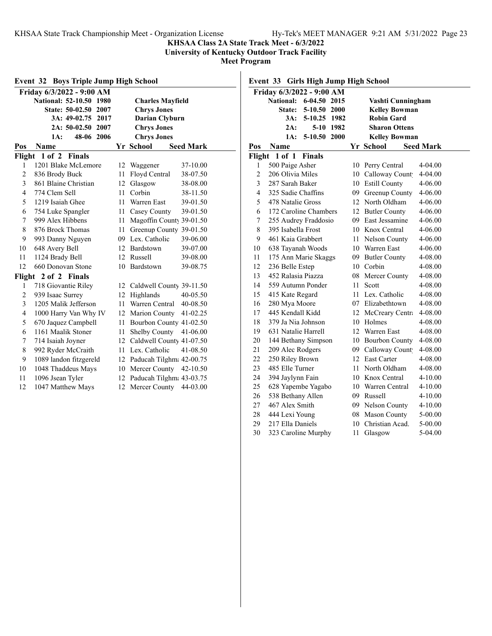**KHSAA Class 2A State Track Meet - 6/3/2022**

**University of Kentucky Outdoor Track Facility**

**Meet Program**

 $\overline{\phantom{a}}$ 

| <b>Event 32 Boys Triple Jump High School</b> |                                                    |                  |                             |                  |  |  |  |  |  |  |
|----------------------------------------------|----------------------------------------------------|------------------|-----------------------------|------------------|--|--|--|--|--|--|
|                                              | Friday 6/3/2022 - 9:00 AM                          |                  |                             |                  |  |  |  |  |  |  |
|                                              | National: 52-10.50 1980<br><b>Charles Mayfield</b> |                  |                             |                  |  |  |  |  |  |  |
|                                              | <b>State: 50-02.50</b><br>2007                     |                  | <b>Chrys Jones</b>          |                  |  |  |  |  |  |  |
|                                              | 3A: 49-02.75<br>2017                               |                  | <b>Darian Clyburn</b>       |                  |  |  |  |  |  |  |
|                                              | 2A: 50-02.50 2007                                  |                  | <b>Chrys Jones</b>          |                  |  |  |  |  |  |  |
|                                              | 48-06 2006<br>1A:                                  |                  | <b>Chrys Jones</b>          |                  |  |  |  |  |  |  |
| Pos                                          | <b>Name</b>                                        |                  | Yr School                   | <b>Seed Mark</b> |  |  |  |  |  |  |
| Flight                                       | 1 of 2 Finals                                      |                  |                             |                  |  |  |  |  |  |  |
| 1                                            | 1201 Blake McLemore                                | 12               | Waggener                    | 37-10.00         |  |  |  |  |  |  |
| 2                                            | 836 Brody Buck                                     | 11               | Floyd Central               | 38-07.50         |  |  |  |  |  |  |
| 3                                            | 861 Blaine Christian                               |                  | 12 Glasgow                  | 38-08.00         |  |  |  |  |  |  |
| $\overline{4}$                               | 774 Clem Sell                                      | 11               | Corbin                      | 38-11.50         |  |  |  |  |  |  |
| 5                                            | 1219 Isaiah Ghee                                   | 11               | Warren East                 | 39-01.50         |  |  |  |  |  |  |
| 6                                            | 754 Luke Spangler                                  | 11               | Casey County                | 39-01.50         |  |  |  |  |  |  |
| 7                                            | 999 Alex Hibbens                                   | 11               | Magoffin County 39-01.50    |                  |  |  |  |  |  |  |
| 8                                            | 876 Brock Thomas                                   | 11               | Greenup County 39-01.50     |                  |  |  |  |  |  |  |
| 9                                            | 993 Danny Nguyen                                   |                  | 09 Lex. Catholic            | 39-06.00         |  |  |  |  |  |  |
| 10                                           | 648 Avery Bell                                     |                  | 12 Bardstown                | 39-07.00         |  |  |  |  |  |  |
| 11                                           | 1124 Brady Bell                                    | 12               | Russell                     | 39-08.00         |  |  |  |  |  |  |
| 12                                           | 660 Donovan Stone                                  |                  | 10 Bardstown                | 39-08.75         |  |  |  |  |  |  |
|                                              | Flight 2 of 2 Finals                               |                  |                             |                  |  |  |  |  |  |  |
| 1                                            | 718 Giovantie Riley                                |                  | 12 Caldwell County 39-11.50 |                  |  |  |  |  |  |  |
| $\overline{c}$                               | 939 Isaac Surrey                                   | 12 <sup>12</sup> | Highlands                   | 40-05.50         |  |  |  |  |  |  |
| 3                                            | 1205 Malik Jefferson                               | 11               | Warren Central              | 40-08.50         |  |  |  |  |  |  |
| 4                                            | 1000 Harry Van Why IV                              |                  | 12 Marion County            | $41 - 02.25$     |  |  |  |  |  |  |
| 5                                            | 670 Jaquez Campbell                                |                  | 11 Bourbon County 41-02.50  |                  |  |  |  |  |  |  |
| 6                                            | 1161 Maalik Stoner                                 |                  | 11 Shelby County 41-06.00   |                  |  |  |  |  |  |  |
| 7                                            | 714 Isaiah Joyner                                  |                  | 12 Caldwell County 41-07.50 |                  |  |  |  |  |  |  |
| 8                                            | 992 Ryder McCraith                                 |                  | 11 Lex. Catholic            | 41-08.50         |  |  |  |  |  |  |
| 9                                            | 1089 landon fitzgereld                             |                  | 12 Paducah Tilghma 42-00.75 |                  |  |  |  |  |  |  |
| 10                                           | 1048 Thaddeus Mays                                 |                  | 10 Mercer County 42-10.50   |                  |  |  |  |  |  |  |
| 11                                           | 1096 Jsean Tyler                                   |                  | 12 Paducah Tilghm: 43-03.75 |                  |  |  |  |  |  |  |
| 12                                           | 1047 Matthew Mays                                  | 12               | Mercer County               | 44-03.00         |  |  |  |  |  |  |

**Event 33 Girls High Jump High School**

| Friday 6/3/2022 - 9:00 AM |                                  |    |                       |                  |  |  |  |
|---------------------------|----------------------------------|----|-----------------------|------------------|--|--|--|
|                           | <b>National:</b><br>6-04.50 2015 |    | Vashti Cunningham     |                  |  |  |  |
|                           | State:<br>5-10.50 2000           |    | <b>Kelley Bowman</b>  |                  |  |  |  |
|                           | 3A:<br>5-10.25 1982              |    | <b>Robin Gard</b>     |                  |  |  |  |
|                           | 2A:<br>5-10 1982                 |    | <b>Sharon Ottens</b>  |                  |  |  |  |
|                           | 5-10.50 2000<br>1A:              |    | <b>Kelley Bowman</b>  |                  |  |  |  |
| Pos                       | Name                             |    | Yr School             | <b>Seed Mark</b> |  |  |  |
| Flight                    | 1 of 1<br><b>Finals</b>          |    |                       |                  |  |  |  |
| 1                         | 500 Paige Asher                  | 10 | Perry Central         | 4-04.00          |  |  |  |
| $\overline{2}$            | 206 Olivia Miles                 |    | 10 Calloway Count     | $4 - 04.00$      |  |  |  |
| 3                         | 287 Sarah Baker                  |    | 10 Estill County      | $4 - 06.00$      |  |  |  |
| $\overline{4}$            | 325 Sadie Chaffins               |    | 09 Greenup County     | 4-06.00          |  |  |  |
| 5                         | 478 Natalie Gross                |    | 12 North Oldham       | 4-06.00          |  |  |  |
| 6                         | 172 Caroline Chambers            |    | 12 Butler County      | 4-06.00          |  |  |  |
| 7                         | 255 Audrey Fraddosio             |    | 09 East Jessamine     | 4-06.00          |  |  |  |
| 8                         | 395 Isabella Frost               |    | 10 Knox Central       | 4-06.00          |  |  |  |
| 9                         | 461 Kaia Grabbert                | 11 | Nelson County         | 4-06.00          |  |  |  |
| 10                        | 638 Tayanah Woods                |    | 10 Warren East        | 4-06.00          |  |  |  |
| 11                        | 175 Ann Marie Skaggs             | 09 | <b>Butler County</b>  | 4-08.00          |  |  |  |
| 12                        | 236 Belle Estep                  | 10 | Corbin                | 4-08.00          |  |  |  |
| 13                        | 452 Ralasia Piazza               | 08 | Mercer County         | 4-08.00          |  |  |  |
| 14                        | 559 Autumn Ponder                | 11 | Scott                 | 4-08.00          |  |  |  |
| 15                        | 415 Kate Regard                  | 11 | Lex. Catholic         | 4-08.00          |  |  |  |
| 16                        | 280 Mya Moore                    | 07 | Elizabethtown         | 4-08.00          |  |  |  |
| 17                        | 445 Kendall Kidd                 | 12 | McCreary Centra       | 4-08.00          |  |  |  |
| 18                        | 379 Ja Nia Johnson               | 10 | Holmes                | 4-08.00          |  |  |  |
| 19                        | 631 Natalie Harrell              | 12 | Warren East           | 4-08.00          |  |  |  |
| 20                        | 144 Bethany Simpson              | 10 | <b>Bourbon County</b> | 4-08.00          |  |  |  |
| 21                        | 209 Alec Rodgers                 | 09 | Calloway Count        | 4-08.00          |  |  |  |
| 22                        | 250 Riley Brown                  | 12 | <b>East Carter</b>    | 4-08.00          |  |  |  |
| 23                        | 485 Elle Turner                  | 11 | North Oldham          | 4-08.00          |  |  |  |
| 24                        | 394 Jaylynn Fain                 | 10 | Knox Central          | $4 - 10.00$      |  |  |  |
| 25                        | 628 Yapembe Yagabo               | 10 | Warren Central        | 4-10.00          |  |  |  |
| 26                        | 538 Bethany Allen                | 09 | Russell               | $4 - 10.00$      |  |  |  |
| 27                        | 467 Alex Smith                   | 09 | Nelson County         | 4-10.00          |  |  |  |
| 28                        | 444 Lexi Young                   | 08 | <b>Mason County</b>   | 5-00.00          |  |  |  |
| 29                        | 217 Ella Daniels                 | 10 | Christian Acad.       | 5-00.00          |  |  |  |
| 30                        | 323 Caroline Murphy              | 11 | Glasgow               | 5-04.00          |  |  |  |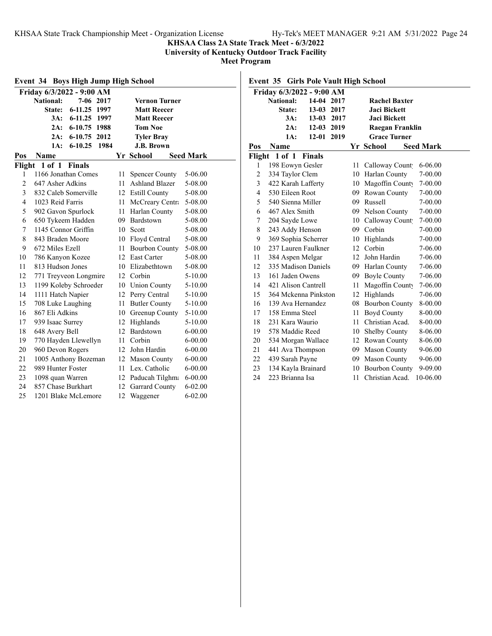**KHSAA Class 2A State Track Meet - 6/3/2022**

**University of Kentucky Outdoor Track Facility**

**Meet Program**

| <b>Event 34 Boys High Jump High School</b> |                           |               |      |                       |                       |                  |  |  |  |
|--------------------------------------------|---------------------------|---------------|------|-----------------------|-----------------------|------------------|--|--|--|
|                                            | Friday 6/3/2022 - 9:00 AM |               |      |                       |                       |                  |  |  |  |
|                                            | <b>National:</b>          | $7 - 06$      | 2017 |                       | <b>Vernon Turner</b>  |                  |  |  |  |
|                                            | <b>State:</b>             | $6 - 11.25$   | 1997 |                       | <b>Matt Reecer</b>    |                  |  |  |  |
|                                            | 3A:                       | $6 - 11.25$   | 1997 |                       | <b>Matt Reecer</b>    |                  |  |  |  |
|                                            | 2A:                       | 6-10.75 1988  |      |                       | <b>Tom Noe</b>        |                  |  |  |  |
|                                            | 2A:                       | 6-10.75 2012  |      |                       | <b>Tyler Bray</b>     |                  |  |  |  |
|                                            | 1A:                       | $6 - 10.25$   | 1984 |                       | <b>J.B. Brown</b>     |                  |  |  |  |
| Pos                                        | Name                      |               |      |                       | Yr School             | <b>Seed Mark</b> |  |  |  |
| Flight                                     | $1$ of $1$                | <b>Finals</b> |      |                       |                       |                  |  |  |  |
| 1                                          | 1166 Jonathan Comes       |               |      | 11                    | <b>Spencer County</b> | 5-06.00          |  |  |  |
| $\overline{c}$                             | 647 Asher Adkins          |               |      | 11                    | Ashland Blazer        | 5-08.00          |  |  |  |
| 3                                          | 832 Caleb Somerville      |               |      |                       | 12 Estill County      | 5-08.00          |  |  |  |
| $\overline{4}$                             | 1023 Reid Farris          |               |      | 11                    | McCreary Centra       | 5-08.00          |  |  |  |
| 5                                          | 902 Gavon Spurlock        |               |      | 11                    | Harlan County         | 5-08.00          |  |  |  |
| 6                                          | 650 Tykeem Hadden         |               |      |                       | 09 Bardstown          | 5-08.00          |  |  |  |
| 7                                          | 1145 Connor Griffin       |               |      | 10                    | Scott                 | 5-08.00          |  |  |  |
| 8                                          | 843 Braden Moore          |               |      | 10 Floyd Central      | 5-08.00               |                  |  |  |  |
| 9                                          | 672 Miles Ezell           |               | 11   | <b>Bourbon County</b> | 5-08.00               |                  |  |  |  |
| 10                                         | 786 Kanyon Kozee          |               |      | 12 East Carter        | 5-08.00               |                  |  |  |  |
| 11                                         | 813 Hudson Jones          |               |      |                       | 10 Elizabethtown      | 5-08.00          |  |  |  |
| 12                                         | 771 Treyveon Longmire     |               |      |                       | 12 Corbin             | 5-10.00          |  |  |  |
| 13                                         | 1199 Koleby Schroeder     |               |      |                       | 10 Union County       | 5-10.00          |  |  |  |
| 14                                         | 1111 Hatch Napier         |               |      |                       | 12 Perry Central      | 5-10.00          |  |  |  |
| 15                                         | 708 Luke Laughing         |               |      | 11                    | <b>Butler County</b>  | 5-10.00          |  |  |  |
| 16                                         | 867 Eli Adkins            |               |      | 10                    | Greenup County        | 5-10.00          |  |  |  |
| 17                                         | 939 Isaac Surrey          |               |      |                       | 12 Highlands          | 5-10.00          |  |  |  |
| 18                                         | 648 Avery Bell            |               |      |                       | 12 Bardstown          | $6 - 00.00$      |  |  |  |
| 19                                         | 770 Hayden Llewellyn      |               |      | 11                    | Corbin                | $6 - 00.00$      |  |  |  |
| 20                                         | 960 Devon Rogers          |               |      |                       | 12 John Hardin        | $6 - 00.00$      |  |  |  |
| 21                                         | 1005 Anthony Bozeman      |               |      |                       | 12 Mason County       | $6 - 00.00$      |  |  |  |
| 22                                         | 989 Hunter Foster         |               |      |                       | 11 Lex. Catholic      | $6 - 00.00$      |  |  |  |
| 23                                         | 1098 quan Warren          |               |      |                       | 12 Paducah Tilghma    | $6 - 00.00$      |  |  |  |
| 24                                         | 857 Chase Burkhart        |               |      |                       | 12 Garrard County     | $6 - 02.00$      |  |  |  |
| 25                                         | 1201 Blake McLemore       |               |      | 12                    | Waggener              | $6 - 02.00$      |  |  |  |

**Event 35 Girls Pole Vault High School**

| Friday 6/3/2022 - 9:00 AM |                      |               |      |    |                       |                  |  |
|---------------------------|----------------------|---------------|------|----|-----------------------|------------------|--|
|                           | <b>National:</b>     | 14-04 2017    |      |    | <b>Rachel Baxter</b>  |                  |  |
|                           | State:               | 13-03 2017    |      |    | <b>Jaci Bickett</b>   |                  |  |
|                           | 3A:                  | $13 - 03$     | 2017 |    | <b>Jaci Bickett</b>   |                  |  |
|                           | 2A:                  | $12 - 03$     | 2019 |    | Raegan Franklin       |                  |  |
|                           | 1A:                  | $12 - 01$     | 2019 |    | <b>Grace Turner</b>   |                  |  |
| Pos                       | Name                 |               |      |    | Yr School             | <b>Seed Mark</b> |  |
| Flight                    | 1 of 1               | <b>Finals</b> |      |    |                       |                  |  |
| 1                         | 198 Eowyn Gesler     |               |      | 11 | Calloway Count        | $6 - 06.00$      |  |
| $\overline{2}$            | 334 Taylor Clem      |               |      | 10 | Harlan County         | 7-00.00          |  |
| 3                         | 422 Karah Lafferty   |               |      | 10 | Magoffin County       | 7-00.00          |  |
| 4                         | 530 Eileen Root      |               |      | 09 | Rowan County          | 7-00.00          |  |
| 5                         | 540 Sienna Miller    |               |      | 09 | Russell               | 7-00.00          |  |
| 6                         | 467 Alex Smith       |               |      |    | 09 Nelson County      | $7 - 00.00$      |  |
| 7                         | 204 Sayde Lowe       |               |      | 10 | Calloway Count        | 7-00.00          |  |
| $\,$ 8 $\,$               | 243 Addy Henson      |               |      | 09 | Corbin                | 7-00.00          |  |
| 9                         | 369 Sophia Scherrer  |               |      | 10 | Highlands             | $7 - 00.00$      |  |
| 10                        | 237 Lauren Faulkner  |               |      |    | 12 Corbin             | 7-06.00          |  |
| 11                        | 384 Aspen Melgar     |               |      | 12 | John Hardin           | 7-06.00          |  |
| 12                        | 335 Madison Daniels  |               |      |    | 09 Harlan County      | 7-06.00          |  |
| 13                        | 161 Jaden Owens      |               |      |    | 09 Boyle County       | 7-06.00          |  |
| 14                        | 421 Alison Cantrell  |               |      | 11 | Magoffin County       | 7-06.00          |  |
| 15                        | 364 Mckenna Pinkston |               |      | 12 | Highlands             | 7-06.00          |  |
| 16                        | 139 Ava Hernandez    |               |      | 08 | <b>Bourbon County</b> | 8-00.00          |  |
| 17                        | 158 Emma Steel       |               |      | 11 | <b>Boyd County</b>    | 8-00.00          |  |
| 18                        | 231 Kara Waurio      |               |      | 11 | Christian Acad.       | 8-00.00          |  |
| 19                        | 578 Maddie Reed      |               |      | 10 | <b>Shelby County</b>  | 8-06.00          |  |
| 20                        | 534 Morgan Wallace   |               |      | 12 | Rowan County          | 8-06.00          |  |
| 21                        | 441 Ava Thompson     |               |      | 09 | <b>Mason County</b>   | 9-06.00          |  |
| 22                        | 439 Sarah Payne      |               |      |    | 09 Mason County       | 9-06.00          |  |
| 23                        | 134 Kayla Brainard   |               |      | 10 | <b>Bourbon County</b> | 9-09.00          |  |
| 24                        | 223 Brianna Isa      |               |      | 11 | Christian Acad.       | 10-06.00         |  |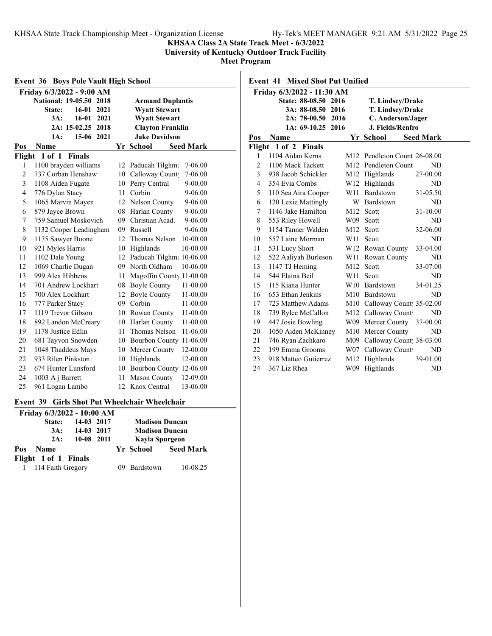#### **KHSAA Class 2A State Track Meet - 6/3/2022**

**University of Kentucky Outdoor Track Facility**

**Meet Program**

|                                                              | <b>Boys Pole Vault High School</b><br>Event 36 |    |                                     |             |  |  |  |
|--------------------------------------------------------------|------------------------------------------------|----|-------------------------------------|-------------|--|--|--|
|                                                              | Friday 6/3/2022 - 9:00 AM                      |    |                                     |             |  |  |  |
| <b>National: 19-05.50</b><br>2018<br><b>Armand Duplantis</b> |                                                |    |                                     |             |  |  |  |
|                                                              | $16-01$<br>2021<br><b>State:</b>               |    | <b>Wyatt Stewart</b>                |             |  |  |  |
|                                                              | 3A:<br>$16-01$<br>2021                         |    | <b>Wyatt Stewart</b>                |             |  |  |  |
|                                                              | 2A: 15-02.25 2018                              |    | <b>Clayton Franklin</b>             |             |  |  |  |
|                                                              | 15-06 2021<br>1A:                              |    | <b>Jake Davidson</b>                |             |  |  |  |
| Pos                                                          | Name                                           |    | Yr School<br><b>Seed Mark</b>       |             |  |  |  |
| Flight                                                       | 1 of 1<br><b>Finals</b>                        |    |                                     |             |  |  |  |
| 1                                                            | 1100 brayden williams                          | 12 | Paducah Tilghma                     | 7-06.00     |  |  |  |
| $\overline{c}$                                               | 737 Corban Henshaw                             | 10 | Calloway Count                      | 7-06.00     |  |  |  |
| 3                                                            | 1108 Aiden Fugate                              | 10 | Perry Central                       | $9 - 00.00$ |  |  |  |
| $\overline{4}$                                               | 776 Dylan Stacy                                | 11 | Corbin                              | $9 - 06.00$ |  |  |  |
| 5                                                            | 1065 Marvin Mayen                              |    | 12 Nelson County                    | 9-06.00     |  |  |  |
| 6                                                            | 879 Jayce Brown                                |    | 08 Harlan County                    | 9-06.00     |  |  |  |
| 7                                                            | 759 Samuel Moskovich                           |    | 09 Christian Acad.                  | 9-06.00     |  |  |  |
| 8                                                            | 1132 Cooper Leadingham                         | 09 | Russell                             | $9 - 06.00$ |  |  |  |
| 9                                                            | 1175 Sawyer Boone                              |    | <b>Thomas Nelson</b><br>10-00.00    |             |  |  |  |
| 10                                                           | 921 Myles Harris                               |    | Highlands<br>10-00.00               |             |  |  |  |
| 11                                                           | 1102 Dale Young                                |    | 12<br>Paducah Tilghm: 10-06.00      |             |  |  |  |
| 12                                                           | 1069 Charlie Dugan                             |    | 09 North Oldham<br>10-06.00         |             |  |  |  |
| 13                                                           | 999 Alex Hibbens                               | 11 | Magoffin County 11-00.00            |             |  |  |  |
| 14                                                           | 701 Andrew Lockhart                            | 08 | <b>Boyle County</b><br>11-00.00     |             |  |  |  |
| 15                                                           | 700 Alex Lockhart                              | 12 | <b>Boyle County</b><br>11-00.00     |             |  |  |  |
| 16                                                           | 777 Parker Stacy                               |    | 09 Corbin<br>11-00.00               |             |  |  |  |
| 17                                                           | 1119 Trevor Gibson                             | 10 | 11-00.00<br>Rowan County            |             |  |  |  |
| 18                                                           | 892 Landon McCreary                            | 10 | Harlan County<br>11-00.00           |             |  |  |  |
| 19                                                           | 1178 Justice Edlin                             |    | <b>Thomas Nelson</b><br>11-06.00    |             |  |  |  |
| 20                                                           | 681 Tayvon Snowden                             |    | <b>Bourbon County</b><br>$11-06.00$ |             |  |  |  |
| 21                                                           | 1048 Thaddeus Mays                             |    | Mercer County<br>12-00.00<br>10     |             |  |  |  |
| 22                                                           | 933 Rilen Pinkston                             | 10 | Highlands<br>12-00.00               |             |  |  |  |
| 23                                                           | 674 Hunter Lunsford                            | 10 | Bourbon County 12-06.00             |             |  |  |  |
| 24                                                           | 1003 A j Barrett                               | 11 | <b>Mason County</b><br>12-09.00     |             |  |  |  |
| 25                                                           | 961 Logan Lambo                                | 12 | 13-06.00<br>Knox Central            |             |  |  |  |

### **Event 39 Girls Shot Put Wheelchair Wheelchair**

|     | Friday 6/3/2022 - 10:00 AM |            |                       |                       |                  |  |
|-----|----------------------------|------------|-----------------------|-----------------------|------------------|--|
|     | <b>State:</b>              | 14-03 2017 | <b>Madison Duncan</b> |                       |                  |  |
|     | 3A:                        | 14-03 2017 |                       | <b>Madison Duncan</b> |                  |  |
|     | 2A:                        | 10-08 2011 |                       | Kayla Spurgeon        |                  |  |
| Pos | <b>Name</b>                |            |                       | Yr School             | <b>Seed Mark</b> |  |
|     | Flight 1 of 1 Finals       |            |                       |                       |                  |  |
|     | 1 114 Faith Gregory        |            |                       | 09 Bardstown          | 10-08.25         |  |

## **Event 41 Mixed Shot Put Unified**

| Friday 6/3/2022 - 11:30 AM |                      |      |                                          |                  |  |  |
|----------------------------|----------------------|------|------------------------------------------|------------------|--|--|
|                            | State: 88-08.50 2016 |      | T. Lindsey/Drake                         |                  |  |  |
|                            | 3A: 88-08.50 2016    |      | T. Lindsey/Drake                         |                  |  |  |
|                            | 2A: 78-00.50         | 2016 | C. Anderson/Jager                        |                  |  |  |
|                            | 1A: 69-10.25 2016    |      | J. Fields/Renfro                         |                  |  |  |
| Pos                        | <b>Name</b>          |      | Yr School                                | <b>Seed Mark</b> |  |  |
|                            | Flight 1 of 2 Finals |      |                                          |                  |  |  |
| 1                          | 1104 Aidan Kerns     |      | M <sub>12</sub> Pendleton Count 26-08.00 |                  |  |  |
| 2                          | 1106 Mack Tackett    |      | M12 Pendleton Count                      | ND.              |  |  |
| 3                          | 938 Jacob Schickler  |      | M12 Highlands                            | 27-00.00         |  |  |
| 4                          | 354 Evia Combs       |      | W12 Highlands                            | ND               |  |  |
| 5                          | 110 Sea Aira Cooper  |      | W11 Bardstown                            | 31-05.50         |  |  |
| 6                          | 120 Lexie Mattingly  | W    | Bardstown                                | ND               |  |  |
| 7                          | 1146 Jake Hamilton   | M12  | Scott                                    | 31-10.00         |  |  |
| 8                          | 553 Riley Howell     |      | W09 Scott                                | ND               |  |  |
| 9                          | 1154 Tanner Walden   | M12  | Scott                                    | 32-06.00         |  |  |
| 10                         | 557 Laine Morman     | W11  | Scott                                    | ND               |  |  |
| 11                         | 531 Lucy Short       |      | W12 Rowan County                         | 33-04.00         |  |  |
| 12                         | 522 Aaliyah Burleson |      | W11 Rowan County                         | ND               |  |  |
| 13                         | 1147 TJ Heming       | M12  | Scott                                    | 33-07.00         |  |  |
| 14                         | 544 Elaina Beil      | W11  | Scott                                    | ND               |  |  |
| 15                         | 115 Kiana Hunter     |      | W10 Bardstown                            | 34-01.25         |  |  |
| 16                         | 653 Ethan Jenkins    |      | M10 Bardstown                            | ND               |  |  |
| 17                         | 723 Matthew Adams    |      | M10 Calloway Count 35-02.00              |                  |  |  |
| 18                         | 739 Rylee McCallon   |      | M12 Calloway Count                       | ND               |  |  |
| 19                         | 447 Josie Bowling    |      | W09 Mercer County                        | 37-00.00         |  |  |
| 20                         | 1050 Aiden McKinney  |      | M10 Mercer County                        | ND               |  |  |
| 21                         | 746 Ryan Zachkaro    |      | M09 Calloway Count 38-03.00              |                  |  |  |
| 22                         | 199 Emma Grooms      |      | W07 Calloway Count                       | ND               |  |  |
| 23                         | 918 Matteo Gutierrez | M12  | Highlands                                | 39-01.00         |  |  |
| 24                         | 367 Liz Rhea         | W09  | Highlands                                | <b>ND</b>        |  |  |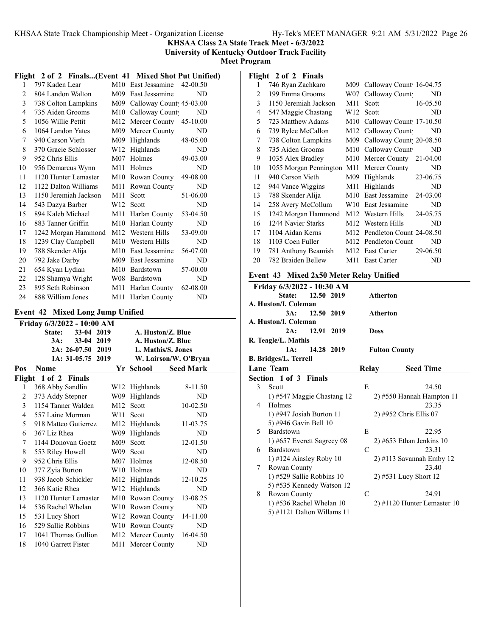**KHSAA Class 2A State Track Meet - 6/3/2022**

**University of Kentucky Outdoor Track Facility**

**Meet Program**

## **Flight 2 of 2 Finals...(Event 41 Mixed Shot Put Unified)**

| 1  | 797 Kaden Lear        | M10             | East Jessamine          | 42-00.50   |  |
|----|-----------------------|-----------------|-------------------------|------------|--|
| 2  | 804 Landon Walton     | M09             | East Jessamine          | ND         |  |
| 3  | 738 Colton Lampkins   | M09             | Calloway Count 45-03.00 |            |  |
| 4  | 735 Aiden Grooms      | M10             | Calloway Count          | ND.        |  |
| 5  | 1056 Willie Pettit    | M12             | Mercer County           | $45-10.00$ |  |
| 6  | 1064 Landon Yates     | M09             | Mercer County           | ND         |  |
| 7  | 940 Carson Vieth      | M09             | Highlands               | 48-05.00   |  |
| 8  | 370 Gracie Schlosser  | W12             | Highlands               | ND         |  |
| 9  | 952 Chris Ellis       | M <sub>07</sub> | <b>Holmes</b>           | 49-03.00   |  |
| 10 | 956 Demarcus Wynn     | M11             | Holmes                  | ND         |  |
| 11 | 1120 Hunter Lemaster  | M10             | Rowan County            | 49-08.00   |  |
| 12 | 1122 Dalton Williams  | M11             | Rowan County            | ND         |  |
| 13 | 1150 Jeremiah Jackson | M11             | Scott                   | 51-06.00   |  |
| 14 | 543 Dazya Barber      | W12             | Scott                   | ND         |  |
| 15 | 894 Kaleb Michael     | M11             | Harlan County           | 53-04.50   |  |
| 16 | 883 Tanner Griffin    | M10             | Harlan County           | ND         |  |
| 17 | 1242 Morgan Hammond   | M <sub>12</sub> | Western Hills           | 53-09.00   |  |
| 18 | 1239 Clay Campbell    | M10             | Western Hills           | ND         |  |
| 19 | 788 Skender Alija     | M10             | East Jessamine          | 56-07.00   |  |
| 20 | 792 Jake Darby        | M09             | East Jessamine          | ND         |  |
| 21 | 654 Kyan Lydian       | M10             | Bardstown               | 57-00.00   |  |
| 22 | 128 Shamya Wright     | W08 -           | Bardstown               | ND         |  |
| 23 | 895 Seth Robinson     | M11             | Harlan County           | 62-08.00   |  |
| 24 | 888 William Jones     | M11             | Harlan County           | ND         |  |

#### **Event 42 Mixed Long Jump Unified**

|                   | Friday 6/3/2022 - 10:00 AM |                   |                 |  |                    |                       |  |
|-------------------|----------------------------|-------------------|-----------------|--|--------------------|-----------------------|--|
|                   | State:                     | $33-04$           | 2019            |  | A. Huston/Z. Blue  |                       |  |
|                   | 3A:                        | 33-04             | 2019            |  | A. Huston/Z. Blue  |                       |  |
|                   |                            | $2A: 26-07.50$    | 2019            |  | L. Mathis/S. Jones |                       |  |
|                   |                            | 1A: 31-05.75 2019 |                 |  |                    | W. Lairson/W. O'Bryan |  |
| Pos               | Name                       |                   |                 |  | Yr School          | <b>Seed Mark</b>      |  |
|                   | Flight 1 of 2 Finals       |                   |                 |  |                    |                       |  |
| 1                 | 368 Abby Sandlin           |                   | W12             |  | Highlands          | 8-11.50               |  |
| 2                 | 373 Addy Stepner           |                   | W09             |  | Highlands          | ND                    |  |
| 3                 | 1154 Tanner Walden         |                   | M <sub>12</sub> |  | Scott              | 10-02.50              |  |
| $\overline{4}$    | 557 Laine Morman           |                   | W <sub>11</sub> |  | Scott              | ND                    |  |
| 5                 | 918 Matteo Gutierrez       |                   | M12             |  | Highlands          | 11-03.75              |  |
| 6                 | 367 Liz Rhea               |                   | W09             |  | Highlands          | ND                    |  |
| 7                 | 1144 Donovan Goetz         |                   | M09             |  | Scott              | 12-01.50              |  |
| 8                 | 553 Riley Howell           |                   | W09             |  | Scott              | ND                    |  |
| 9                 | 952 Chris Ellis            |                   | M <sub>07</sub> |  | <b>Holmes</b>      | 12-08.50              |  |
| 10                | 377 Zyia Burton            |                   | W10             |  | Holmes             | ND                    |  |
| 11                | 938 Jacob Schickler        |                   | M12             |  | Highlands          | 12-10.25              |  |
| $12 \overline{ }$ | 366 Katie Rhea             |                   | W12             |  | Highlands          | ND                    |  |
| 13                | 1120 Hunter Lemaster       |                   | M10             |  | Rowan County       | 13-08.25              |  |
| 14                | 536 Rachel Whelan          |                   |                 |  | W10 Rowan County   | ND                    |  |
| 15                | 531 Lucy Short             |                   |                 |  | W12 Rowan County   | 14-11.00              |  |
| 16                | 529 Sallie Robbins         |                   |                 |  | W10 Rowan County   | ND                    |  |
| 17                | 1041 Thomas Gullion        |                   |                 |  | M12 Mercer County  | 16-04.50              |  |
| 18                | 1040 Garrett Fister        |                   | M11             |  | Mercer County      | ND                    |  |

## **Flight 2 of 2 Finals**

| 746 Ryan Zachkaro     | M09             | Calloway Count 16-04.75    |
|-----------------------|-----------------|----------------------------|
| 199 Emma Grooms       | W07             | ND<br>Calloway Count       |
| 1150 Jeremiah Jackson | M11             | 16-05.50<br>Scott          |
| 547 Maggie Chastang   | W12             | ND<br>Scott                |
| 723 Matthew Adams     | M10             | Calloway Count 17-10.50    |
| 739 Rylee McCallon    |                 | M12 Calloway Count<br>ND   |
| 738 Colton Lampkins   | M09             | Calloway Count 20-08.50    |
| 735 Aiden Grooms      | M10             | Calloway Count<br>ND       |
| 1035 Alex Bradley     | M10             | Mercer County<br>21-04.00  |
|                       | M11             | ND<br>Mercer County        |
| 940 Carson Vieth      | M09             | Highlands<br>23-06.75      |
| 944 Vance Wiggins     | M11             | Highlands<br>ND            |
| 788 Skender Alija     | M10             | 24-03.00<br>East Jessamine |
| 258 Avery McCollum    | W10             | East Jessamine<br>ND       |
| 1242 Morgan Hammond   | M12             | Western Hills<br>24-05.75  |
| 1244 Navier Starks    | M12             | Western Hills<br>ND        |
| 1104 Aidan Kerns      | M <sub>12</sub> | Pendleton Count 24-08.50   |
| 1103 Coen Fuller      | M12             | Pendleton Count<br>ND      |
| 781 Anthony Beamish   | M <sub>12</sub> | 29-06.50<br>East Carter    |
| 782 Braiden Bellew    | M11             | East Carter<br>ND          |
|                       |                 | 1055 Morgan Pennington     |

#### **Event 43 Mixed 2x50 Meter Relay Unified**

|   | Friday 6/3/2022 - 10:30 AM   |                               |
|---|------------------------------|-------------------------------|
|   | State:<br>12.50 2019         | <b>Atherton</b>               |
|   | A. Huston/I. Coleman         |                               |
|   | 12.50 2019<br>3A:            | <b>Atherton</b>               |
|   | A. Huston/I. Coleman         |                               |
|   | 12.91 2019<br>2A:            | Doss                          |
|   | R. Teagle/L. Mathis          |                               |
|   | 1A:<br>14.28 2019            | <b>Fulton County</b>          |
|   | <b>B. Bridges/L. Terrell</b> |                               |
|   | Lane Team                    | <b>Seed Time</b><br>Relay     |
|   | Section 1 of 3 Finals        |                               |
| 3 | Scott                        | E<br>24.50                    |
|   | 1) #547 Maggie Chastang 12   | 2) #550 Hannah Hampton 11     |
| 4 | Holmes                       | 23.35                         |
|   | 1) #947 Josiah Burton 11     | 2) #952 Chris Ellis 07        |
|   | 5) #946 Gavin Bell 10        |                               |
| 5 | Bardstown                    | E<br>22.95                    |
|   | 1) #657 Everett Sagrecy 08   | $2)$ #653 Ethan Jenkins 10    |
| 6 | Bardstown                    | 23.31<br>C                    |
|   | $1)$ #124 Ainsley Roby 10    | 2) #113 Savannah Emby 12      |
| 7 | Rowan County                 | 23.40                         |
|   | 1) #529 Sallie Robbins 10    | 2) #531 Lucy Short 12         |
|   | 5) #535 Kennedy Watson 12    |                               |
| 8 | Rowan County                 | $\mathcal{C}$<br>24.91        |
|   | 1) #536 Rachel Whelan 10     | $2)$ #1120 Hunter Lemaster 10 |
|   | 5) #1121 Dalton Willams 11   |                               |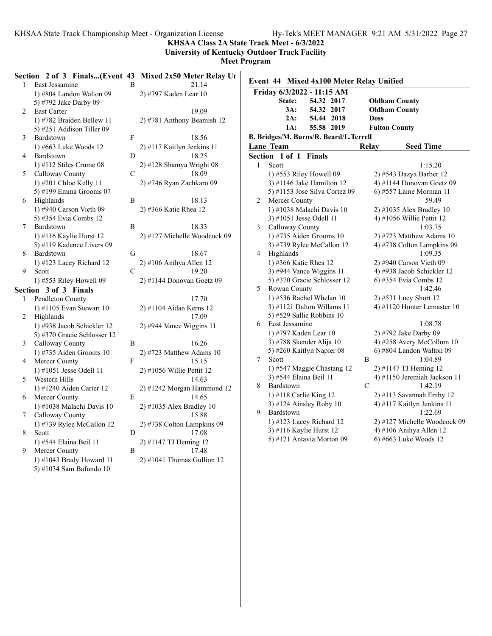**KHSAA Class 2A State Track Meet - 6/3/2022**

**University of Kentucky Outdoor Track Facility**

| $\mathbf{1}$   | East Jessamine                                      | <sub>B</sub>  | Section 2 of 3 Finals(Event 43 Mixed 2x50 Meter Relay Un<br>21.14 | Event 44 Mixed 4x100 Meter Relay Unified                                                             |  |
|----------------|-----------------------------------------------------|---------------|-------------------------------------------------------------------|------------------------------------------------------------------------------------------------------|--|
|                | 1) #804 Landon Walton 09                            |               | 2) #797 Kaden Lear 10                                             | Friday 6/3/2022 - 11:15 AM                                                                           |  |
|                | 5) #792 Jake Darby 09                               |               |                                                                   | 54.32 2017<br><b>Oldham County</b><br>State:                                                         |  |
| $\overline{2}$ | <b>East Carter</b>                                  |               | 19.09                                                             | 54.32 2017<br>$3A$ :<br><b>Oldham County</b>                                                         |  |
|                | 1) #782 Braiden Bellew 11                           |               | 2) #781 Anthony Beamish 12                                        | 54.44 2018<br>$2A$ :<br><b>Doss</b>                                                                  |  |
|                | 5) #251 Addison Tiller 09                           |               |                                                                   | 55.58 2019<br>1A:<br><b>Fulton County</b>                                                            |  |
| 3              | Bardstown                                           | ${\bf F}$     | 18.56                                                             | B. Bridges/M. Burns/R. Beard/L.Terrell                                                               |  |
|                | 1) #663 Luke Woods 12                               |               | 2) #117 Kaitlyn Jenkins 11                                        | <b>Seed Time</b><br>Lane Team<br>Relay                                                               |  |
| 4              | Bardstown                                           | D             | 18.25                                                             | Section 1 of 1 Finals                                                                                |  |
|                | 1) #112 Stiles Crume $08$                           |               | 2) #128 Shamya Wright 08                                          | Scott<br>1:15.20<br>$\mathbf{1}$                                                                     |  |
| 5.             | Calloway County                                     | $\mathcal{C}$ | 18.09                                                             | 1) #553 Riley Howell 09<br>2) #543 Dazya Barber 12                                                   |  |
|                | 1) #201 Chloe Kelly 11                              |               | 2) #746 Ryan Zachkaro 09                                          | 3) #1146 Jake Hamilton $12$<br>4) #1144 Donovan Goetz 09                                             |  |
|                | 5) #199 Emma Grooms 07                              |               |                                                                   | 5) #1153 Jose Silva Cortez 09<br>6) #557 Laine Morman 11                                             |  |
| 6              | Highlands                                           | B             | 18.13                                                             | Mercer County<br>59.49<br>$\overline{2}$                                                             |  |
|                | 1) #940 Carson Vieth 09                             |               | 2) #366 Katie Rhea 12                                             | 1) #1038 Malachi Davis 10<br>$2)$ #1035 Alex Bradley 10                                              |  |
|                | 5) #354 Evia Combs 12                               |               |                                                                   | 3) #1051 Jesse Odell 11<br>4) #1056 Willie Pettit 12                                                 |  |
| $\tau$         | Bardstown                                           | B             | 18.33                                                             | Calloway County<br>1:03.75<br>3                                                                      |  |
|                | 1) #116 Kaylie Hurst 12                             |               | 2) #127 Michelle Woodcock 09                                      | 1) #735 Aiden Grooms 10<br>2) #723 Matthew Adams 10                                                  |  |
|                | 5) #119 Kadence Livers 09                           |               |                                                                   | 3) #739 Rylee McCallon 12<br>4) #738 Colton Lampkins 09                                              |  |
| 8              | Bardstown                                           | $\mathbf G$   | 18.67                                                             | Highlands<br>$\overline{4}$<br>1:09.35                                                               |  |
|                | 1) #123 Lacey Richard 12                            |               | 2) #106 Anihya Allen 12                                           | 1) #366 Katie Rhea 12<br>$2)$ #940 Carson Vieth 09                                                   |  |
| 9              | Scott                                               | $\mathcal{C}$ | 19.20                                                             | 3) #944 Vance Wiggins $11$<br>4) #938 Jacob Schickler 12                                             |  |
|                | 1) #553 Riley Howell 09                             |               | $2)$ #1144 Donovan Goetz 09                                       | 5) #370 Gracie Schlosser 12<br>6) #354 Evia Combs 12                                                 |  |
|                | Section 3 of 3 Finals                               |               |                                                                   | Rowan County<br>1:42.46<br>5                                                                         |  |
| $\mathbf{1}$   | Pendleton County                                    |               | 17.70                                                             | 1) #536 Rachel Whelan 10<br>2) #531 Lucy Short 12                                                    |  |
|                | 1) #1105 Evan Stewart $10$                          |               | 2) #1104 Aidan Kerns 12                                           | 3) #1121 Dalton Willams 11<br>4) #1120 Hunter Lemaster 10                                            |  |
| $\overline{2}$ | Highlands                                           |               | 17.09                                                             | 5) #529 Sallie Robbins $10$                                                                          |  |
|                | 1) #938 Jacob Schickler 12                          |               | $2)$ #944 Vance Wiggins 11                                        | East Jessamine<br>1:08.78<br>6                                                                       |  |
|                | 5) #370 Gracie Schlosser 12                         |               |                                                                   | 1) #797 Kaden Lear 10<br>2) #792 Jake Darby 09                                                       |  |
| 3              | Calloway County                                     | B             | 16.26                                                             | 3) #788 Skender Alija 10<br>4) #258 Avery McCollum 10                                                |  |
|                | 1) #735 Aiden Grooms $10$                           |               | $2)$ #723 Matthew Adams 10                                        | 5) #260 Kaitlyn Napier 08<br>$6$ ) #804 Landon Walton 09                                             |  |
| 4              | Mercer County                                       | F             | 15.15                                                             | $7\phantom{.}$<br>B<br>Scott<br>1:04.89                                                              |  |
|                | 1) #1051 Jesse Odell 11                             |               | $2)$ #1056 Willie Pettit 12                                       | 1) #547 Maggie Chastang 12<br>2) #1147 TJ Heming 12                                                  |  |
| 5              | Western Hills                                       |               | 14.63                                                             | 3) #544 Elaina Beil 11<br>4) #1150 Jeremiah Jackson 11<br>$\mathcal{C}$<br>8<br>Bardstown<br>1:42.19 |  |
|                | 1) #1240 Aiden Carter 12                            |               | 2) #1242 Morgan Hammond 12                                        |                                                                                                      |  |
| 6              | Mercer County                                       | E             | 14.65                                                             | 2) #113 Savannah Emby 12<br>1) #118 Carlie King 12<br>3) #124 Ainsley Roby 10                        |  |
|                | 1) #1038 Malachi Davis 10                           |               | 2) #1035 Alex Bradley 10                                          | 4) #117 Kaitlyn Jenkins 11<br>9<br>1:22.69<br>Bardstown                                              |  |
| 7              | Calloway County                                     |               | 15.88                                                             | 1) #123 Lacey Richard 12<br>2) #127 Michelle Woodcock 09                                             |  |
|                | 1) #739 Rylee McCallon 12                           |               | 2) #738 Colton Lampkins 09                                        | 3) #116 Kaylie Hurst 12<br>4) #106 Anihya Allen 12                                                   |  |
| 8              | Scott                                               | D             | 17.08                                                             | 5) #121 Antavia Morton 09<br>6) #663 Luke Woods 12                                                   |  |
|                | 1) #544 Elaina Beil 11                              |               | 2) #1147 TJ Heming 12                                             |                                                                                                      |  |
| 9              | Mercer County                                       | B             | 17.48                                                             |                                                                                                      |  |
|                | 1) #1043 Brady Howard 11<br>5) #1034 Sam Bafundo 10 |               | $2)$ #1041 Thomas Gullion 12                                      |                                                                                                      |  |